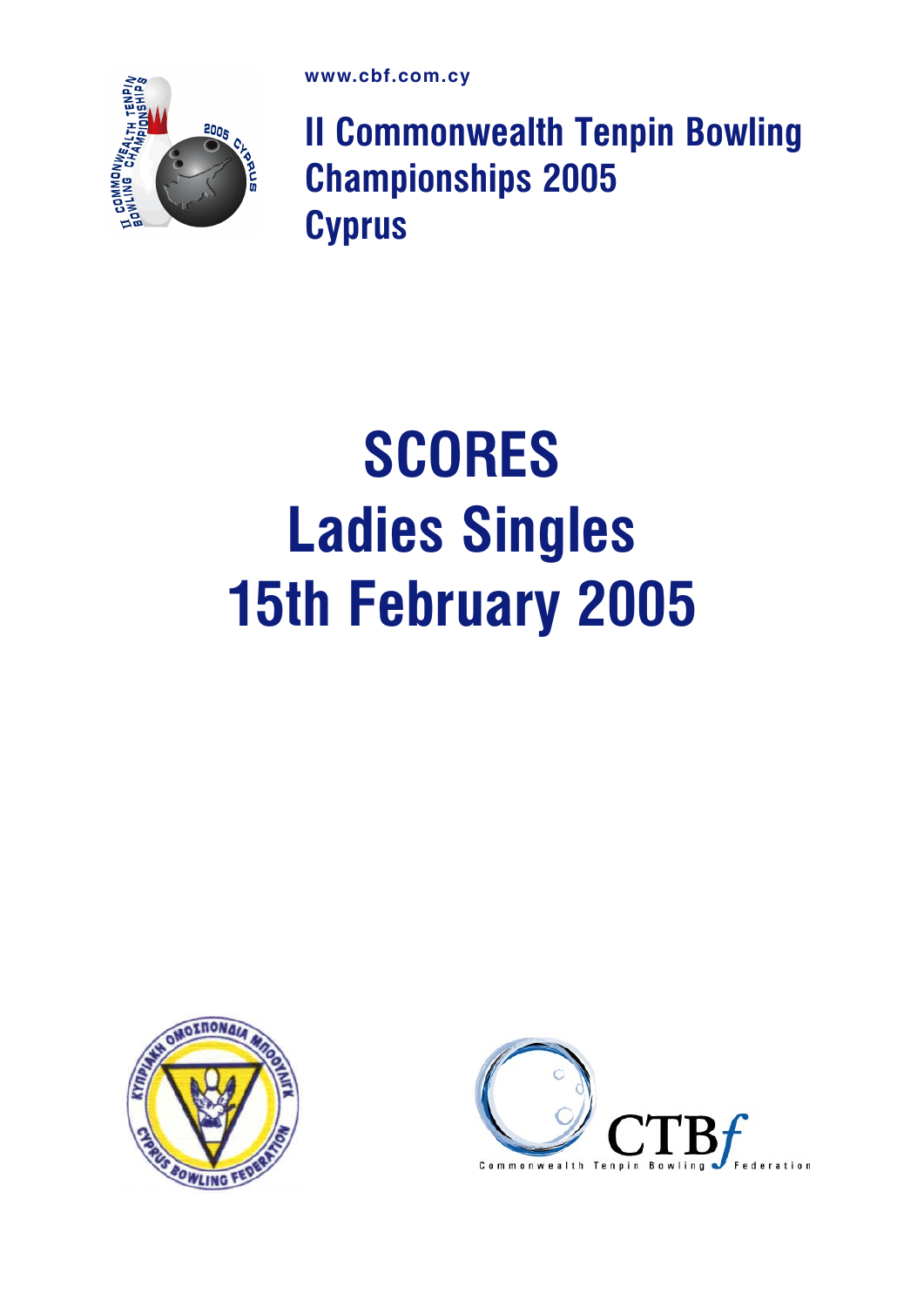

II Commonwealth Tenpin Bowling Championships 2005 **Cyprus** 

## **SCORES** Ladies Singles 15th February 2005



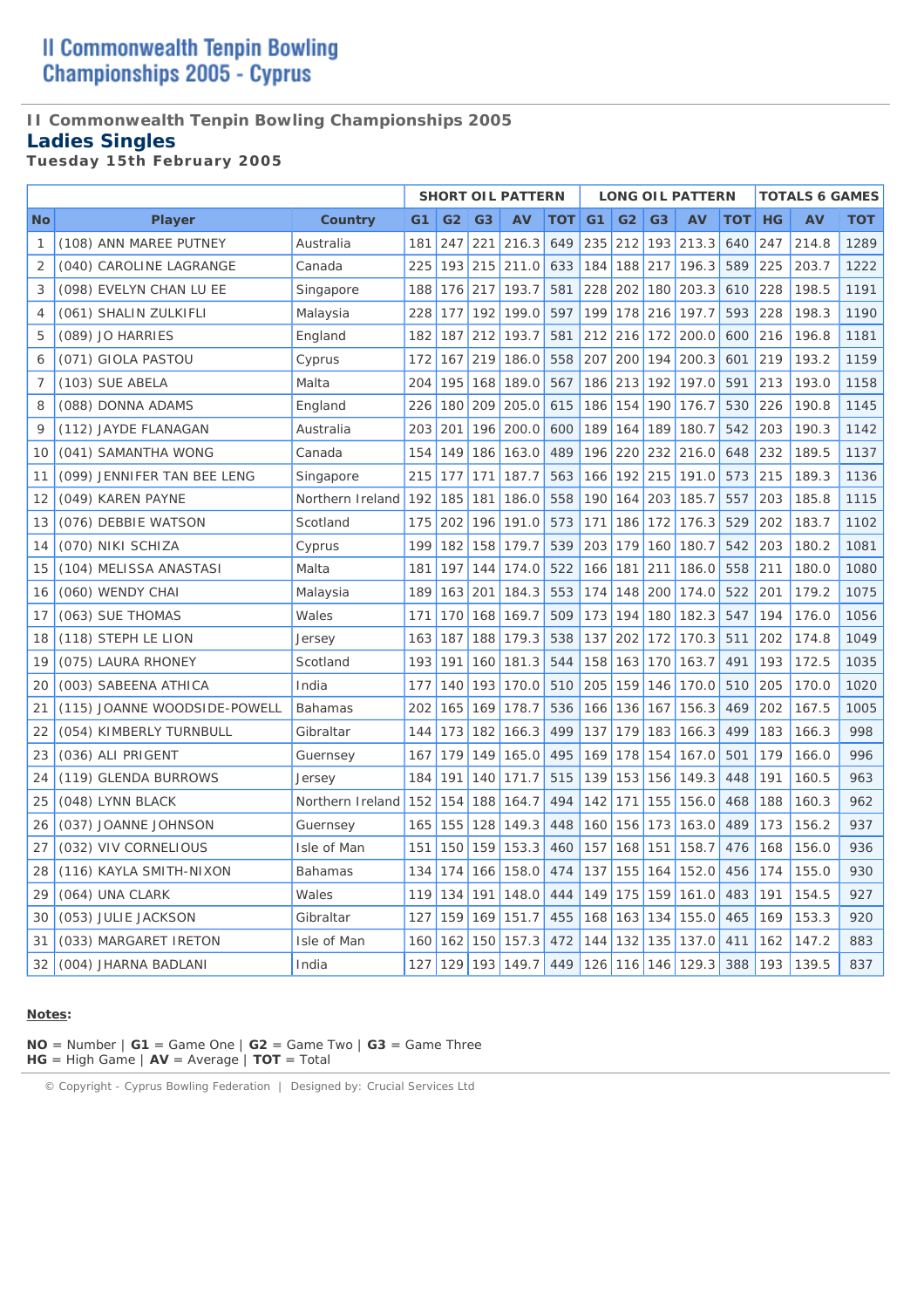#### **II Commonwealth Tenpin Bowling Championships 2005**

### **Ladies Singles**

*Tuesday 15th February 2005* 

|           |                              |                  |     |                |                | <b>SHORT OIL PATTERN</b> |     |                |                |                | <b>LONG OIL PATTERN</b> |     |           | <b>TOTALS 6 GAMES</b> |            |
|-----------|------------------------------|------------------|-----|----------------|----------------|--------------------------|-----|----------------|----------------|----------------|-------------------------|-----|-----------|-----------------------|------------|
| <b>No</b> | Player                       | Country          | G1  | G <sub>2</sub> | G <sub>3</sub> | AV                       | тот | G <sub>1</sub> | G <sub>2</sub> | G <sub>3</sub> | AV                      | TOT | <b>HG</b> | AV                    | <b>TOT</b> |
| 1         | (108) ANN MAREE PUTNEY       | Australia        | 181 | 247            | 221            | 216.3                    | 649 | 235            | 212            | 193            | 213.3                   | 640 | 247       | 214.8                 | 1289       |
| 2         | (040) CAROLINE LAGRANGE      | Canada           | 225 | 193            | 215            | 211.0                    | 633 | 184            | 188            | 217            | 196.3                   | 589 | 225       | 203.7                 | 1222       |
| 3         | (098) EVELYN CHAN LU EE      | Singapore        | 188 | 176            | 217            | 193.7                    | 581 | 228            | 202            | 180            | 203.3                   | 610 | 228       | 198.5                 | 1191       |
| 4         | (061) SHALIN ZULKIFLI        | Malaysia         | 228 | 177            | 192            | 199.0                    | 597 | 199            | 178            | 216            | 197.7                   | 593 | 228       | 198.3                 | 1190       |
| 5         | (089) JO HARRIES             | England          | 182 | 187            | 212            | 193.7                    | 581 | 212            | 216            | 172            | 200.0                   | 600 | 216       | 196.8                 | 1181       |
| 6         | (071) GIOLA PASTOU           | Cyprus           | 172 | 167            | 219            | 186.0                    | 558 | 207            | 200            | 194            | 200.3                   | 601 | 219       | 193.2                 | 1159       |
| 7         | (103) SUE ABELA              | Malta            | 204 | 195            | 168            | 189.0                    | 567 | 186            | 213            | 192            | 197.0                   | 591 | 213       | 193.0                 | 1158       |
| 8         | (088) DONNA ADAMS            | England          | 226 | 180            | 209            | 205.0                    | 615 | 186            | 154            | 190            | 176.7                   | 530 | 226       | 190.8                 | 1145       |
| 9         | (112) JAYDE FLANAGAN         | Australia        | 203 | 201            | 196            | 200.0                    | 600 | 189            | 164            | 189            | 180.7                   | 542 | 203       | 190.3                 | 1142       |
| 10        | (041) SAMANTHA WONG          | Canada           | 154 | 149            | 186            | 163.0                    | 489 | 196            | 220            | 232            | 216.0                   | 648 | 232       | 189.5                 | 1137       |
| 11        | (099) JENNIFER TAN BEE LENG  | Singapore        | 215 | 177            | 171            | 187.7                    | 563 | 166            | 192            | 215            | 191.0                   | 573 | 215       | 189.3                 | 1136       |
| 12        | (049) KAREN PAYNE            | Northern Ireland | 192 | 185            | 181            | 186.0                    | 558 | 190            | 164            | 203            | 185.7                   | 557 | 203       | 185.8                 | 1115       |
| 13        | (076) DEBBIE WATSON          | Scotland         | 175 | 202            | 196            | 191.0                    | 573 | 171            | 186            | 172            | 176.3                   | 529 | 202       | 183.7                 | 1102       |
| 14        | (070) NIKI SCHIZA            | Cyprus           | 199 | 182            | 158            | 179.7                    | 539 | 203            | 179            | 160            | 180.7                   | 542 | 203       | 180.2                 | 1081       |
| 15        | (104) MELISSA ANASTASI       | Malta            | 181 | 197            | 144            | 174.0                    | 522 | 166            | 181            | 211            | 186.0                   | 558 | 211       | 180.0                 | 1080       |
| 16        | (060) WENDY CHAI             | Malaysia         | 189 | 163            | 201            | 184.3                    | 553 | 174            | 148            | 200            | 174.0                   | 522 | 201       | 179.2                 | 1075       |
| 17        | (063) SUE THOMAS             | Wales            | 171 | 170            | 168            | 169.7                    | 509 | 173            | 194            | 180            | 182.3                   | 547 | 194       | 176.0                 | 1056       |
| 18        | (118) STEPH LE LION          | Jersey           | 163 | 187            | 188            | 179.3                    | 538 | 137            | 202            | 172            | 170.3                   | 511 | 202       | 174.8                 | 1049       |
| 19        | (075) LAURA RHONEY           | Scotland         | 193 | 191            | 160            | 181.3                    | 544 | 158            | 163            | 170            | 163.7                   | 491 | 193       | 172.5                 | 1035       |
| 20        | (003) SABEENA ATHICA         | India            | 177 | 140            | 193            | 170.0                    | 510 | 205            | 159            | 146            | 170.0                   | 510 | 205       | 170.0                 | 1020       |
| 21        | (115) JOANNE WOODSIDE-POWELL | <b>Bahamas</b>   | 202 | 165            | 169            | 178.7                    | 536 | 166            | 136            | 167            | 156.3                   | 469 | 202       | 167.5                 | 1005       |
| 22        | (054) KIMBERLY TURNBULL      | Gibraltar        | 144 | 173            | 182            | 166.3                    | 499 | 137            | 179            | 183            | 166.3                   | 499 | 183       | 166.3                 | 998        |
| 23        | (036) ALI PRIGENT            | Guernsey         | 167 | 179            | 149            | 165.0                    | 495 | 169            | 178            | 154            | 167.0                   | 501 | 179       | 166.0                 | 996        |
| 24        | (119) GLENDA BURROWS         | Jersey           | 184 | 191            | 140            | 171.7                    | 515 | 139            | 153            | 156            | 149.3                   | 448 | 191       | 160.5                 | 963        |
| 25        | (048) LYNN BLACK             | Northern Ireland | 152 | 154            | 188            | 164.7                    | 494 | 142            | 171            | 155            | 156.0                   | 468 | 188       | 160.3                 | 962        |
| 26        | (037) JOANNE JOHNSON         | Guernsey         | 165 | 155            | 128            | 149.3                    | 448 | 160            | 156            | 173            | 163.0                   | 489 | 173       | 156.2                 | 937        |
| 27        | (032) VIV CORNELIOUS         | Isle of Man      | 151 | 150            | 159            | 153.3                    | 460 | 157            | 168            | 151            | 158.7                   | 476 | 168       | 156.0                 | 936        |
| 28        | (116) KAYLA SMITH-NIXON      | <b>Bahamas</b>   | 134 | 174            | 166            | 158.0                    | 474 | 137            | 155            | 164            | 152.0                   | 456 | 174       | 155.0                 | 930        |
| 29        | (064) UNA CLARK              | Wales            | 119 | 134            | 191            | 148.0                    | 444 | 149            | 175            | 159            | 161.0                   | 483 | 191       | 154.5                 | 927        |
| 30        | (053) JULIE JACKSON          | Gibraltar        | 127 | 159            | 169            | 151.7                    | 455 | 168            | 163            | 134            | 155.0                   | 465 | 169       | 153.3                 | 920        |
| 31        | (033) MARGARET IRETON        | Isle of Man      | 160 | 162            | 150            | 157.3                    | 472 | 144            | 132            | 135            | 137.0                   | 411 | 162       | 147.2                 | 883        |
| 32        | (004) JHARNA BADLANI         | India            | 127 | 129            | 193            | 149.7                    | 449 | 126            | 116            | 146            | 129.3                   | 388 | 193       | 139.5                 | 837        |

#### **Notes:**

**NO** = Number | **G1** = Game One | **G2** = Game Two | **G3** = Game Three **HG** = High Game | **AV** = Average | **TOT** = Total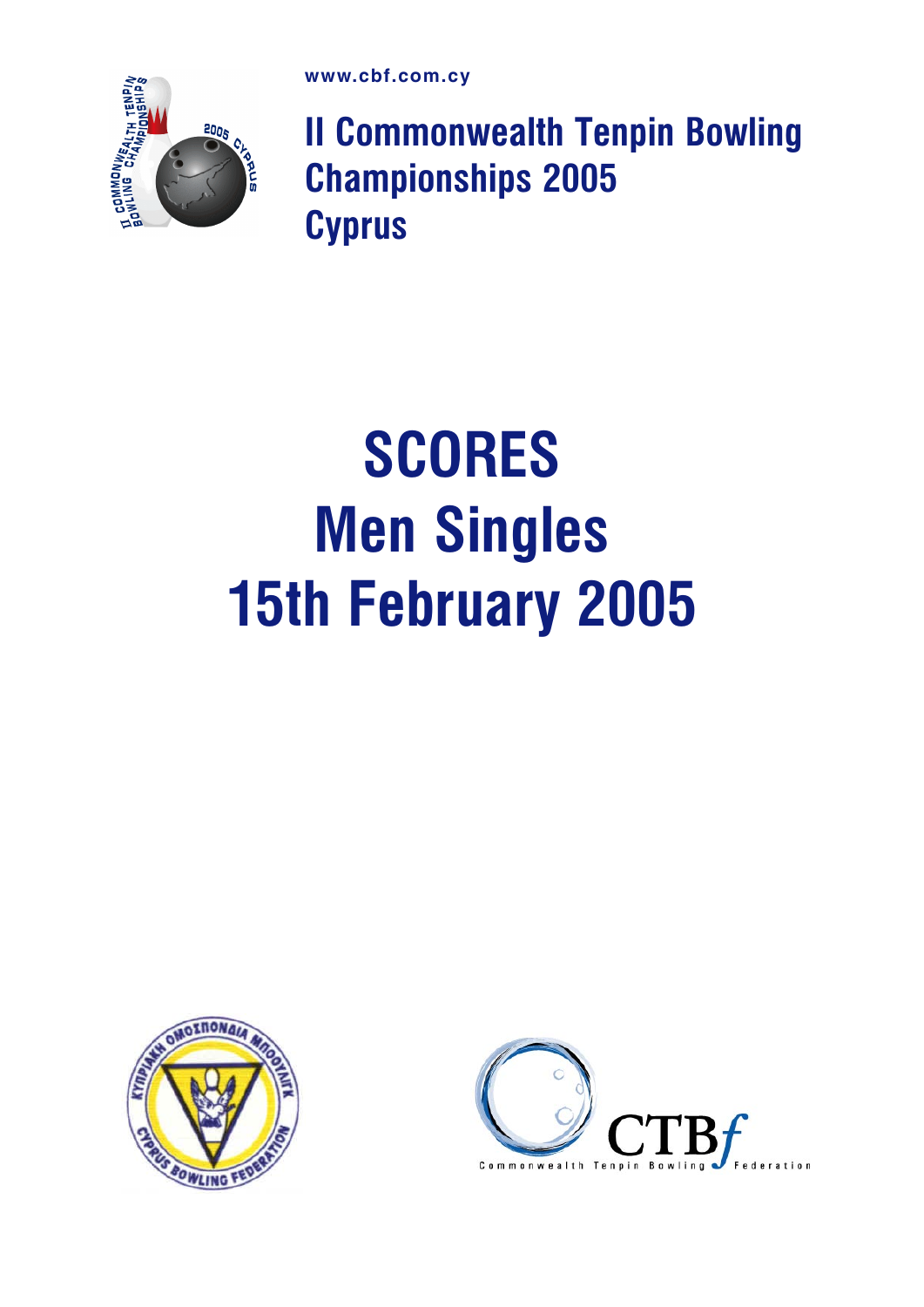

II Commonwealth Tenpin Bowling Championships 2005 **Cyprus** 

## SCORES Men Singles 15th February 2005



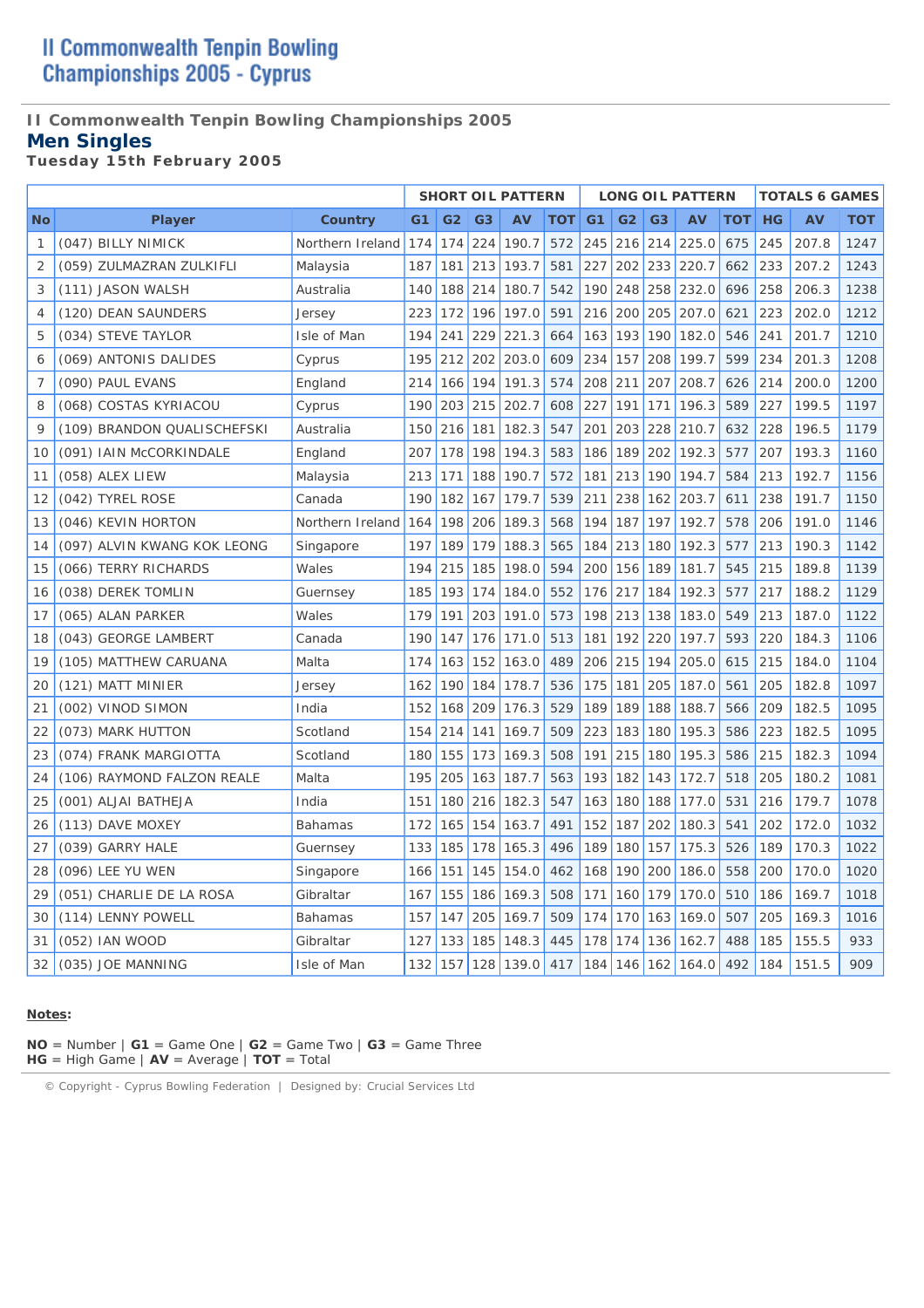#### **II Commonwealth Tenpin Bowling Championships 2005**

#### **Men Singles**

*Tuesday 15th February 2005* 

|           |                             |                  |                |                |                | <b>SHORT OIL PATTERN</b> |     |                |                |                | <b>LONG OIL PATTERN</b> |            |           | <b>TOTALS 6 GAMES</b> |            |
|-----------|-----------------------------|------------------|----------------|----------------|----------------|--------------------------|-----|----------------|----------------|----------------|-------------------------|------------|-----------|-----------------------|------------|
| <b>No</b> | <b>Player</b>               | Country          | G <sub>1</sub> | G <sub>2</sub> | G <sub>3</sub> | AV                       | тот | G <sub>1</sub> | G <sub>2</sub> | G <sub>3</sub> | AV                      | <b>TOT</b> | <b>HG</b> | AV                    | <b>TOT</b> |
| 1         | (047) BILLY NIMICK          | Northern Ireland | 174            | 174            | 224            | 190.7                    | 572 | 245            | 216            | 214            | 225.0                   | 675        | 245       | 207.8                 | 1247       |
| 2         | (059) ZULMAZRAN ZULKIFLI    | Malaysia         | 187            | 181            | 213            | 193.7                    | 581 | 227            | 202            | 233            | 220.7                   | 662        | 233       | 207.2                 | 1243       |
| 3         | (111) JASON WALSH           | Australia        | 140            | 188            | 214            | 180.7                    | 542 | 190            | 248            | 258            | 232.0                   | 696        | 258       | 206.3                 | 1238       |
| 4         | (120) DEAN SAUNDERS         | Jersey           | 223            | 172            | 196            | 197.0                    | 591 | 216            | 200            | 205            | 207.0                   | 621        | 223       | 202.0                 | 1212       |
| 5         | (034) STEVE TAYLOR          | Isle of Man      | 194            | 241            | 229            | 221.3                    | 664 | 163            | 193            | 190            | 182.0                   | 546        | 241       | 201.7                 | 1210       |
| 6         | (069) ANTONIS DALIDES       | Cyprus           | 195            | 212            | 202            | 203.0                    | 609 | 234            | 157            | 208            | 199.7                   | 599        | 234       | 201.3                 | 1208       |
| 7         | (090) PAUL EVANS            | England          | 214            | 166            | 194            | 191.3                    | 574 | 208            | 211            | 207            | 208.7                   | 626        | 214       | 200.0                 | 1200       |
| 8         | (068) COSTAS KYRIACOU       | Cyprus           | 190            | 203            | 215            | 202.7                    | 608 | 227            | 191            | 171            | 196.3                   | 589        | 227       | 199.5                 | 1197       |
| 9         | (109) BRANDON QUALISCHEFSKI | Australia        | 150            | 216            | 181            | 182.3                    | 547 | 201            | 203            | 228            | 210.7                   | 632        | 228       | 196.5                 | 1179       |
| 10        | (091) IAIN McCORKINDALE     | England          | 207            | 178            | 198            | 194.3                    | 583 | 186            | 189            | 202            | 192.3                   | 577        | 207       | 193.3                 | 1160       |
| 11        | (058) ALEX LIEW             | Malaysia         | 213            | 171            | 188            | 190.7                    | 572 | 181            | 213            | 190            | 194.7                   | 584        | 213       | 192.7                 | 1156       |
| 12        | (042) TYREL ROSE            | Canada           | 190            | 182            | 167            | 179.7                    | 539 | 211            | 238            | 162            | 203.7                   | 611        | 238       | 191.7                 | 1150       |
| 13        | (046) KEVIN HORTON          | Northern Ireland | 164            | 198            | 206            | 189.3                    | 568 | 194            | 187            | 197            | 192.7                   | 578        | 206       | 191.0                 | 1146       |
| 14        | (097) ALVIN KWANG KOK LEONG | Singapore        | 197            | 189            | 179            | 188.3                    | 565 | 184            | 213            | 180            | 192.3                   | 577        | 213       | 190.3                 | 1142       |
| 15        | (066) TERRY RICHARDS        | Wales            | 194            | 215            | 185            | 198.0                    | 594 | 200            | 156            | 189            | 181.7                   | 545        | 215       | 189.8                 | 1139       |
| 16        | (038) DEREK TOMLIN          | Guernsey         | 185            | 193            | 174            | 184.0                    | 552 | 176            | 217            | 184            | 192.3                   | 577        | 217       | 188.2                 | 1129       |
| 17        | (065) ALAN PARKER           | Wales            | 179            | 191            | 203            | 191.0                    | 573 | 198            | 213            | 138            | 183.0                   | 549        | 213       | 187.0                 | 1122       |
| 18        | (043) GEORGE LAMBERT        | Canada           | 190            | 147            | 176            | 171.0                    | 513 | 181            | 192            | 220            | 197.7                   | 593        | 220       | 184.3                 | 1106       |
| 19        | (105) MATTHEW CARUANA       | Malta            | 174            | 163            | 152            | 163.0                    | 489 | 206            | 215            | 194            | 205.0                   | 615        | 215       | 184.0                 | 1104       |
| 20        | (121) MATT MINIER           | Jersey           | 162            | 190            | 184            | 178.7                    | 536 | 175            | 181            | 205            | 187.0                   | 561        | 205       | 182.8                 | 1097       |
| 21        | (002) VINOD SIMON           | India            | 152            | 168            | 209            | 176.3                    | 529 | 189            | 189            | 188            | 188.7                   | 566        | 209       | 182.5                 | 1095       |
| 22        | (073) MARK HUTTON           | Scotland         | 154            | 214            | 141            | 169.7                    | 509 | 223            | 183            | 180            | 195.3                   | 586        | 223       | 182.5                 | 1095       |
| 23        | (074) FRANK MARGIOTTA       | Scotland         | 180            | 155            | 173            | 169.3                    | 508 | 191            | 215            | 180            | 195.3                   | 586        | 215       | 182.3                 | 1094       |
| 24        | (106) RAYMOND FALZON REALE  | Malta            | 195            | 205            | 163            | 187.7                    | 563 | 193            | 182            | 143            | 172.7                   | 518        | 205       | 180.2                 | 1081       |
| 25        | (001) ALJAI BATHEJA         | India            | 151            | 180            | 216            | 182.3                    | 547 | 163            | 180            | 188            | 177.0                   | 531        | 216       | 179.7                 | 1078       |
| 26        | (113) DAVE MOXEY            | <b>Bahamas</b>   | 172            | 165            | 154            | 163.7                    | 491 | 152            | 187            | 202            | 180.3                   | 541        | 202       | 172.0                 | 1032       |
| 27        | (039) GARRY HALE            | Guernsey         | 133            | 185            | 178            | 165.3                    | 496 | 189            | 180            | 157            | 175.3                   | 526        | 189       | 170.3                 | 1022       |
| 28        | (096) LEE YU WEN            | Singapore        | 166            | 151            | 145            | 154.0                    | 462 | 168            | 190            | 200            | 186.0                   | 558        | 200       | 170.0                 | 1020       |
| 29        | (051) CHARLIE DE LA ROSA    | Gibraltar        | 167            | 155            | 186            | 169.3                    | 508 | 171            | 160            | 179            | 170.0                   | 510        | 186       | 169.7                 | 1018       |
| 30        | (114) LENNY POWELL          | Bahamas          | 157            | 147            | 205            | 169.7                    | 509 | 174            | 170            | 163            | 169.0                   | 507        | 205       | 169.3                 | 1016       |
| 31        | (052) IAN WOOD              | Gibraltar        | 127            | 133            | 185            | 148.3                    | 445 | 178            | 174            | 136            | 162.7                   | 488        | 185       | 155.5                 | 933        |
| 32        | (035) JOE MANNING           | Isle of Man      | 132            | 157            | 128            | 139.0                    | 417 | 184            | 146            | 162            | 164.0                   | 492        | 184       | 151.5                 | 909        |

#### **Notes:**

**NO** = Number | **G1** = Game One | **G2** = Game Two | **G3** = Game Three **HG** = High Game | **AV** = Average | **TOT** = Total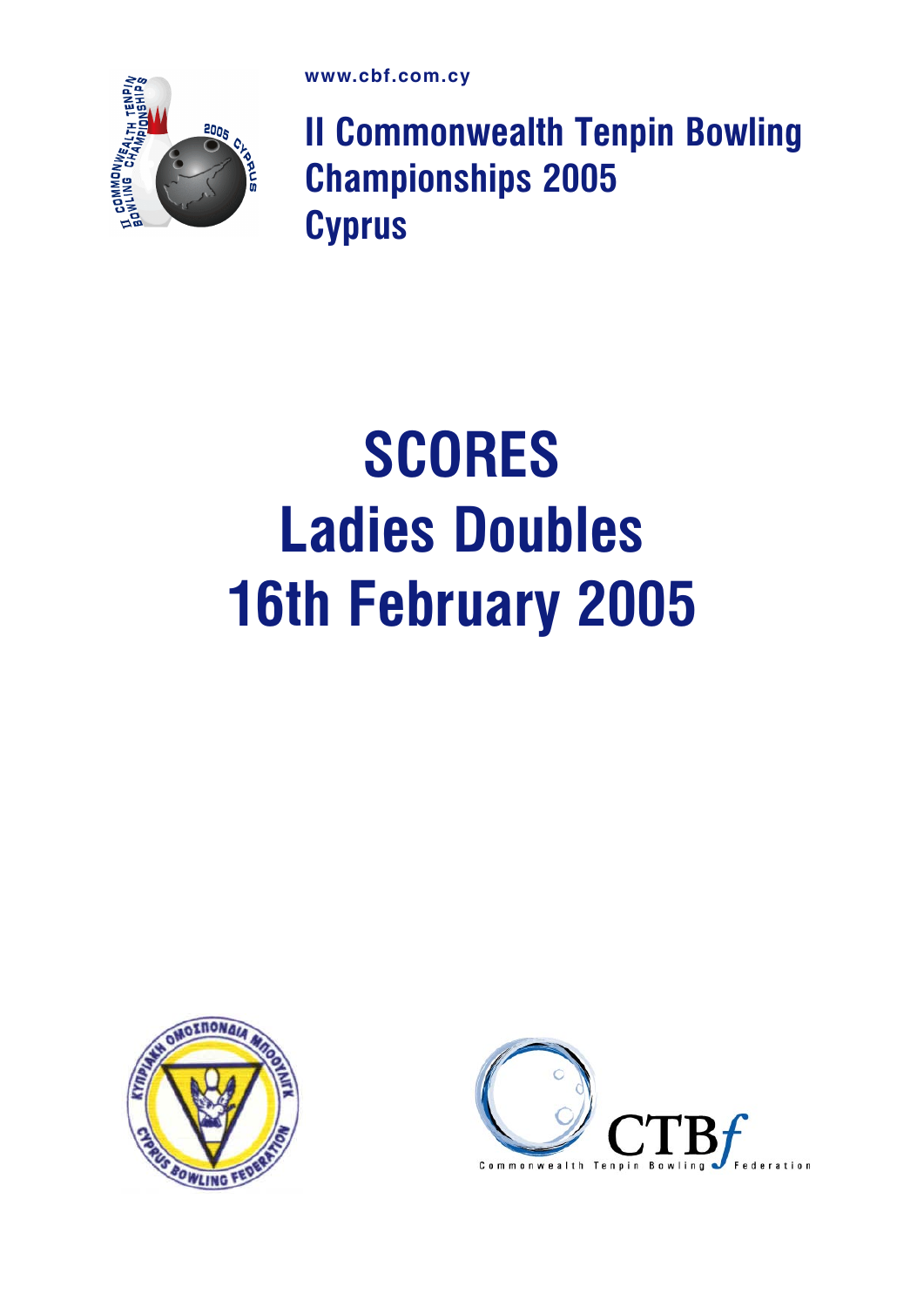

II Commonwealth Tenpin Bowling Championships 2005 **Cyprus** 

# **SCORES** Ladies Doubles 16th February 2005



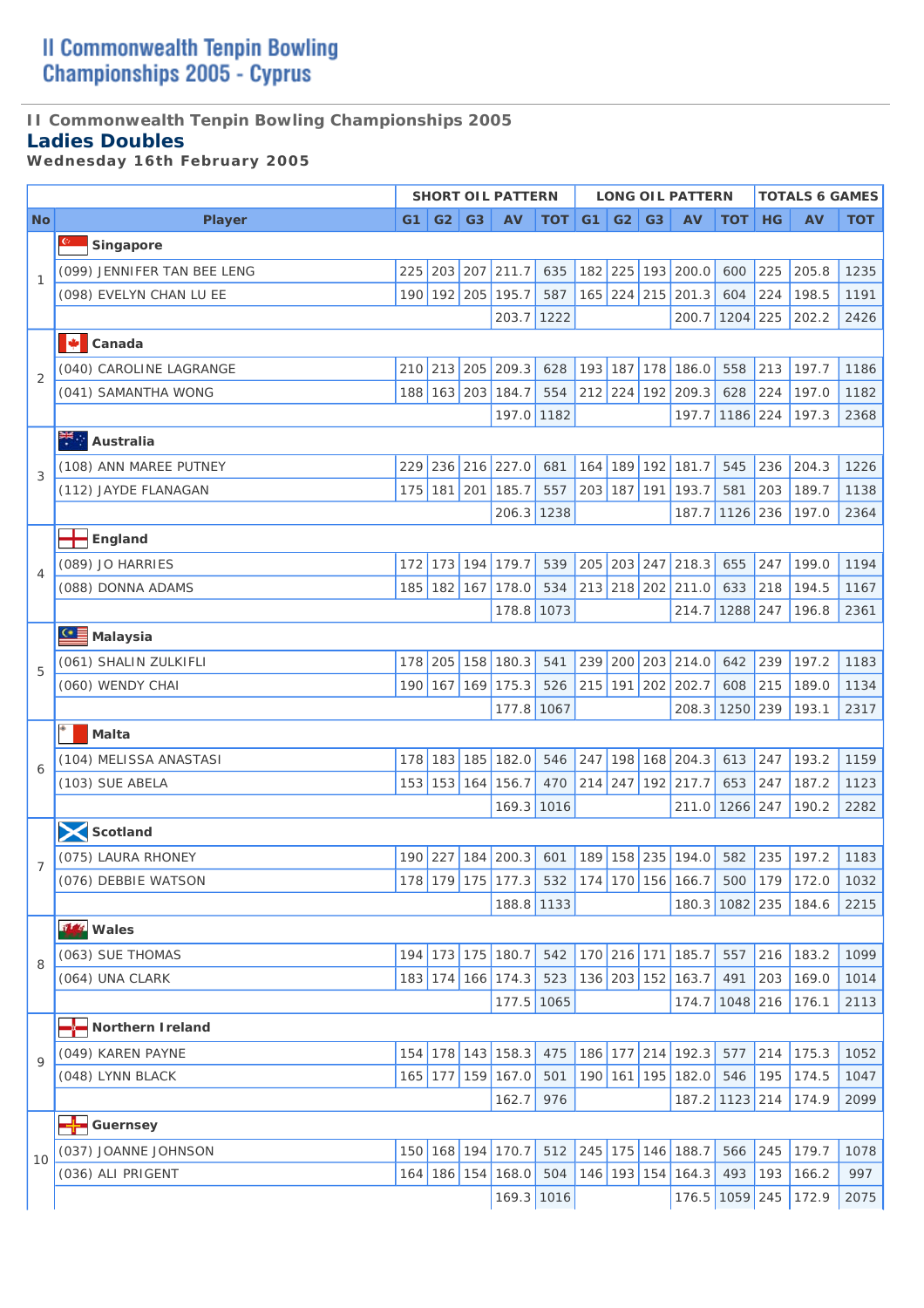## **II Commonwealth Tenpin Bowling Championships 2005**

### **Ladies Doubles**

*Wednesday 16th February 2005* 

|                |                                        |          |             |                | <b>SHORT OIL PATTERN</b> |     |     |             |                | <b>LONG OIL PATTERN</b> |            |           | <b>TOTALS 6 GAMES</b>                                 |            |
|----------------|----------------------------------------|----------|-------------|----------------|--------------------------|-----|-----|-------------|----------------|-------------------------|------------|-----------|-------------------------------------------------------|------------|
| <b>No</b>      | <b>Player</b>                          | $G1$ $ $ | G2          | G <sub>3</sub> | <b>AV</b>                | TOT | G1  | G2          | G <sub>3</sub> | AV                      | <b>TOT</b> | <b>HG</b> | <b>AV</b>                                             | <b>TOT</b> |
|                | Singapore                              |          |             |                |                          |     |     |             |                |                         |            |           |                                                       |            |
|                | (099) JENNIFER TAN BEE LENG            |          |             |                | 225 203 207 211.7        | 635 |     | 182 225 193 |                | 200.0                   | 600        | 225       | 205.8                                                 | 1235       |
| $\mathbf{1}$   | (098) EVELYN CHAN LU EE                | 190      |             |                | 192 205 195.7            | 587 |     | 165 224 215 |                | 201.3                   | 604        | 224       | 198.5                                                 | 1191       |
|                |                                        |          |             |                | 203.7 1222               |     |     |             |                | 200.7                   | $1204$ 225 |           | 202.2                                                 | 2426       |
|                | Ф<br>Canada                            |          |             |                |                          |     |     |             |                |                         |            |           |                                                       |            |
|                | (040) CAROLINE LAGRANGE                |          |             |                | 210 213 205 209.3        | 628 |     | 193 187 178 |                | 186.0                   | 558        | 213       | 197.7                                                 | 1186       |
| $\overline{2}$ | (041) SAMANTHA WONG                    | 188      |             |                | 163 203 184.7            | 554 |     |             |                | 212 224 192 209.3       | 628        | 224       | 197.0                                                 | 1182       |
|                |                                        |          |             |                | 197.0 1182               |     |     |             |                | 197.7                   | 1186 224   |           | 197.3                                                 | 2368       |
|                | Australia                              |          |             |                |                          |     |     |             |                |                         |            |           |                                                       |            |
|                | (108) ANN MAREE PUTNEY                 | 229      |             |                | 236 216 227.0            | 681 | 164 | 189 192     |                | 181.7                   | 545        | 236       | 204.3                                                 | 1226       |
| 3              | (112) JAYDE FLANAGAN                   |          | 175 181 201 |                | 185.7                    | 557 |     | 203 187 191 |                | 193.7                   | 581        | 203       | 189.7                                                 | 1138       |
|                |                                        |          |             |                | 206.3 1238               |     |     |             |                | 187.7                   | 1126 236   |           | 197.0                                                 | 2364       |
|                | England                                |          |             |                |                          |     |     |             |                |                         |            |           |                                                       |            |
|                | (089) JO HARRIES                       | 172      |             | 173 194        | 179.7                    | 539 |     | 205 203 247 |                | 218.3                   | 655        | 247       | 199.0                                                 | 1194       |
| $\overline{4}$ | (088) DONNA ADAMS                      | 185      |             | $182$ 167      | 178.0                    | 534 |     |             |                | 213 218 202 211.0       | 633        | 218       | 194.5                                                 | 1167       |
|                |                                        |          |             |                | 178.8 1073               |     |     |             |                | 214.7                   | 1288 247   |           | 196.8                                                 | 2361       |
|                | <b>CE</b> Malaysia                     |          |             |                |                          |     |     |             |                |                         |            |           |                                                       |            |
|                | (061) SHALIN ZULKIFLI                  |          |             |                | 178 205 158 180.3        | 541 |     |             |                | 239 200 203 214.0       | 642        | 239       | 197.2                                                 | 1183       |
| 5              | (060) WENDY CHAI                       |          | 190 167     | 169            | 175.3                    | 526 |     |             |                | 215 191 202 202.7       | 608        | 215       | 189.0                                                 | 1134       |
|                |                                        |          |             |                | 177.8 1067               |     |     |             |                | 208.3                   | 1250 239   |           | 193.1                                                 | 2317       |
|                | Malta                                  |          |             |                |                          |     |     |             |                |                         |            |           |                                                       |            |
|                | (104) MELISSA ANASTASI                 | 178      |             | 183 185        | 182.0                    | 546 | 247 |             |                | 198 168 204.3           | 613        | 247       | 193.2                                                 | 1159       |
| 6              | (103) SUE ABELA                        |          | 153 153 164 |                | 156.7                    | 470 |     |             |                | 214 247 192 217.7       | 653        | 247       | 187.2                                                 | 1123       |
|                |                                        |          |             |                | 169.3 1016               |     |     |             |                | 211.0                   | 1266 247   |           | 190.2                                                 | 2282       |
|                | Scotland                               |          |             |                |                          |     |     |             |                |                         |            |           |                                                       |            |
|                | (075) LAURA RHONEY                     |          |             |                | 190 227 184 200.3        |     |     |             |                | 601 189 158 235 194.0   |            |           | 582 235 197.2                                         | 1183       |
| $\overline{7}$ | (076) DEBBIE WATSON                    |          |             |                |                          |     |     |             |                |                         |            |           | 178 179 175 177.3 532 174 170 156 166.7 500 179 172.0 | 1032       |
|                |                                        |          |             |                | 188.8 1133               |     |     |             |                | 180.3 1082 235          |            |           | 184.6                                                 | 2215       |
|                | il Wales                               |          |             |                |                          |     |     |             |                |                         |            |           |                                                       |            |
|                | (063) SUE THOMAS                       | 194      |             |                | 173 175 180.7            | 542 |     | 170 216 171 |                | 185.7                   | 557        | 216       | 183.2                                                 | 1099       |
| 8              | (064) UNA CLARK                        |          |             |                | 183 174 166 174.3        | 523 |     |             |                | 136 203 152 163.7       | 491        | 203       | 169.0                                                 | 1014       |
|                |                                        |          |             |                | 177.5 1065               |     |     |             |                | 174.7                   | $1048$ 216 |           | 176.1                                                 | 2113       |
|                | Northern I reland                      |          |             |                |                          |     |     |             |                |                         |            |           |                                                       |            |
|                | (049) KAREN PAYNE                      | 154      |             |                | 178 143 158.3            | 475 |     | 186 177 214 |                | 192.3                   | 577        | 214       | 175.3                                                 | 1052       |
| $\mathsf{Q}$   | (048) LYNN BLACK                       |          |             |                | 165 177 159 167.0        | 501 |     |             |                | 190 161 195 182.0       | 546        | 195       | 174.5                                                 | 1047       |
|                |                                        |          |             |                | 162.7                    | 976 |     |             |                | 187.2                   | $1123$ 214 |           | 174.9                                                 | 2099       |
|                | <del>- <mark>⊹-</mark> G</del> uernsey |          |             |                |                          |     |     |             |                |                         |            |           |                                                       |            |
|                | (037) JOANNE JOHNSON                   |          |             |                | 150 168 194 170.7        | 512 |     |             |                | 245 175 146 188.7       | 566        | 245       | 179.7                                                 | 1078       |
| 10             | (036) ALI PRIGENT                      |          |             |                | 164 186 154 168.0        | 504 |     |             |                | 146 193 154 164.3       | 493        | 193       | 166.2                                                 | 997        |
|                |                                        |          |             |                | 169.3 1016               |     |     |             |                | 176.5                   | 1059 245   |           | 172.9                                                 | 2075       |
|                |                                        |          |             |                |                          |     |     |             |                |                         |            |           |                                                       |            |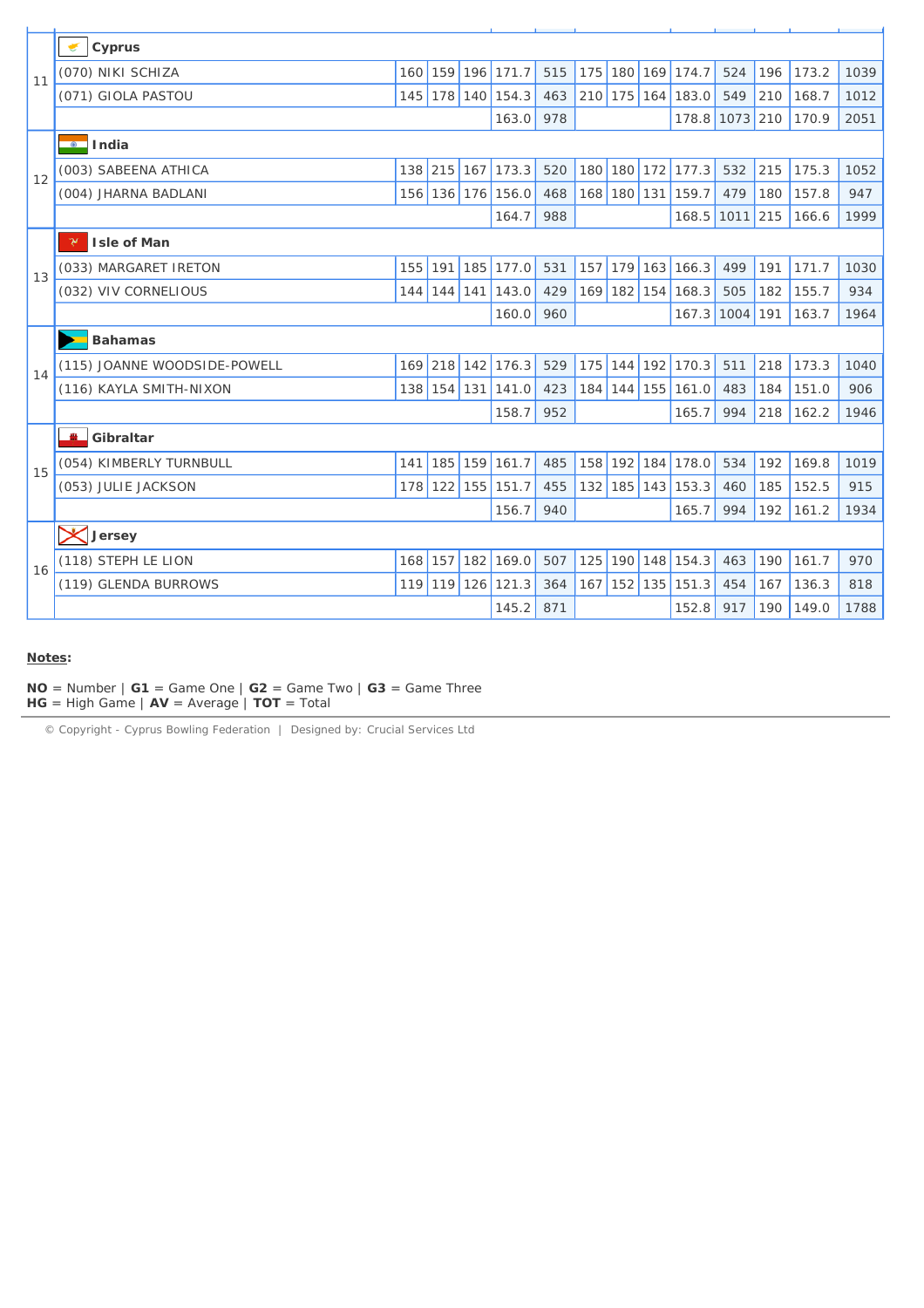| Cyprus<br>(070) NIKI SCHIZA<br>175 180 169 174.7<br>159 196 171.7<br>515<br>524<br>196<br>173.2<br>160<br>11<br>(071) GIOLA PASTOU<br>178 140 154.3<br>463<br>210 175 164<br>183.0<br>549<br>210<br>168.7<br>145<br>210<br>170.9<br>163.0<br>978<br>178.8<br>1073<br>$\overline{\bullet}$ India<br>(003) SABEENA ATHICA<br>138 215<br>180 180 172<br>215<br>167<br>173.3<br>520<br>177.3<br>532<br>175.3<br>12<br>(004) JHARNA BADLANI<br>136 176 156.0<br>168 180 131 159.7<br>479<br>180<br>157.8<br>156<br>468<br>215<br>164.7<br>988<br>168.5<br>1011<br>166.6<br>γ<br><b>Isle of Man</b><br>179 163<br>(033) MARGARET IRETON<br>155<br>191<br>185<br>177.0<br>531<br>157<br>166.3<br>499<br>191<br>171.7<br>13<br>143.0<br>429<br>169 182 154<br>168.3<br>(032) VIV CORNELIOUS<br>$144$ 141<br>505<br>182<br>155.7<br>144<br>160.0<br>960<br>167.3<br>1004<br>191<br>163.7<br><b>Bahamas</b><br>218<br>(115) JOANNE WOODSIDE-POWELL<br>169 218 142 176.3<br>529<br>175 144 192 170.3<br>173.3<br>511<br>14<br>184 144 155 161.0<br>(116) KAYLA SMITH-NIXON<br>138 154 131<br>141.0<br>423<br>483<br>151.0<br>184<br>158.7<br>952<br>165.7<br>994<br>218<br>162.2<br><b>PALL</b><br>Gibraltar<br>(054) KIMBERLY TURNBULL<br>159 161.7<br>485<br>158 192 184<br>178.0<br>192<br>169.8<br>141<br>185<br>534<br>15<br>122<br>132 185 143 153.3<br>(053) JULIE JACKSON<br>178<br>155<br>151.7<br>455<br>460<br>185<br>152.5<br>156.7<br>940<br>165.7<br>994<br>192<br>161.2<br><b>X</b> Jersey<br>(118) STEPH LE LION<br>182<br>169.0<br>507<br>125<br>190 148 154.3<br>190<br>161.7<br>168<br>157<br>463<br>16<br>$152$ 135 151.3<br>(119) GLENDA BURROWS<br>119 126 121.3<br>167<br>454<br>167<br>136.3<br>119<br>364 |  |  |       |     |  |       |     |     |       |      |
|-------------------------------------------------------------------------------------------------------------------------------------------------------------------------------------------------------------------------------------------------------------------------------------------------------------------------------------------------------------------------------------------------------------------------------------------------------------------------------------------------------------------------------------------------------------------------------------------------------------------------------------------------------------------------------------------------------------------------------------------------------------------------------------------------------------------------------------------------------------------------------------------------------------------------------------------------------------------------------------------------------------------------------------------------------------------------------------------------------------------------------------------------------------------------------------------------------------------------------------------------------------------------------------------------------------------------------------------------------------------------------------------------------------------------------------------------------------------------------------------------------------------------------------------------------------------------------------------------------------------------------------------------------------------------------------------------------------------------|--|--|-------|-----|--|-------|-----|-----|-------|------|
|                                                                                                                                                                                                                                                                                                                                                                                                                                                                                                                                                                                                                                                                                                                                                                                                                                                                                                                                                                                                                                                                                                                                                                                                                                                                                                                                                                                                                                                                                                                                                                                                                                                                                                                         |  |  |       |     |  |       |     |     |       |      |
|                                                                                                                                                                                                                                                                                                                                                                                                                                                                                                                                                                                                                                                                                                                                                                                                                                                                                                                                                                                                                                                                                                                                                                                                                                                                                                                                                                                                                                                                                                                                                                                                                                                                                                                         |  |  |       |     |  |       |     |     |       | 1039 |
|                                                                                                                                                                                                                                                                                                                                                                                                                                                                                                                                                                                                                                                                                                                                                                                                                                                                                                                                                                                                                                                                                                                                                                                                                                                                                                                                                                                                                                                                                                                                                                                                                                                                                                                         |  |  |       |     |  |       |     |     |       | 1012 |
|                                                                                                                                                                                                                                                                                                                                                                                                                                                                                                                                                                                                                                                                                                                                                                                                                                                                                                                                                                                                                                                                                                                                                                                                                                                                                                                                                                                                                                                                                                                                                                                                                                                                                                                         |  |  |       |     |  |       |     |     |       | 2051 |
|                                                                                                                                                                                                                                                                                                                                                                                                                                                                                                                                                                                                                                                                                                                                                                                                                                                                                                                                                                                                                                                                                                                                                                                                                                                                                                                                                                                                                                                                                                                                                                                                                                                                                                                         |  |  |       |     |  |       |     |     |       |      |
|                                                                                                                                                                                                                                                                                                                                                                                                                                                                                                                                                                                                                                                                                                                                                                                                                                                                                                                                                                                                                                                                                                                                                                                                                                                                                                                                                                                                                                                                                                                                                                                                                                                                                                                         |  |  |       |     |  |       |     |     |       | 1052 |
|                                                                                                                                                                                                                                                                                                                                                                                                                                                                                                                                                                                                                                                                                                                                                                                                                                                                                                                                                                                                                                                                                                                                                                                                                                                                                                                                                                                                                                                                                                                                                                                                                                                                                                                         |  |  |       |     |  |       |     |     |       | 947  |
|                                                                                                                                                                                                                                                                                                                                                                                                                                                                                                                                                                                                                                                                                                                                                                                                                                                                                                                                                                                                                                                                                                                                                                                                                                                                                                                                                                                                                                                                                                                                                                                                                                                                                                                         |  |  |       |     |  |       |     |     |       | 1999 |
|                                                                                                                                                                                                                                                                                                                                                                                                                                                                                                                                                                                                                                                                                                                                                                                                                                                                                                                                                                                                                                                                                                                                                                                                                                                                                                                                                                                                                                                                                                                                                                                                                                                                                                                         |  |  |       |     |  |       |     |     |       |      |
|                                                                                                                                                                                                                                                                                                                                                                                                                                                                                                                                                                                                                                                                                                                                                                                                                                                                                                                                                                                                                                                                                                                                                                                                                                                                                                                                                                                                                                                                                                                                                                                                                                                                                                                         |  |  |       |     |  |       |     |     |       | 1030 |
|                                                                                                                                                                                                                                                                                                                                                                                                                                                                                                                                                                                                                                                                                                                                                                                                                                                                                                                                                                                                                                                                                                                                                                                                                                                                                                                                                                                                                                                                                                                                                                                                                                                                                                                         |  |  |       |     |  |       |     |     |       | 934  |
|                                                                                                                                                                                                                                                                                                                                                                                                                                                                                                                                                                                                                                                                                                                                                                                                                                                                                                                                                                                                                                                                                                                                                                                                                                                                                                                                                                                                                                                                                                                                                                                                                                                                                                                         |  |  |       |     |  |       |     |     |       | 1964 |
|                                                                                                                                                                                                                                                                                                                                                                                                                                                                                                                                                                                                                                                                                                                                                                                                                                                                                                                                                                                                                                                                                                                                                                                                                                                                                                                                                                                                                                                                                                                                                                                                                                                                                                                         |  |  |       |     |  |       |     |     |       |      |
|                                                                                                                                                                                                                                                                                                                                                                                                                                                                                                                                                                                                                                                                                                                                                                                                                                                                                                                                                                                                                                                                                                                                                                                                                                                                                                                                                                                                                                                                                                                                                                                                                                                                                                                         |  |  |       |     |  |       |     |     |       | 1040 |
|                                                                                                                                                                                                                                                                                                                                                                                                                                                                                                                                                                                                                                                                                                                                                                                                                                                                                                                                                                                                                                                                                                                                                                                                                                                                                                                                                                                                                                                                                                                                                                                                                                                                                                                         |  |  |       |     |  |       |     |     |       | 906  |
|                                                                                                                                                                                                                                                                                                                                                                                                                                                                                                                                                                                                                                                                                                                                                                                                                                                                                                                                                                                                                                                                                                                                                                                                                                                                                                                                                                                                                                                                                                                                                                                                                                                                                                                         |  |  |       |     |  |       |     |     |       | 1946 |
|                                                                                                                                                                                                                                                                                                                                                                                                                                                                                                                                                                                                                                                                                                                                                                                                                                                                                                                                                                                                                                                                                                                                                                                                                                                                                                                                                                                                                                                                                                                                                                                                                                                                                                                         |  |  |       |     |  |       |     |     |       |      |
|                                                                                                                                                                                                                                                                                                                                                                                                                                                                                                                                                                                                                                                                                                                                                                                                                                                                                                                                                                                                                                                                                                                                                                                                                                                                                                                                                                                                                                                                                                                                                                                                                                                                                                                         |  |  |       |     |  |       |     |     |       | 1019 |
|                                                                                                                                                                                                                                                                                                                                                                                                                                                                                                                                                                                                                                                                                                                                                                                                                                                                                                                                                                                                                                                                                                                                                                                                                                                                                                                                                                                                                                                                                                                                                                                                                                                                                                                         |  |  |       |     |  |       |     |     |       | 915  |
|                                                                                                                                                                                                                                                                                                                                                                                                                                                                                                                                                                                                                                                                                                                                                                                                                                                                                                                                                                                                                                                                                                                                                                                                                                                                                                                                                                                                                                                                                                                                                                                                                                                                                                                         |  |  |       |     |  |       |     |     |       | 1934 |
|                                                                                                                                                                                                                                                                                                                                                                                                                                                                                                                                                                                                                                                                                                                                                                                                                                                                                                                                                                                                                                                                                                                                                                                                                                                                                                                                                                                                                                                                                                                                                                                                                                                                                                                         |  |  |       |     |  |       |     |     |       |      |
|                                                                                                                                                                                                                                                                                                                                                                                                                                                                                                                                                                                                                                                                                                                                                                                                                                                                                                                                                                                                                                                                                                                                                                                                                                                                                                                                                                                                                                                                                                                                                                                                                                                                                                                         |  |  |       |     |  |       |     |     |       | 970  |
|                                                                                                                                                                                                                                                                                                                                                                                                                                                                                                                                                                                                                                                                                                                                                                                                                                                                                                                                                                                                                                                                                                                                                                                                                                                                                                                                                                                                                                                                                                                                                                                                                                                                                                                         |  |  |       |     |  |       |     |     |       | 818  |
|                                                                                                                                                                                                                                                                                                                                                                                                                                                                                                                                                                                                                                                                                                                                                                                                                                                                                                                                                                                                                                                                                                                                                                                                                                                                                                                                                                                                                                                                                                                                                                                                                                                                                                                         |  |  | 145.2 | 871 |  | 152.8 | 917 | 190 | 149.0 | 1788 |

#### **Notes:**

**NO** = Number  $|$  **G1** = Game One  $|$  **G2** = Game Two  $|$  **G3** = Game Three **HG** = High Game | **AV** = Average | **TOT** = Total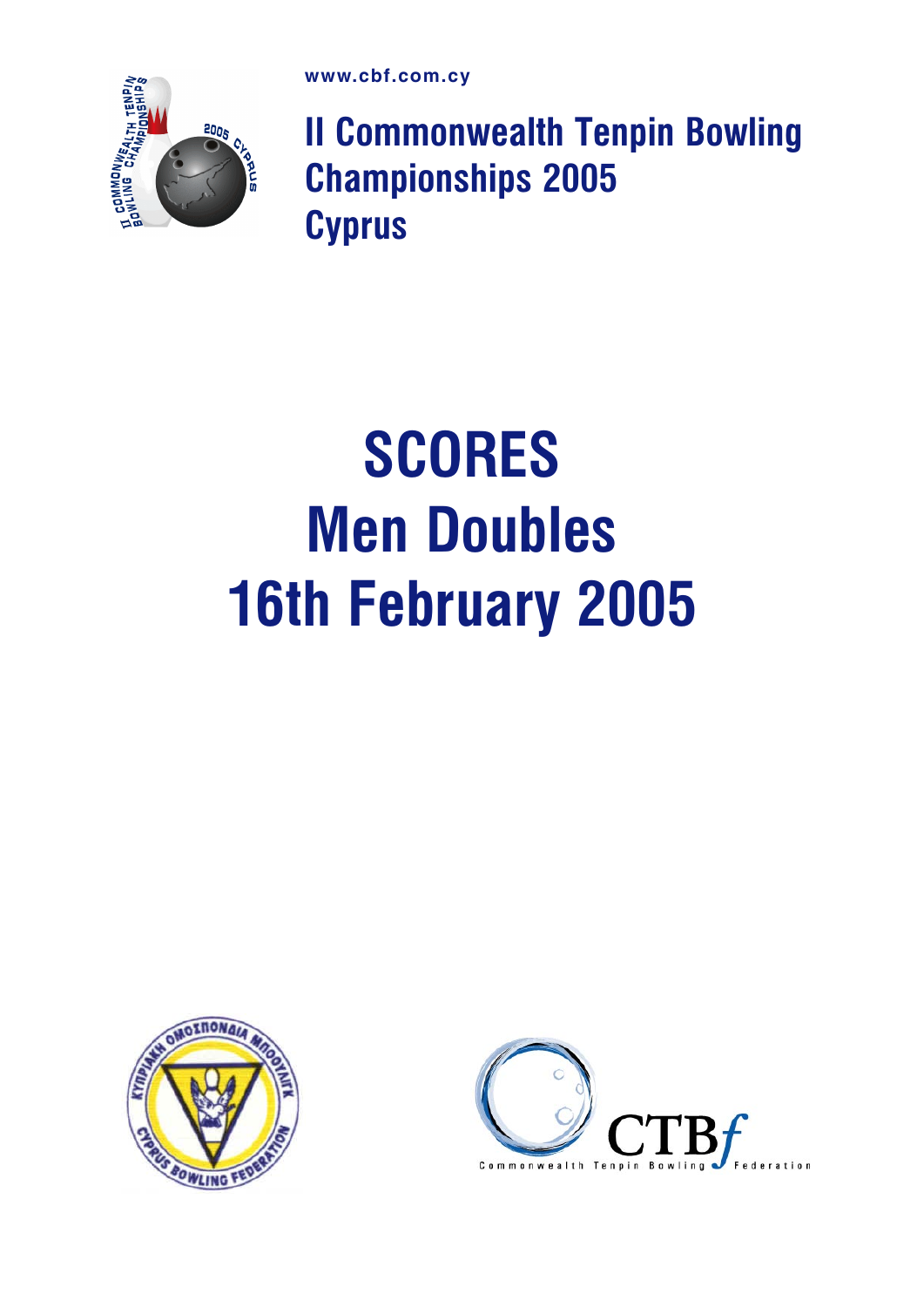

II Commonwealth Tenpin Bowling Championships 2005 **Cyprus** 

## **SCORES** Men Doubles 16th February 2005



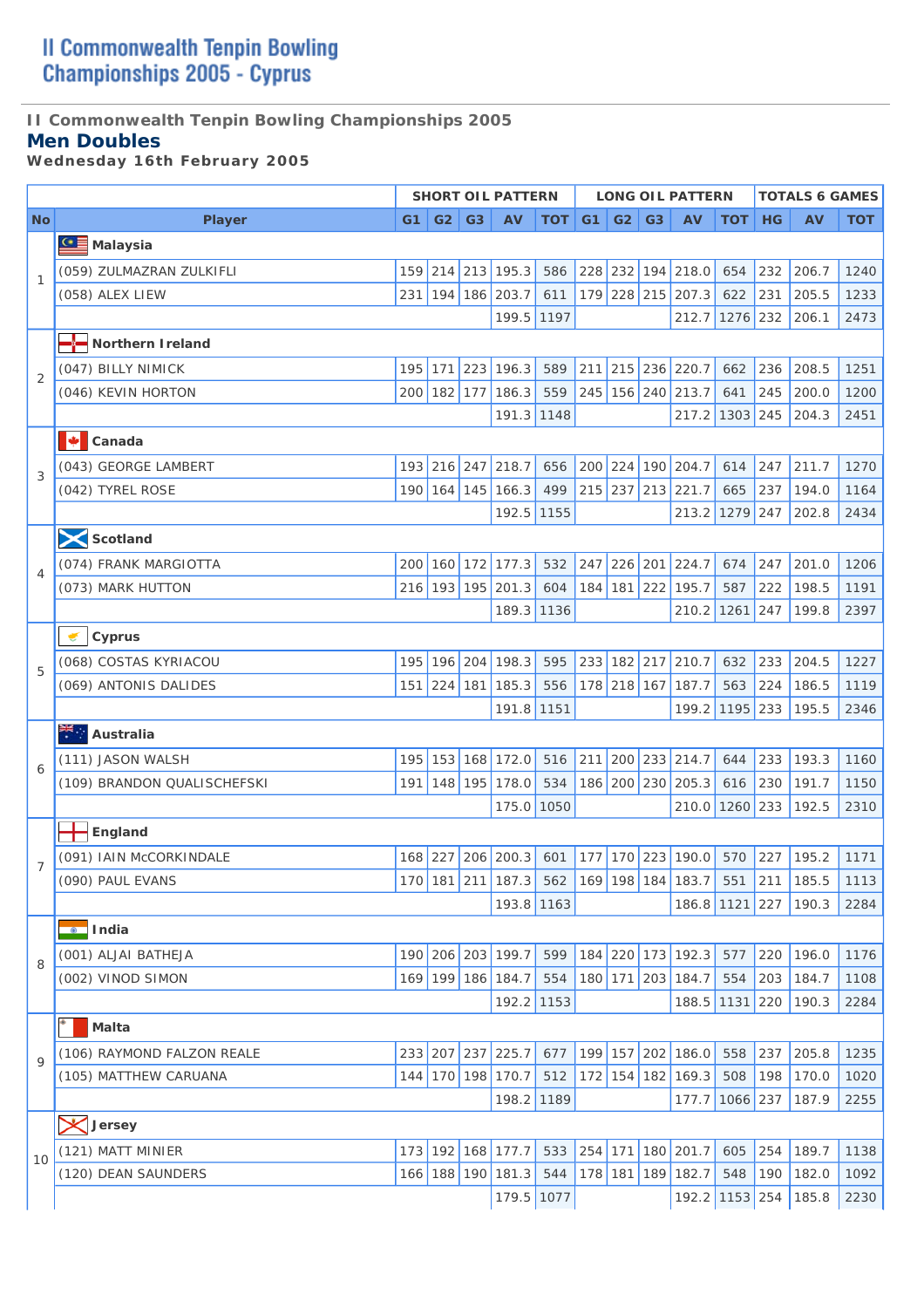## **II Commonwealth Tenpin Bowling Championships 2005**

### **Men Doubles**

*Wednesday 16th February 2005* 

|                |                             |          |             |                | <b>SHORT OIL PATTERN</b> |            |                |                |                | <b>LONG OIL PATTERN</b> |            |           | <b>TOTALS 6 GAMES</b>                                 |            |
|----------------|-----------------------------|----------|-------------|----------------|--------------------------|------------|----------------|----------------|----------------|-------------------------|------------|-----------|-------------------------------------------------------|------------|
| <b>No</b>      | <b>Player</b>               | $G1$ $ $ | G2          | G <sub>3</sub> | <b>AV</b>                | <b>TOT</b> | G <sub>1</sub> | G <sub>2</sub> | G <sub>3</sub> | <b>AV</b>               | <b>TOT</b> | HG        | <b>AV</b>                                             | <b>TOT</b> |
|                | <b>CE</b> Malaysia          |          |             |                |                          |            |                |                |                |                         |            |           |                                                       |            |
|                | (059) ZULMAZRAN ZULKIFLI    |          |             |                | 159 214 213 195.3        | 586        |                |                |                | 228 232 194 218.0       | 654        | 232       | 206.7                                                 | 1240       |
| $\mathbf{1}$   | (058) ALEX LIEW             | 231      |             |                | 194 186 203.7            | 611        |                |                |                | 179 228 215 207.3       | 622        | 231       | 205.5                                                 | 1233       |
|                |                             |          |             |                | 199.5 1197               |            |                |                |                | 212.7                   | $1276$ 232 |           | 206.1                                                 | 2473       |
|                | Northern I reland           |          |             |                |                          |            |                |                |                |                         |            |           |                                                       |            |
|                | (047) BILLY NIMICK          | 195      | 171         | 223            | 196.3                    | 589        | 211            |                |                | 215 236 220.7           | 662        | 236       | 208.5                                                 | 1251       |
| $\overline{2}$ | (046) KEVIN HORTON          |          |             |                | 200 182 177 186.3        | 559        |                |                |                | 245 156 240 213.7       | 641        | 245       | 200.0                                                 | 1200       |
|                |                             |          |             |                | 191.3 1148               |            |                |                |                | 217.2 1303 245          |            |           | 204.3                                                 | 2451       |
|                | м<br>Canada                 |          |             |                |                          |            |                |                |                |                         |            |           |                                                       |            |
|                | (043) GEORGE LAMBERT        |          | 193 216 247 |                | 218.7                    | 656        |                |                |                | 200 224 190 204.7       | 614        | 247       | 211.7                                                 | 1270       |
| 3              | (042) TYREL ROSE            |          |             |                | 190 164 145 166.3        | 499        |                |                |                | 215 237 213 221.7       | 665        | 237       | 194.0                                                 | 1164       |
|                |                             |          |             |                | 192.5 1155               |            |                |                |                | 213.2 1279 247          |            |           | 202.8                                                 | 2434       |
|                | Scotland                    |          |             |                |                          |            |                |                |                |                         |            |           |                                                       |            |
|                | (074) FRANK MARGIOTTA       | 200      |             |                | 160 172 177.3            | 532        |                |                |                | 247 226 201 224.7       | 674        | 247       | 201.0                                                 | 1206       |
| $\overline{4}$ | (073) MARK HUTTON           |          |             |                | 216 193 195 201.3        | 604        |                |                |                | 184 181 222 195.7       | 587        | 222       | 198.5                                                 | 1191       |
|                |                             |          |             |                | 189.3 1136               |            |                |                |                | 210.2                   | $1261$ 247 |           | 199.8                                                 | 2397       |
|                | Cyprus                      |          |             |                |                          |            |                |                |                |                         |            |           |                                                       |            |
|                | (068) COSTAS KYRIACOU       | 195      |             |                | 196 204 198.3            | 595        |                |                |                | 233 182 217 210.7       | 632        | 233       | 204.5                                                 | 1227       |
| 5              | (069) ANTONIS DALIDES       |          | 151 224 181 |                | 185.3                    | 556        |                | 178 218 167    |                | 187.7                   | 563        | 224       | 186.5                                                 | 1119       |
|                |                             |          |             |                | 191.8 1151               |            |                |                |                | 199.2 1195 233          |            |           | 195.5                                                 | 2346       |
|                | Australia                   |          |             |                |                          |            |                |                |                |                         |            |           |                                                       |            |
|                | (111) JASON WALSH           | 195      |             |                | 153 168 172.0            | 516        | 211            |                |                | 200 233 214.7           | 644        | 233       | 193.3                                                 | 1160       |
| 6              | (109) BRANDON QUALISCHEFSKI |          |             |                | 191 148 195 178.0        | 534        |                |                |                | 186 200 230 205.3       | 616        | 230       | 191.7                                                 | 1150       |
|                |                             |          |             |                | 175.0 1050               |            |                |                |                | 210.0                   | $1260$ 233 |           | 192.5                                                 | 2310       |
|                | England                     |          |             |                |                          |            |                |                |                |                         |            |           |                                                       |            |
|                | (091) IAIN McCORKINDALE     |          |             |                | 168 227 206 200.3        |            |                |                |                | 601 177 170 223 190.0   |            | $570$ 227 | 195.2                                                 | 1171       |
| $\overline{7}$ | (090) PAUL EVANS            |          |             |                |                          |            |                |                |                |                         |            |           | 170 181 211 187.3 562 169 198 184 183.7 551 211 185.5 | 1113       |
|                |                             |          |             |                | 193.8 1163               |            |                |                |                | 186.8 1121 227          |            |           | 190.3                                                 | 2284       |
|                | <b>O</b> lndia              |          |             |                |                          |            |                |                |                |                         |            |           |                                                       |            |
|                | (001) ALJAI BATHEJA         |          |             |                | 190 206 203 199.7        | 599        |                |                |                | 184 220 173 192.3       | 577        | 220       | 196.0                                                 | 1176       |
| 8              | (002) VINOD SIMON           |          |             |                | 169 199 186 184.7        | 554        |                |                |                | 180 171 203 184.7       | 554        | 203       | 184.7                                                 | 1108       |
|                |                             |          |             |                | 192.2 1153               |            |                |                |                | 188.5                   | $1131$ 220 |           | 190.3                                                 | 2284       |
|                | Malta                       |          |             |                |                          |            |                |                |                |                         |            |           |                                                       |            |
|                | (106) RAYMOND FALZON REALE  |          |             |                | 233 207 237 225.7        | 677        |                |                |                | 199 157 202 186.0       | 558        | 237       | 205.8                                                 | 1235       |
| $\mathsf{Q}$   | (105) MATTHEW CARUANA       | 144      |             |                | 170 198 170.7            | 512        |                |                |                | 172 154 182 169.3       | 508        | 198       | 170.0                                                 | 1020       |
|                |                             |          |             |                | 198.2 1189               |            |                |                |                | 177.7                   | 1066 237   |           | 187.9                                                 | 2255       |
|                | <b>X</b> Jersey             |          |             |                |                          |            |                |                |                |                         |            |           |                                                       |            |
|                | (121) MATT MINIER           |          |             |                | 173 192 168 177.7        | 533        |                |                |                | 254 171 180 201.7       | 605        | 254       | 189.7                                                 | 1138       |
| 10             | (120) DEAN SAUNDERS         |          |             |                | 166 188 190 181.3        | 544        |                |                |                | 178 181 189 182.7       | 548        | 190       | 182.0                                                 | 1092       |
|                |                             |          |             |                | 179.5 1077               |            |                |                |                | 192.2                   | $1153$ 254 |           | 185.8                                                 | 2230       |
|                |                             |          |             |                |                          |            |                |                |                |                         |            |           |                                                       |            |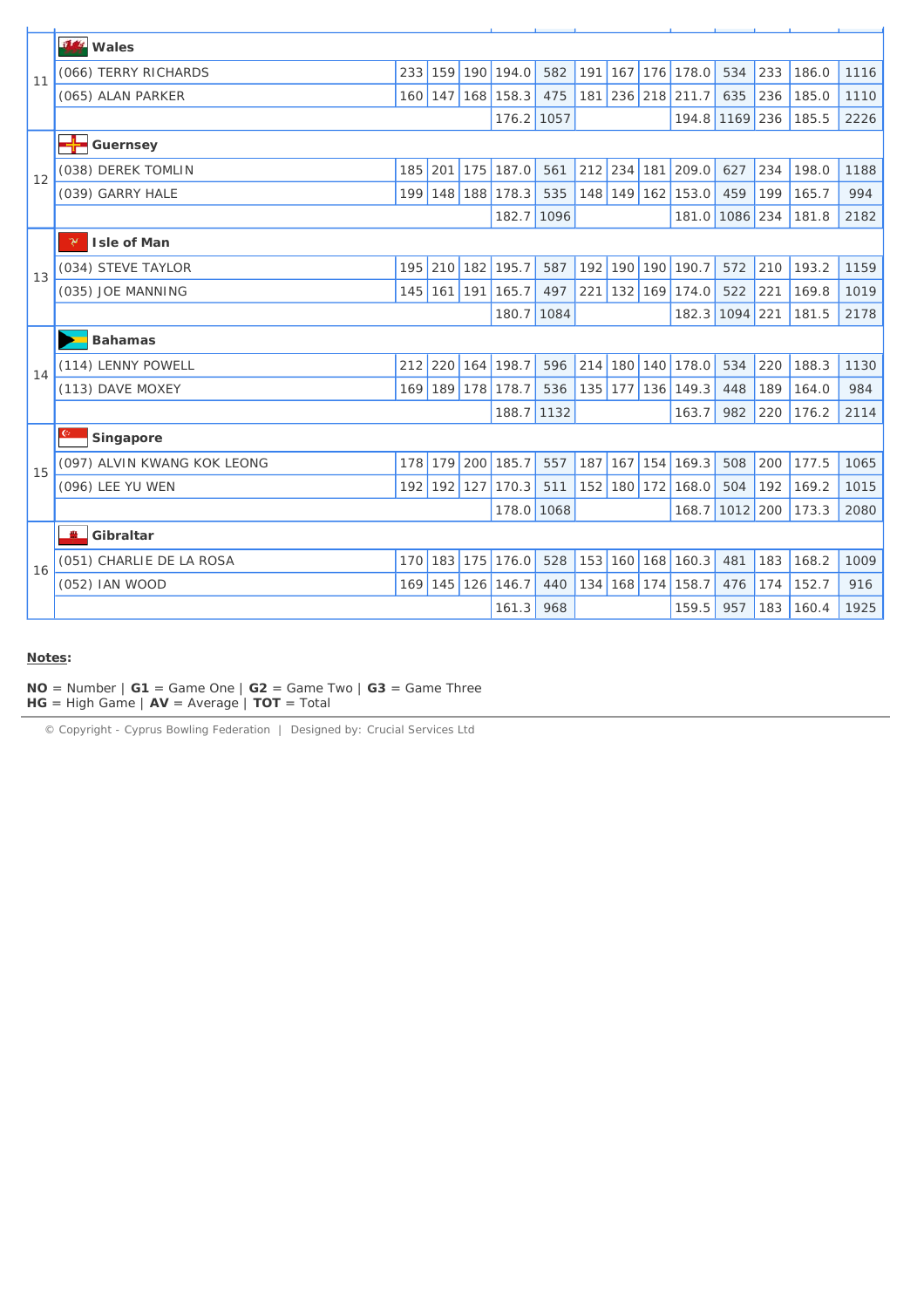|    | <b>14</b> Wales                       |                  |             |     |            |      |     |             |     |                   |            |     |       |      |
|----|---------------------------------------|------------------|-------------|-----|------------|------|-----|-------------|-----|-------------------|------------|-----|-------|------|
| 11 | (066) TERRY RICHARDS                  | 233              | 159         | 190 | 194.0      | 582  | 191 | 167         | 176 | 178.0             | 534        | 233 | 186.0 | 1116 |
|    | (065) ALAN PARKER                     | $160$ 147        |             |     | 168 158.3  | 475  | 181 |             |     | 236 218 211.7     | 635        | 236 | 185.0 | 1110 |
|    |                                       |                  |             |     | 176.2 1057 |      |     |             |     | 194.8             | 1169 236   |     | 185.5 | 2226 |
|    | <del>- <mark>⊹</mark> G</del> uernsey |                  |             |     |            |      |     |             |     |                   |            |     |       |      |
| 12 | (038) DEREK TOMLIN                    | 185              | 201         | 175 | 187.0      | 561  | 212 | 234 181     |     | 209.0             | 627        | 234 | 198.0 | 1188 |
|    | (039) GARRY HALE                      |                  | 199 148 188 |     | 178.3      | 535  |     |             |     | 148 149 162 153.0 | 459        | 199 | 165.7 | 994  |
|    |                                       |                  |             |     | 182.7      | 1096 |     |             |     | 181.0             | 1086 234   |     | 181.8 | 2182 |
|    | γ<br>Isle of Man                      |                  |             |     |            |      |     |             |     |                   |            |     |       |      |
| 13 | (034) STEVE TAYLOR                    |                  | 195 210     | 182 | 195.7      | 587  | 192 | 190 190     |     | 190.7             | 572        | 210 | 193.2 | 1159 |
|    | (035) JOE MANNING                     |                  | 145 161 191 |     | 165.7      | 497  | 221 | 132 169     |     | 174.0             | 522        | 221 | 169.8 | 1019 |
|    |                                       |                  |             |     | 180.7 1084 |      |     |             |     | 182.3             | $1094$ 221 |     | 181.5 | 2178 |
|    | <b>Bahamas</b>                        |                  |             |     |            |      |     |             |     |                   |            |     |       |      |
| 14 | (114) LENNY POWELL                    |                  | 212 220 164 |     | 198.7      | 596  | 214 |             |     | 180 140 178.0     | 534        | 220 | 188.3 | 1130 |
|    | (113) DAVE MOXEY                      |                  | 169 189 178 |     | 178.7      | 536  |     |             |     | 135 177 136 149.3 | 448        | 189 | 164.0 | 984  |
|    |                                       |                  |             |     | 188.7 1132 |      |     |             |     | 163.7             | 982        | 220 | 176.2 | 2114 |
|    | Singapore                             |                  |             |     |            |      |     |             |     |                   |            |     |       |      |
| 15 | (097) ALVIN KWANG KOK LEONG           | 178              | 179         | 200 | 185.7      | 557  | 187 | $167$ 154   |     | 169.3             | 508        | 200 | 177.5 | 1065 |
|    | (096) LEE YU WEN                      |                  | 192 192     | 127 | 170.3      | 511  |     | 152 180 172 |     | 168.0             | 504        | 192 | 169.2 | 1015 |
|    |                                       |                  |             |     | 178.0 1068 |      |     |             |     | 168.7             | $1012$ 200 |     | 173.3 | 2080 |
|    | <b>PERSONAL</b><br>Gibraltar          |                  |             |     |            |      |     |             |     |                   |            |     |       |      |
| 16 | (051) CHARLIE DE LA ROSA              | 170 <sup>1</sup> | 183 175     |     | 176.0      | 528  | 153 | 160 168     |     | 160.3             | 481        | 183 | 168.2 | 1009 |
|    | (052) IAN WOOD                        |                  | $169$ 145   | 126 | 146.7      | 440  | 134 | 168 174     |     | 158.7             | 476        | 174 | 152.7 | 916  |
|    |                                       |                  |             |     | 161.3      | 968  |     |             |     | 159.5             | 957        | 183 | 160.4 | 1925 |
|    |                                       |                  |             |     |            |      |     |             |     |                   |            |     |       |      |

#### **Notes:**

**NO** = Number  $|$  **G1** = Game One  $|$  **G2** = Game Two  $|$  **G3** = Game Three **HG** = High Game | **AV** = Average | **TOT** = Total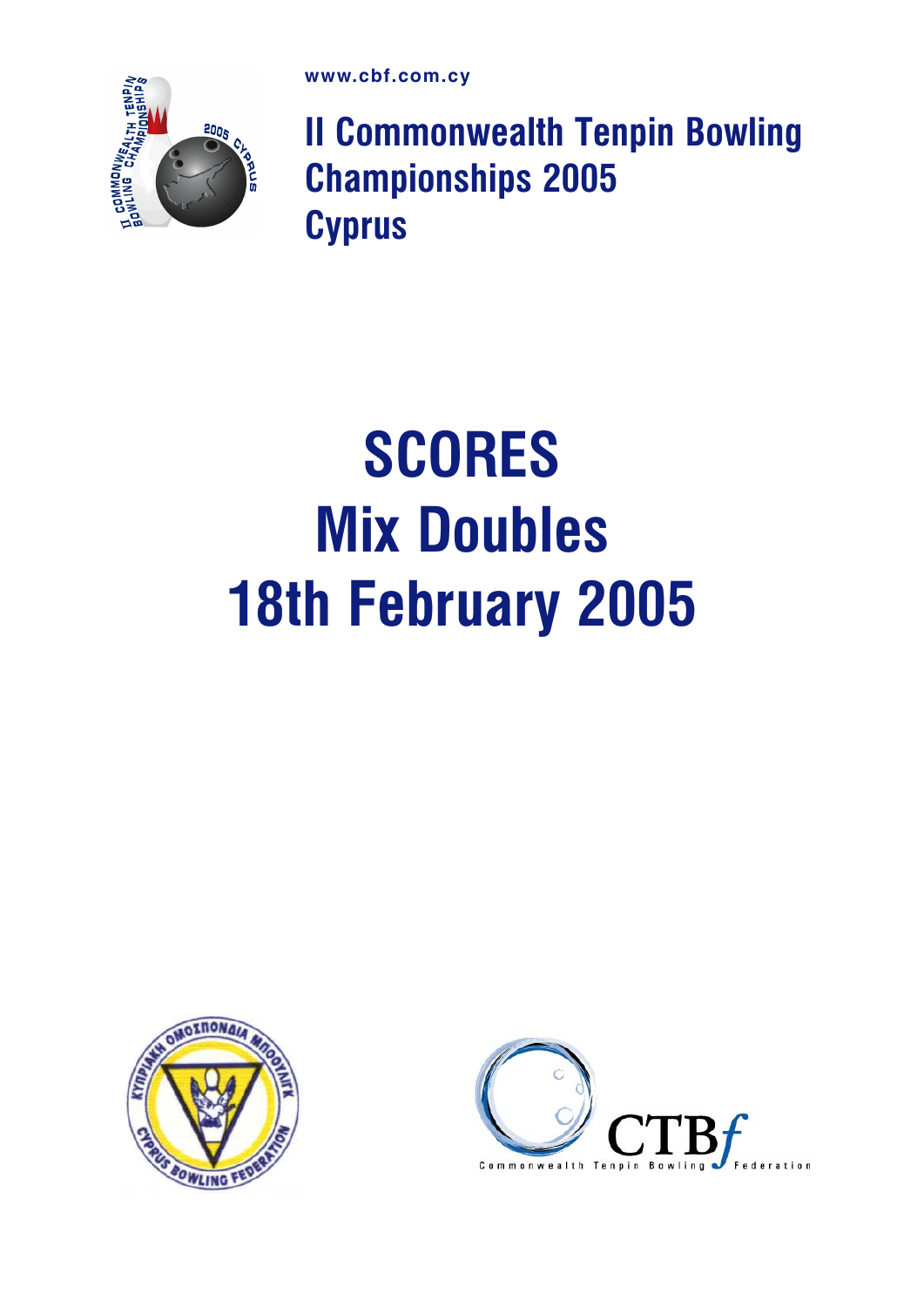

II Commonwealth Tenpin Bowling Championships 2005 **Cyprus** 

## **SCORES** Mix Doubles 18th February 2005



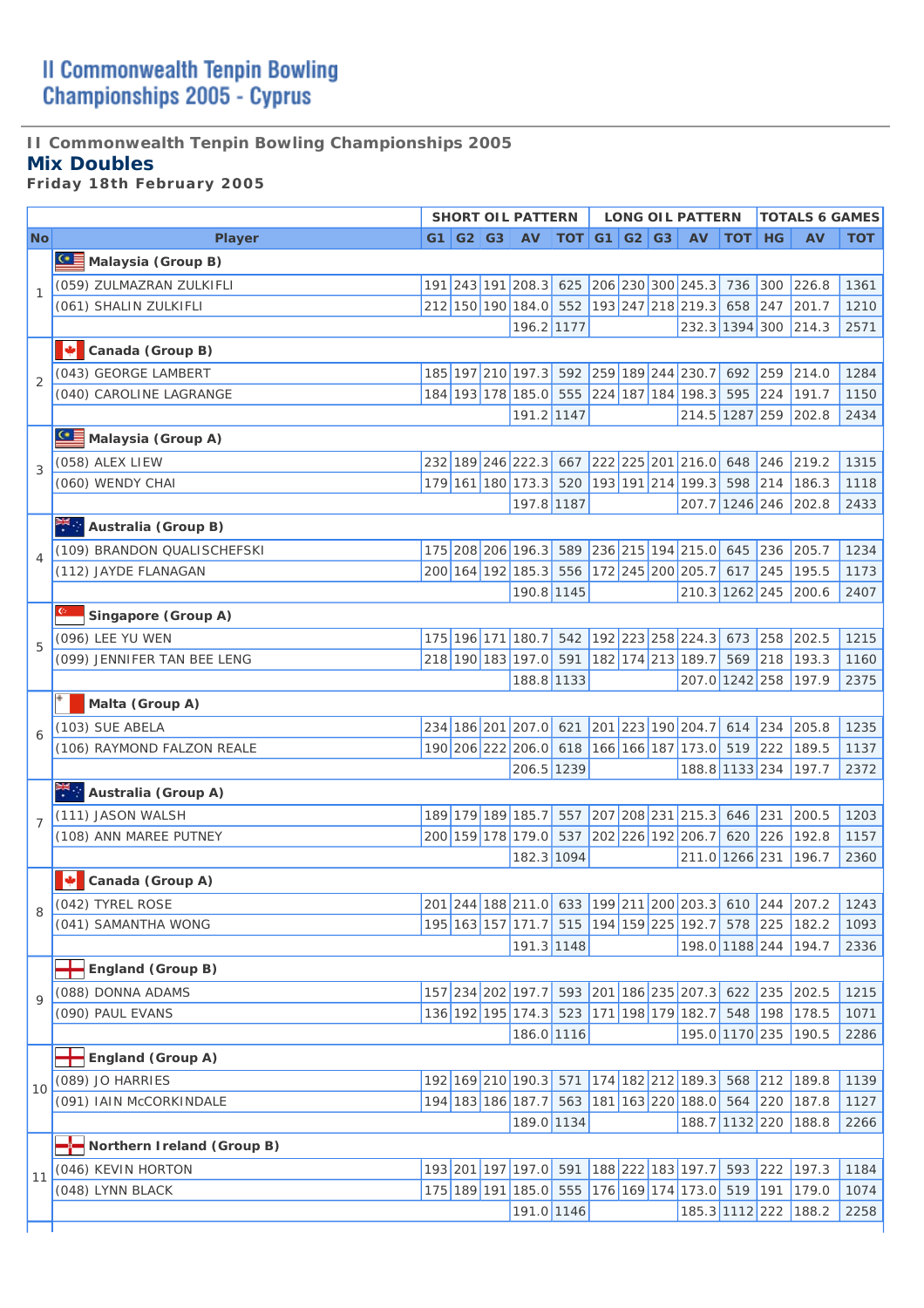## **II Commonwealth Tenpin Bowling Championships 2005**

### **Mix Doubles**

*Friday 18th February 2005* 

|                |                             |  | <b>SHORT OIL PATTERN</b>                                 |                |  | <b>LONG OIL PATTERN</b>                     |        |     | <b>TOTALS 6 GAMES</b>                                 |            |
|----------------|-----------------------------|--|----------------------------------------------------------|----------------|--|---------------------------------------------|--------|-----|-------------------------------------------------------|------------|
| <b>No</b>      | <b>Player</b>               |  | G1   G2   G3   AV                                        | $TOT$ G1 G2 G3 |  | <b>AV</b>                                   | TOT HG |     | <b>AV</b>                                             | <b>TOT</b> |
|                | Malaysia (Group B)          |  |                                                          |                |  |                                             |        |     |                                                       |            |
| 1              | (059) ZULMAZRAN ZULKIFLI    |  | 191 243 191 208.3                                        | 625            |  | 206 230 300 245.3 736                       |        | 300 | 226.8                                                 | 1361       |
|                | (061) SHALIN ZULKIFLI       |  | 212 150 190 184.0 552                                    |                |  | 193 247 218 219.3 658                       |        | 247 | 201.7                                                 | 1210       |
|                |                             |  | 196.2 1177                                               |                |  | 232.3 1394 300                              |        |     | 214.3                                                 | 2571       |
|                | Canada (Group B)            |  |                                                          |                |  |                                             |        |     |                                                       |            |
| $\overline{2}$ | (043) GEORGE LAMBERT        |  |                                                          |                |  | 185 197 210 197.3 592 259 189 244 230.7     | 692    | 259 | 214.0                                                 | 1284       |
|                | (040) CAROLINE LAGRANGE     |  | 184 193 178 185.0 555                                    |                |  | 224 187 184 198.3                           | 595    | 224 | 191.7                                                 | 1150       |
|                |                             |  | 191.2 1147                                               |                |  | 214.5 1287 259                              |        |     | 202.8                                                 | 2434       |
|                | Malaysia (Group A)          |  |                                                          |                |  |                                             |        |     |                                                       |            |
| 3              | (058) ALEX LIEW             |  |                                                          |                |  | 232 189 246 222.3 667 222 225 201 216.0 648 |        | 246 | 219.2                                                 | 1315       |
|                | (060) WENDY CHAI            |  | 179 161 180 173.3                                        | 520            |  | 193 191 214 199.3 598                       |        | 214 | 186.3                                                 | 1118       |
|                |                             |  | 197.8 1187                                               |                |  | 207.7 1246 246                              |        |     | 202.8                                                 | 2433       |
|                | Australia (Group B)         |  |                                                          |                |  |                                             |        |     |                                                       |            |
| 4              | (109) BRANDON QUALISCHEFSKI |  | 175 208 206 196.3                                        |                |  | 589 236 215 194 215.0 645                   |        | 236 | 205.7                                                 | 1234       |
|                | (112) JAYDE FLANAGAN        |  | 200 164 192 185.3                                        | 556            |  | 172 245 200 205.7 617                       |        | 245 | 195.5                                                 | 1173       |
|                |                             |  | 190.8 1145                                               |                |  | 210.3 1262 245                              |        |     | 200.6                                                 | 2407       |
|                | Singapore (Group A)         |  |                                                          |                |  |                                             |        |     |                                                       |            |
| 5              | (096) LEE YU WEN            |  | 175 196 171 180.7                                        | 542            |  | 192 223 258 224.3 673 258                   |        |     | 202.5                                                 | 1215       |
|                | (099) JENNIFER TAN BEE LENG |  | 218 190 183 197.0 591                                    |                |  | 182 174 213 189.7 569                       |        | 218 | 193.3                                                 | 1160       |
|                |                             |  | 188.8 1133                                               |                |  | 207.0 1242 258                              |        |     | 197.9                                                 | 2375       |
|                | Malta (Group A)             |  |                                                          |                |  |                                             |        |     |                                                       |            |
| 6              | (103) SUE ABELA             |  | 234 186 201 207.0                                        | 621            |  | 201 223 190 204.7                           | 614    | 234 | 205.8                                                 | 1235       |
|                | (106) RAYMOND FALZON REALE  |  | 190 206 222 206.0                                        | 618            |  | 166 166 187 173.0 519                       |        | 222 | 189.5                                                 | 1137       |
|                |                             |  | 206.5 1239                                               |                |  | 188.8 1133 234                              |        |     | 197.7                                                 | 2372       |
|                | Australia (Group A)         |  |                                                          |                |  |                                             |        |     |                                                       |            |
| $\overline{7}$ | (111) JASON WALSH           |  | 189 179 189 185.7                                        | 557            |  | 207 208 231 215.3 646                       |        | 231 | 200.5                                                 | 1203       |
|                | (108) ANN MAREE PUTNEY      |  | 200 159 178 179.0                                        | 537            |  | 202 226 192 206.7                           | 620    | 226 | 192.8                                                 | 1157       |
|                |                             |  | 182.3 1094                                               |                |  | 211.0 1266 231                              |        |     | 196.7                                                 | 2360       |
|                | Canada (Group A)            |  |                                                          |                |  |                                             |        |     |                                                       |            |
|                | (042) TYREL ROSE            |  |                                                          |                |  |                                             |        |     | 201 244 188 211.0 633 199 211 200 203.3 610 244 207.2 | 1243       |
|                | (041) SAMANTHA WONG         |  | 195 <sup> </sup> 163 <sup> </sup> 157 <sup> </sup> 171.7 | 515            |  | 194 159 225 192.7                           | 578    | 225 | 182.2                                                 | 1093       |
|                |                             |  | 191.3 1148                                               |                |  | 198.0 1188 244                              |        |     | 194.7                                                 | 2336       |
|                | England (Group B)           |  |                                                          |                |  |                                             |        |     |                                                       |            |
| $\mathsf Q$    | (088) DONNA ADAMS           |  | 157 234 202 197.7                                        | 593            |  | 201 186 235 207.3 622                       |        | 235 | 202.5                                                 | 1215       |
|                | (090) PAUL EVANS            |  | 136 192 195 174.3 523                                    |                |  | 171 198 179 182.7                           | 548    | 198 | 178.5                                                 | 1071       |
|                |                             |  | 186.0 1116                                               |                |  | 195.0 1170 235                              |        |     | 190.5                                                 | 2286       |
|                | England (Group A)           |  |                                                          |                |  |                                             |        |     |                                                       |            |
| 10             | (089) JO HARRIES            |  | 192 169 210 190.3 571                                    |                |  | 174 182 212 189.3 568                       |        | 212 | 189.8                                                 | 1139       |
|                | (091) IAIN McCORKINDALE     |  | 194 183 186 187.7                                        | 563            |  | 181 163 220 188.0 564                       |        | 220 | 187.8                                                 | 1127       |
|                |                             |  | 189.0 1134                                               |                |  | 188.7 1132 220                              |        |     | 188.8                                                 | 2266       |
|                | Northern Ireland (Group B)  |  |                                                          |                |  |                                             |        |     |                                                       |            |
| 11             | (046) KEVIN HORTON          |  | 193 201 197 197.0 591                                    |                |  | 188 222 183 197.7 593 222                   |        |     | 197.3                                                 | 1184       |
|                | (048) LYNN BLACK            |  | 175 189 191 185.0 555                                    |                |  | 176 169 174 173.0 519                       |        | 191 | 179.0                                                 | 1074       |
|                |                             |  | 191.0 1146                                               |                |  | 185.3 1112 222                              |        |     | 188.2                                                 | 2258       |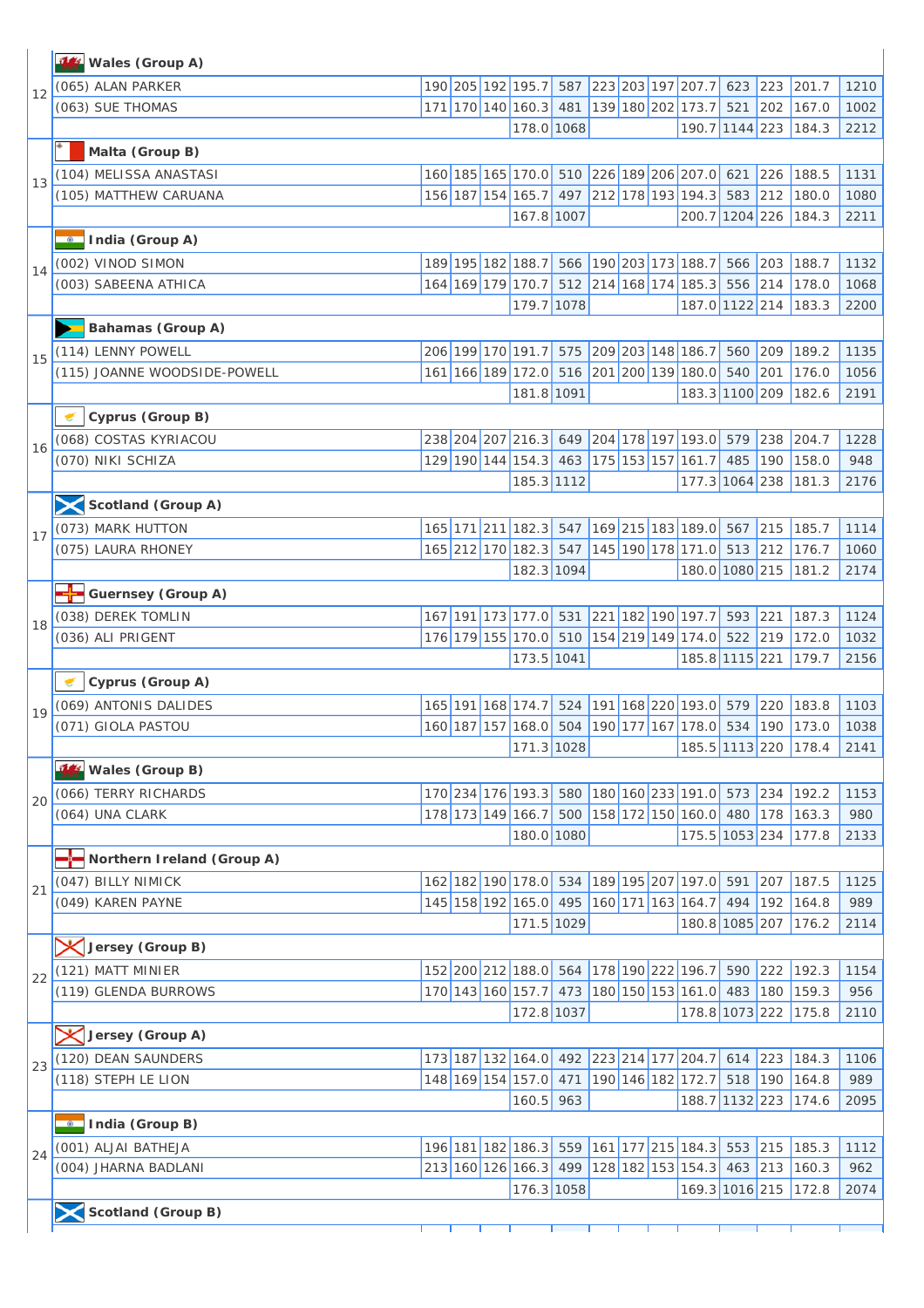|    | Wales (Group A)              |  |                                                 |     |  |                               |           |     |                                 |              |
|----|------------------------------|--|-------------------------------------------------|-----|--|-------------------------------|-----------|-----|---------------------------------|--------------|
| 12 | (065) ALAN PARKER            |  | 190 205 192 195.7                               | 587 |  | 223 203 197 207.7             | 623       | 223 | 201.7                           | 1210         |
|    | (063) SUE THOMAS             |  | 171 170 140 160.3                               | 481 |  | 139 180 202 173.7             | 521       | 202 | 167.0                           | 1002         |
|    |                              |  | 178.0 1068                                      |     |  | 190.7 1144 223                |           |     | 184.3                           | 2212         |
|    | Malta (Group B)              |  |                                                 |     |  |                               |           |     |                                 |              |
|    | (104) MELISSA ANASTASI       |  | 160 185 165 170.0 510 226 189 206 207.0 621     |     |  |                               |           | 226 | 188.5                           | 1131         |
| 13 | (105) MATTHEW CARUANA        |  | 156 187 154 165.7                               | 497 |  | 212 178 193 194.3             | 583       | 212 | 180.0                           | 1080         |
|    |                              |  | 167.8 1007                                      |     |  | 200.7 1204 226                |           |     | 184.3                           | 2211         |
|    | India (Group A)              |  |                                                 |     |  |                               |           |     |                                 |              |
|    | (002) VINOD SIMON            |  | 189 195 182 188.7 566 190 203 173 188.7         |     |  |                               | 566       | 203 | 188.7                           | 1132         |
| 14 | (003) SABEENA ATHICA         |  | 164 169 179 170.7                               |     |  | 512 214 168 174 185.3         | 556       | 214 | 178.0                           | 1068         |
|    |                              |  | 179.7 1078                                      |     |  | 187.0 1122 214                |           |     | 183.3                           | 2200         |
|    | <b>Bahamas (Group A)</b>     |  |                                                 |     |  |                               |           |     |                                 |              |
|    | (114) LENNY POWELL           |  | 206 199 170 191.7 575 209 203 148 186.7         |     |  |                               | 560       | 209 | 189.2                           | 1135         |
| 15 | (115) JOANNE WOODSIDE-POWELL |  | 161 166 189 172.0 516 201 200 139 180.0         |     |  |                               | 540       | 201 | 176.0                           | 1056         |
|    |                              |  | 181.8 1091                                      |     |  | 183.3 1100 209                |           |     | 182.6                           | 2191         |
|    | Cyprus (Group B)             |  |                                                 |     |  |                               |           |     |                                 |              |
|    | (068) COSTAS KYRIACOU        |  | 238 204 207 216.3 649 204 178 197 193.0         |     |  |                               | 579       | 238 | 204.7                           | 1228         |
| 16 | (070) NIKI SCHIZA            |  | 129 190 144 154.3 463 175 153 157 161.7         |     |  |                               | 485       | 190 | 158.0                           | 948          |
|    |                              |  | 185.3 1112                                      |     |  | 177.3 1064 238                |           |     | 181.3                           | 2176         |
|    | Scotland (Group A)           |  |                                                 |     |  |                               |           |     |                                 |              |
|    |                              |  | 165 171 211 182.3 547 169 215 183 189.0 567 215 |     |  |                               |           |     |                                 |              |
| 17 | (073) MARK HUTTON            |  | 165 212 170 182.3 547                           |     |  | 145 190 178 171.0 513 212     |           |     | 185.7                           | 1114         |
|    | (075) LAURA RHONEY           |  | 182.3 1094                                      |     |  | 180.0 1080 215                |           |     | 176.7<br>181.2                  | 1060<br>2174 |
|    |                              |  |                                                 |     |  |                               |           |     |                                 |              |
|    | <b>Guernsey (Group A)</b>    |  |                                                 |     |  |                               |           |     |                                 |              |
| 18 | (038) DEREK TOMLIN           |  | 167 191 173 177.0 531 221 182 190 197.7         |     |  |                               | 593       | 221 | 187.3                           | 1124         |
|    | (036) ALI PRIGENT            |  | 176 179 155 170.0 510                           |     |  | 154 219 149 174.0             | $522$ 219 |     | 172.0                           | 1032         |
|    |                              |  | 173.5 1041                                      |     |  | 185.8 1115 221                |           |     | 179.7                           | 2156         |
|    | Cyprus (Group A)             |  |                                                 |     |  |                               |           |     |                                 |              |
| 19 | (069) ANTONIS DALIDES        |  | 165 191 168 174.7                               |     |  | 524 191 168 220 193.0 579 220 |           |     | 183.8                           | 1103         |
|    | (071) GIOLA PASTOU           |  | 160 187 157 168.0 504                           |     |  |                               |           |     | 190 177 167 178.0 534 190 173.0 | 1038         |
|    | 744                          |  | 171.3 1028                                      |     |  |                               |           |     | 185.5 1113 220 178.4 2141       |              |
|    | Wales (Group B)              |  |                                                 |     |  |                               |           |     |                                 |              |
| 20 | (066) TERRY RICHARDS         |  | 170 234 176 193.3 580 180 160 233 191.0 573     |     |  |                               |           | 234 | 192.2                           | 1153         |
|    | (064) UNA CLARK              |  | 178 173 149 166.7 500 158 172 150 160.0 480     |     |  |                               |           | 178 | 163.3                           | 980          |
|    |                              |  | 180.0 1080                                      |     |  | 175.5 1053 234                |           |     | 177.8                           | 2133         |
|    | Northern Ireland (Group A)   |  |                                                 |     |  |                               |           |     |                                 |              |
| 21 | (047) BILLY NIMICK           |  | 162 182 190 178.0 534                           |     |  | 189 195 207 197.0 591         |           | 207 | 187.5                           | 1125         |
|    | (049) KAREN PAYNE            |  | 145 158 192 165.0 495<br>171.5 1029             |     |  | 160 171 163 164.7             | 494       | 192 | 164.8<br>180.8 1085 207 176.2   | 989          |
|    |                              |  |                                                 |     |  |                               |           |     |                                 | 2114         |
|    | Jersey (Group B)             |  |                                                 |     |  |                               |           |     |                                 |              |
| 22 | (121) MATT MINIER            |  | 152 200 212 188.0 564 178 190 222 196.7         |     |  |                               | 590       | 222 | 192.3                           | 1154         |
|    | (119) GLENDA BURROWS         |  | 170 143 160 157.7 473                           |     |  | 180 150 153 161.0 483         |           | 180 | 159.3                           | 956          |
|    |                              |  | 172.8 1037                                      |     |  | 178.8 1073 222                |           |     | 175.8                           | 2110         |
|    | Uersey (Group A)             |  |                                                 |     |  |                               |           |     |                                 |              |
| 23 | (120) DEAN SAUNDERS          |  | 173 187 132 164.0 492 223 214 177 204.7 614 223 |     |  |                               |           |     | 184.3                           | 1106         |
|    | (118) STEPH LE LION          |  | 148 169 154 157.0 471                           |     |  | 190 146 182 172.7 518 190     |           |     | 164.8                           | 989          |
|    |                              |  | 160.5                                           | 963 |  | 188.7 1132 223                |           |     | 174.6                           | 2095         |
|    | India (Group B)              |  |                                                 |     |  |                               |           |     |                                 |              |
| 24 | (001) ALJAI BATHEJA          |  | 196 181 182 186.3 559                           |     |  | 161 177 215 184.3 553         |           | 215 | 185.3                           | 1112         |
|    | (004) JHARNA BADLANI         |  | 213 160 126 166.3 499                           |     |  | 128 182 153 154.3 463 213     |           |     | 160.3                           | 962          |
|    |                              |  | 176.3 1058                                      |     |  | 169.3 1016 215                |           |     | 172.8                           | 2074         |
|    | Scotland (Group B)           |  |                                                 |     |  |                               |           |     |                                 |              |
|    |                              |  |                                                 |     |  |                               |           |     |                                 |              |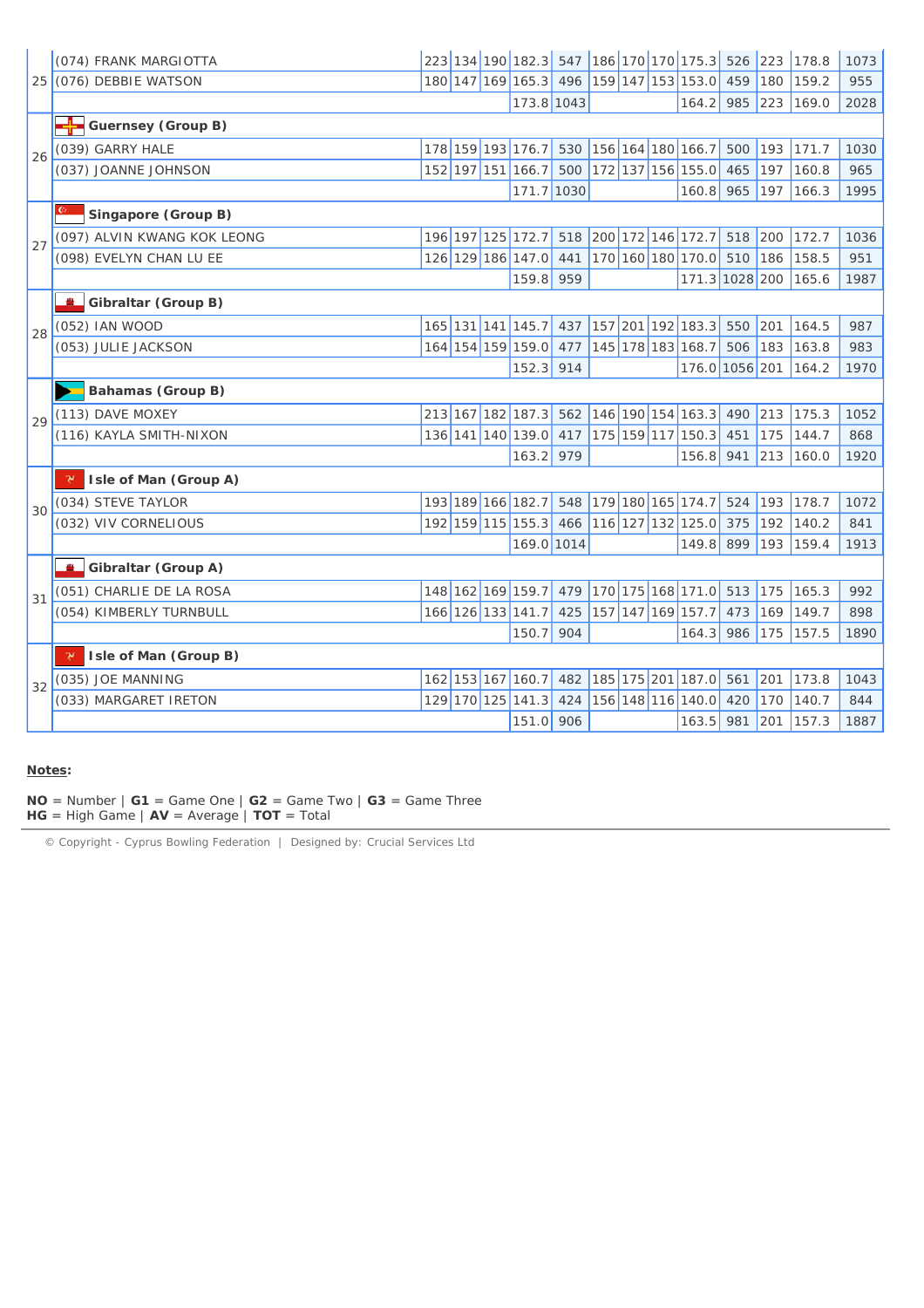|    | (074) FRANK MARGIOTTA       |  |                   |     |  | 223 134 190 182.3 547 186 170 170 175.3 526 223 |     |     | 178.8 | 1073 |
|----|-----------------------------|--|-------------------|-----|--|-------------------------------------------------|-----|-----|-------|------|
|    | 25 (076) DEBBIE WATSON      |  |                   |     |  | 180 147 169 165.3 496 159 147 153 153.0         | 459 | 180 | 159.2 | 955  |
|    |                             |  | 173.8 1043        |     |  | 164.2                                           | 985 | 223 | 169.0 | 2028 |
|    | Guernsey (Group B)          |  |                   |     |  |                                                 |     |     |       |      |
| 26 | (039) GARRY HALE            |  | 178 159 193 176.7 |     |  | 530 156 164 180 166.7                           | 500 | 193 | 171.7 | 1030 |
|    | (037) JOANNE JOHNSON        |  | 152 197 151 166.7 | 500 |  | 172 137 156 155.0                               | 465 | 197 | 160.8 | 965  |
|    |                             |  | 171.7 1030        |     |  | 160.8 965                                       |     | 197 | 166.3 | 1995 |
|    | Singapore (Group B)         |  |                   |     |  |                                                 |     |     |       |      |
| 27 | (097) ALVIN KWANG KOK LEONG |  | 196 197 125 172.7 | 518 |  | 200 172 146 172.7                               | 518 | 200 | 172.7 | 1036 |
|    | (098) EVELYN CHAN LU EE     |  | 126 129 186 147.0 | 441 |  | 170 160 180 170.0 510                           |     | 186 | 158.5 | 951  |
|    |                             |  | 159.8             | 959 |  | 171.3 1028 200                                  |     |     | 165.6 | 1987 |
|    | Gibraltar (Group B)         |  |                   |     |  |                                                 |     |     |       |      |
| 28 | (052) IAN WOOD              |  | 165 131 141 145.7 | 437 |  | 157 201 192 183.3                               | 550 | 201 | 164.5 | 987  |
|    | (053) JULIE JACKSON         |  | 164 154 159 159.0 | 477 |  | 145 178 183 168.7                               | 506 | 183 | 163.8 | 983  |
|    |                             |  | 152.3             | 914 |  | 176.0 1056 201                                  |     |     | 164.2 | 1970 |
|    | Bahamas (Group B)           |  |                   |     |  |                                                 |     |     |       |      |
| 29 | (113) DAVE MOXEY            |  | 213 167 182 187.3 | 562 |  | 146 190 154 163.3                               | 490 | 213 | 175.3 | 1052 |
|    | (116) KAYLA SMITH-NIXON     |  | 136 141 140 139.0 | 417 |  | 175 159 117 150.3                               | 451 | 175 | 144.7 | 868  |
|    |                             |  | 163.2             | 979 |  | 156.8                                           | 941 | 213 | 160.0 | 1920 |
|    | Isle of Man (Group A)<br>γ  |  |                   |     |  |                                                 |     |     |       |      |
| 30 | (034) STEVE TAYLOR          |  | 193 189 166 182.7 |     |  | 548 179 180 165 174.7                           | 524 | 193 | 178.7 | 1072 |
|    | (032) VIV CORNELIOUS        |  | 192 159 115 155.3 | 466 |  | 116 127 132 125.0                               | 375 | 192 | 140.2 | 841  |
|    |                             |  | 169.0 1014        |     |  | 149.8                                           | 899 | 193 | 159.4 | 1913 |
|    | Gibraltar (Group A)         |  |                   |     |  |                                                 |     |     |       |      |
| 31 | (051) CHARLIE DE LA ROSA    |  | 148 162 169 159.7 | 479 |  | 170 175 168 171.0 513                           |     | 175 | 165.3 | 992  |
|    | (054) KIMBERLY TURNBULL     |  | 166 126 133 141.7 | 425 |  | 157 147 169 157.7                               | 473 | 169 | 149.7 | 898  |
|    |                             |  | 150.7             | 904 |  | 164.3                                           | 986 | 175 | 157.5 | 1890 |
|    | Isle of Man (Group B)       |  |                   |     |  |                                                 |     |     |       |      |
| 32 | (035) JOE MANNING           |  | 162 153 167 160.7 | 482 |  | 185 175 201 187.0 561                           |     | 201 | 173.8 | 1043 |
|    | (033) MARGARET IRETON       |  | 129 170 125 141.3 | 424 |  | 156 148 116 140.0                               | 420 | 170 | 140.7 | 844  |
|    |                             |  | 151.0             | 906 |  | 163.5                                           | 981 | 201 | 157.3 | 1887 |

#### **Notes:**

**NO** = Number  $|G1| = Game One$   $|G2| = Game Two$   $|G3| = Game Three$ **HG** = High Game | **AV** = Average | **TOT** = Total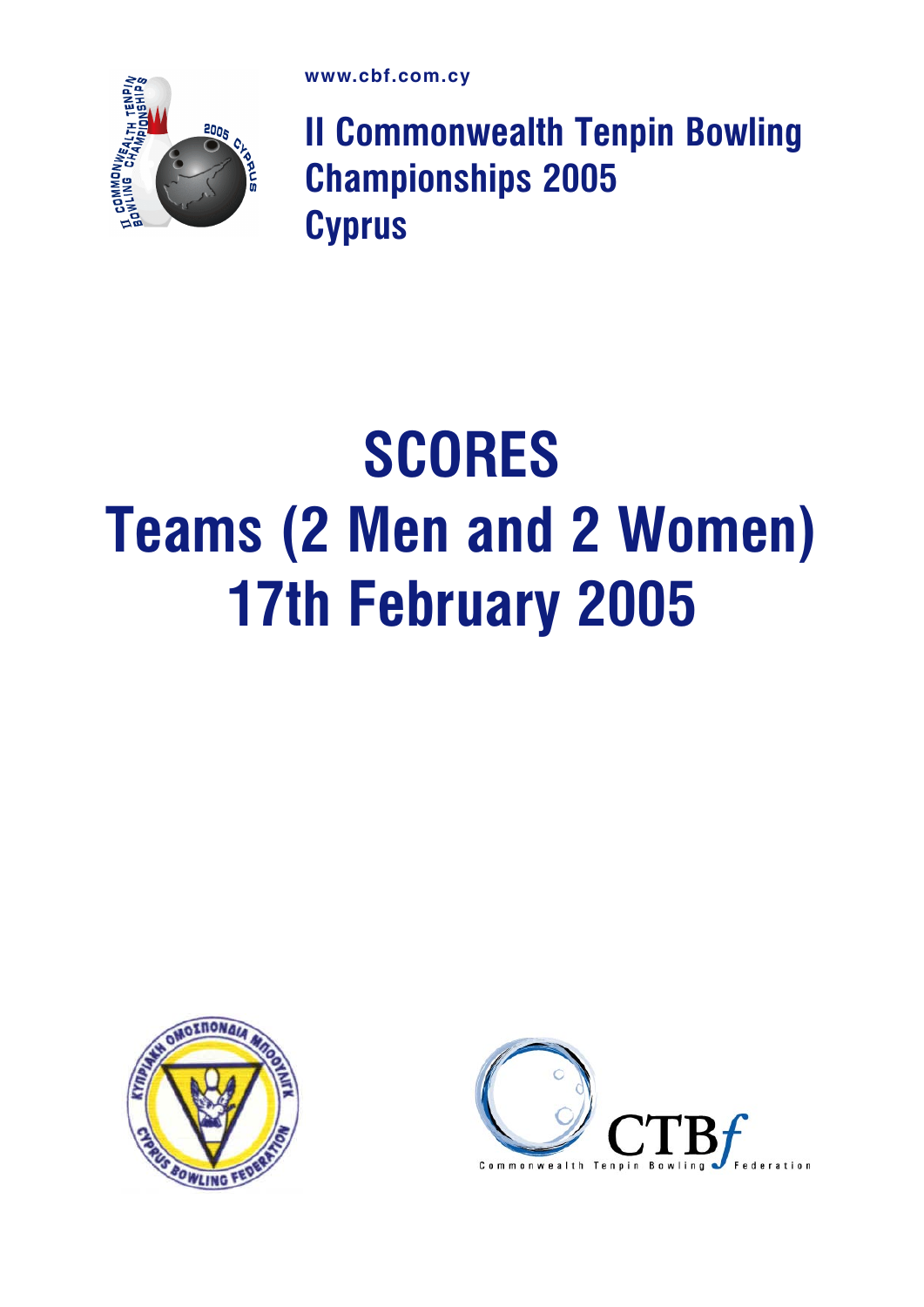

II Commonwealth Tenpin Bowling Championships 2005 **Cyprus** 

# **SCORES** Teams (2 Men and 2 Women) 17th February 2005



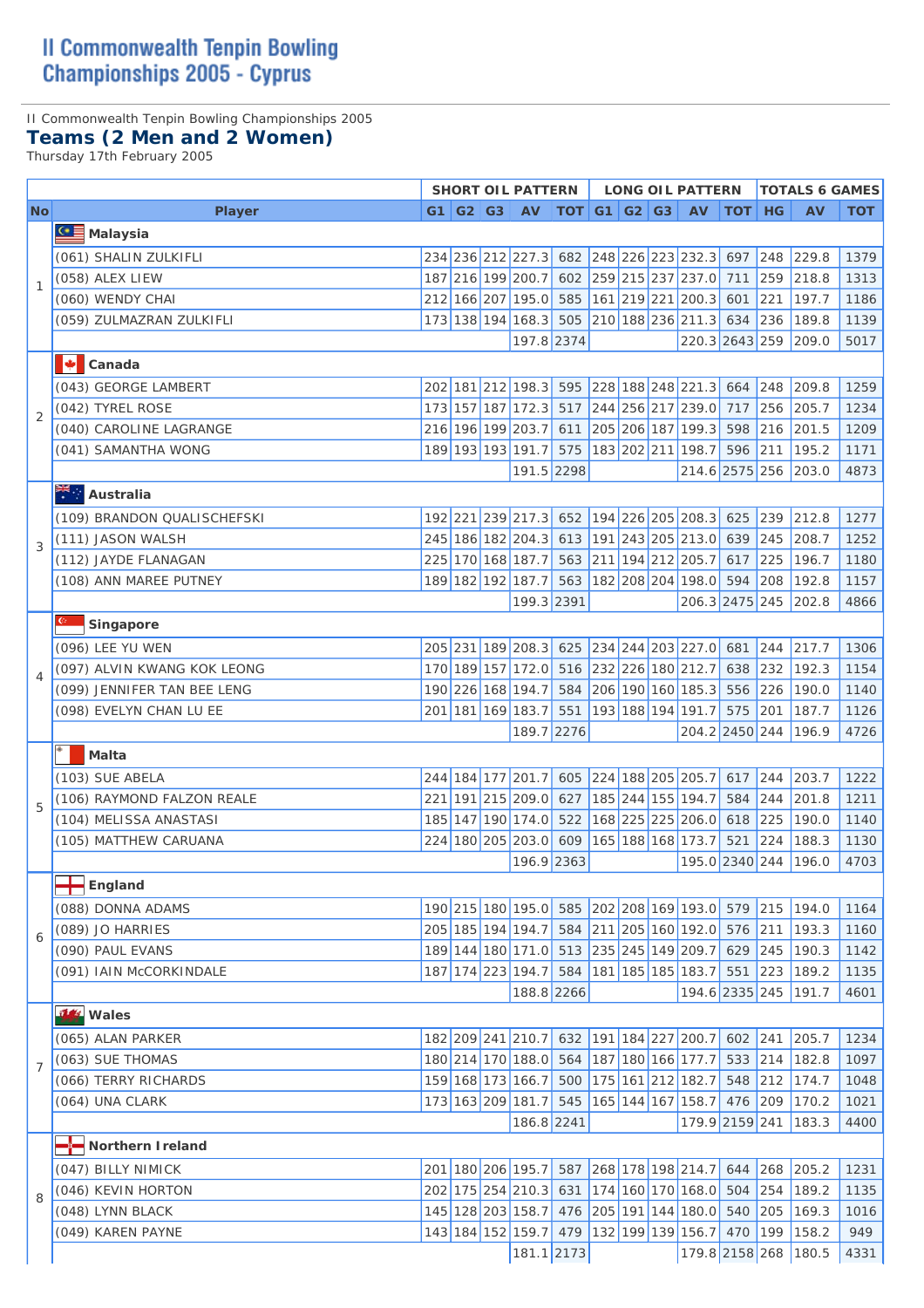### II Commonwealth Tenpin Bowling Championships 2005

### **Teams (2 Men and 2 Women)**

Thursday 17th February 2005

|                          |                             |      |  | <b>SHORT OIL PATTERN</b> |                                                      |  | <b>LONG OIL PATTERN</b>                         |               |               | <b>TOTALS 6 GAMES</b> |              |
|--------------------------|-----------------------------|------|--|--------------------------|------------------------------------------------------|--|-------------------------------------------------|---------------|---------------|-----------------------|--------------|
| <b>No</b>                | <b>Player</b>               |      |  | G1   G2   G3   AV        | $\vert$ TOT $\vert$ G1 $\vert$ G2 $\vert$ G3 $\vert$ |  | <b>AV</b>                                       | <b>TOT HG</b> |               | <b>AV</b>             | <b>TOT</b>   |
|                          | <b>GE</b> Malaysia          |      |  |                          |                                                      |  |                                                 |               |               |                       |              |
|                          | (061) SHALIN ZULKIFLI       |      |  |                          |                                                      |  | 234 236 212 227.3 682 248 226 223 232.3 697 248 |               |               | 229.8                 | 1379         |
|                          | (058) ALEX LIEW             |      |  | 187 216 199 200.7        |                                                      |  | 602 259 215 237 237.0 711                       |               | 259           | 218.8                 | 1313         |
| $\mathbf{1}$             | (060) WENDY CHAI            |      |  |                          |                                                      |  | 212 166 207 195.0 585 161 219 221 200.3 601 221 |               |               | 197.7                 | 1186         |
|                          | (059) ZULMAZRAN ZULKIFLI    |      |  |                          |                                                      |  | 173 138 194 168.3 505 210 188 236 211.3 634 236 |               |               | 189.8                 | 1139         |
|                          |                             |      |  | 197.8 2374               |                                                      |  |                                                 |               |               | 220.3 2643 259 209.0  | 5017         |
|                          | И<br>Canada                 |      |  |                          |                                                      |  |                                                 |               |               |                       |              |
|                          | (043) GEORGE LAMBERT        |      |  |                          |                                                      |  | 202 181 212 198.3 595 228 188 248 221.3 664 248 |               |               | 209.8                 |              |
|                          | (042) TYREL ROSE            |      |  |                          |                                                      |  | 173 157 187 172.3 517 244 256 217 239.0 717     |               | 256           | 205.7                 | 1259<br>1234 |
| $\overline{2}$           | (040) CAROLINE LAGRANGE     |      |  |                          |                                                      |  | 216 196 199 203.7 611 205 206 187 199.3 598     |               | 216           |                       |              |
|                          | (041) SAMANTHA WONG         |      |  | 189 193 193 191.7 575    |                                                      |  | 183 202 211 198.7                               | $596$ 211     |               | 201.5<br>195.2        | 1209<br>1171 |
|                          |                             |      |  | 191.5 2298               |                                                      |  |                                                 |               |               | 214.6 2575 256 203.0  | 4873         |
|                          |                             |      |  |                          |                                                      |  |                                                 |               |               |                       |              |
|                          | Australia                   |      |  |                          |                                                      |  |                                                 |               |               |                       |              |
|                          | (109) BRANDON QUALISCHEFSKI |      |  |                          |                                                      |  | 192 221 239 217.3 652 194 226 205 208.3 625 239 |               |               | 212.8                 | 1277         |
| 3                        | (111) JASON WALSH           |      |  |                          |                                                      |  | 245 186 182 204.3 613 191 243 205 213.0 639     |               | 245           | 208.7                 | 1252         |
|                          | (112) JAYDE FLANAGAN        |      |  |                          |                                                      |  | 225 170 168 187.7 563 211 194 212 205.7 617 225 |               |               | 196.7                 | 1180         |
|                          | (108) ANN MAREE PUTNEY      |      |  |                          |                                                      |  | 189 182 192 187.7 563 182 208 204 198.0 594 208 |               |               | 192.8                 | 1157         |
|                          |                             |      |  | 199.3 2391               |                                                      |  |                                                 |               |               | 206.3 2475 245 202.8  | 4866         |
|                          | Singapore                   |      |  |                          |                                                      |  |                                                 |               |               |                       |              |
|                          | (096) LEE YU WEN            |      |  |                          |                                                      |  | 205 231 189 208.3 625 234 244 203 227.0 681 244 |               |               | 217.7                 | 1306         |
| $\overline{\mathcal{A}}$ | (097) ALVIN KWANG KOK LEONG |      |  | 170 189 157 172.0        |                                                      |  | 516 232 226 180 212.7                           | 638           | 232           | 192.3                 | 1154         |
|                          | (099) JENNIFER TAN BEE LENG |      |  | 190 226 168 194.7        |                                                      |  | 584 206 190 160 185.3 556 226                   |               |               | 190.0                 | 1140         |
|                          | (098) EVELYN CHAN LU EE     |      |  | 201 181 169 183.7        | 551                                                  |  | 193 188 194 191.7                               | 575 201       |               | 187.7                 | 1126         |
|                          |                             |      |  | 189.7 2276               |                                                      |  | 204.2 2450 244                                  |               |               | 196.9                 | 4726         |
|                          | Malta                       |      |  |                          |                                                      |  |                                                 |               |               |                       |              |
|                          | (103) SUE ABELA             |      |  | 244 184 177 201.7        |                                                      |  | 605 224 188 205 205.7 617 244                   |               |               | 203.7                 | 1222         |
| 5                        | (106) RAYMOND FALZON REALE  | 2211 |  | 191 215 209.0            | 627                                                  |  | 185 244 155 194.7                               | 584           | 244           | 201.8                 | 1211         |
|                          | (104) MELISSA ANASTASI      |      |  | 185 147 190 174.0        | 522                                                  |  | 168 225 225 206.0                               | 618           | 225           | 190.0                 | 1140         |
|                          | (105) MATTHEW CARUANA       |      |  | 224 180 205 203.0        | 609                                                  |  | 165 188 168 173.7                               | 521           | 224           | 188.3                 | 1130         |
|                          |                             |      |  | 196.9 2363               |                                                      |  | 195.0 2340 244                                  |               |               | 196.0                 | 4703         |
|                          | <b>T</b> England            |      |  |                          |                                                      |  |                                                 |               |               |                       |              |
|                          | (088) DONNA ADAMS           |      |  |                          |                                                      |  | 190 215 180 195.0 585 202 208 169 193.0 579     |               | $\boxed{215}$ | 194.0                 | 1164         |
| 6                        | (089) JO HARRIES            |      |  | 205 185 194 194.7        | 584                                                  |  | 211 205 160 192.0                               | 576           | 211           | 193.3                 | 1160         |
|                          | (090) PAUL EVANS            |      |  | 189 144 180 171.0        |                                                      |  | 513 235 245 149 209.7                           | 629           | $245$         | 190.3                 | 1142         |
|                          | (091) IAIN McCORKINDALE     |      |  | 187 174 223 194.7        | 584                                                  |  | 181 185 185 183.7                               | 551 223       |               | 189.2                 | 1135         |
|                          |                             |      |  | 188.8 2266               |                                                      |  |                                                 |               |               | 194.6 2335 245 191.7  | 4601         |
|                          | <b>14</b> Wales             |      |  |                          |                                                      |  |                                                 |               |               |                       |              |
|                          | (065) ALAN PARKER           |      |  | 182 209 241 210.7        |                                                      |  | 632 191 184 227 200.7 602 241                   |               |               | 205.7                 | 1234         |
|                          | (063) SUE THOMAS            |      |  | 180 214 170 188.0        | 564                                                  |  | 187 180 166 177.7                               | 533           | 214           | 182.8                 | 1097         |
| $\overline{7}$           | (066) TERRY RICHARDS        |      |  | 159 168 173 166.7        |                                                      |  | 500 175 161 212 182.7                           | 548           | $\boxed{212}$ | 174.7                 | 1048         |
|                          | (064) UNA CLARK             |      |  | 173 163 209 181.7        | 545                                                  |  | 165 144 167 158.7                               |               | 476 209       | 170.2                 | 1021         |
|                          |                             |      |  | 186.8 2241               |                                                      |  |                                                 |               |               | 179.9 2159 241 183.3  | 4400         |
|                          | Northern Ireland            |      |  |                          |                                                      |  |                                                 |               |               |                       |              |
|                          | (047) BILLY NIMICK          |      |  | 201 180 206 195.7        |                                                      |  | 587 268 178 198 214.7 644 268                   |               |               | 205.2                 | 1231         |
|                          | (046) KEVIN HORTON          |      |  | 202 175 254 210.3        | 631                                                  |  | 174 160 170 168.0 504                           |               | 254           | 189.2                 |              |
| 8                        | (048) LYNN BLACK            |      |  | 145 128 203 158.7        |                                                      |  | 476 205 191 144 180.0                           | 540           | 205           | 169.3                 | 1135<br>1016 |
|                          | (049) KAREN PAYNE           |      |  | 143 184 152 159.7        | 479                                                  |  | 132 199 139 156.7                               | 470           | 199           | 158.2                 | 949          |
|                          |                             |      |  | 181.1 2173               |                                                      |  | 179.8 2158 268                                  |               |               | 180.5                 | 4331         |
|                          |                             |      |  |                          |                                                      |  |                                                 |               |               |                       |              |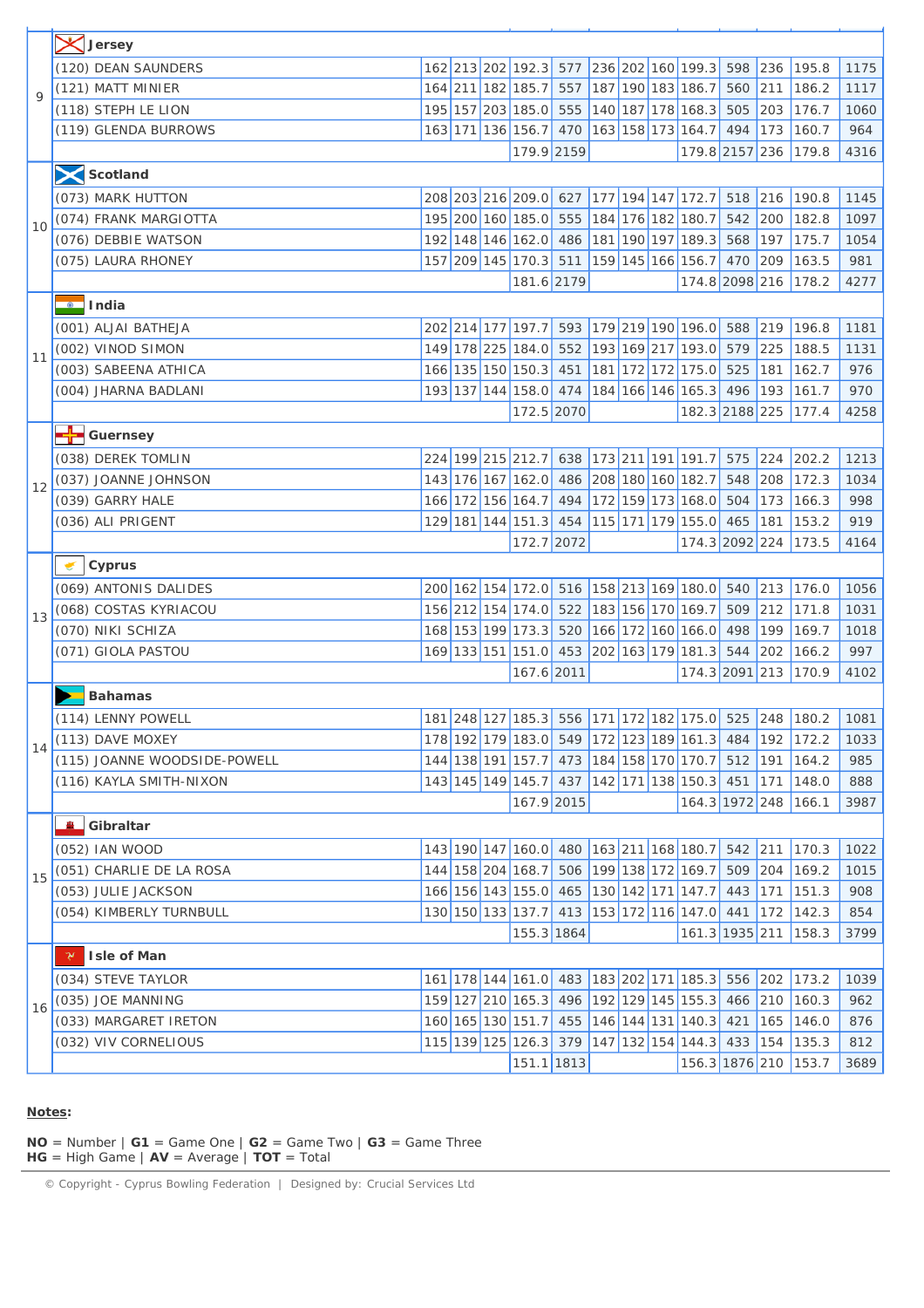|             | <b>X</b> Jersey              |  |                                         |  |  |                                                 |           |               |                                                       |      |
|-------------|------------------------------|--|-----------------------------------------|--|--|-------------------------------------------------|-----------|---------------|-------------------------------------------------------|------|
|             | (120) DEAN SAUNDERS          |  |                                         |  |  | 162 213 202 192.3 577 236 202 160 199.3         | 598       | 236           | 195.8                                                 | 1175 |
|             | (121) MATT MINIER            |  |                                         |  |  | 164 211 182 185.7 557 187 190 183 186.7         | 560       | 211           | 186.2                                                 | 1117 |
| $\mathsf Q$ | (118) STEPH LE LION          |  |                                         |  |  | 195 157 203 185.0 555 140 187 178 168.3         | 505       | 203           | 176.7                                                 | 1060 |
|             | (119) GLENDA BURROWS         |  |                                         |  |  | 163 171 136 156.7 470 163 158 173 164.7         | 494       | 173           | 160.7                                                 | 964  |
|             |                              |  | 179.9 2159                              |  |  | 179.8 2157 236                                  |           |               | 179.8                                                 | 4316 |
|             | Scotland                     |  |                                         |  |  |                                                 |           |               |                                                       |      |
|             | (073) MARK HUTTON            |  |                                         |  |  | 208 203 216 209.0 627 177 194 147 172.7         | $518$ 216 |               | 190.8                                                 | 1145 |
|             | (074) FRANK MARGIOTTA        |  | 195 200 160 185.0 555 184 176 182 180.7 |  |  |                                                 | 542       | 200           | 182.8                                                 | 1097 |
| 10          | (076) DEBBIE WATSON          |  |                                         |  |  | 192 148 146 162.0 486 181 190 197 189.3         | 568       | 197           | 175.7                                                 | 1054 |
|             | (075) LAURA RHONEY           |  |                                         |  |  | 157 209 145 170.3 511 159 145 166 156.7         | 470       | 209           | 163.5                                                 | 981  |
|             |                              |  | 181.6 2179                              |  |  | 174.8 2098 216                                  |           |               | 178.2                                                 | 4277 |
|             | <u>o</u> llndia              |  |                                         |  |  |                                                 |           |               |                                                       |      |
|             | (001) ALJAI BATHEJA          |  |                                         |  |  | 202 214 177 197.7 593 179 219 190 196.0         | 588       | 219           | 196.8                                                 | 1181 |
|             | (002) VINOD SIMON            |  |                                         |  |  | 149 178 225 184.0 552 193 169 217 193.0         | 579       | 225           | 188.5                                                 | 1131 |
| 11          | (003) SABEENA ATHICA         |  |                                         |  |  | 166 135 150 150.3 451 181 172 172 175.0         | 525       | 181           | 162.7                                                 | 976  |
|             | (004) JHARNA BADLANI         |  |                                         |  |  | 193 137 144 158.0 474 184 166 146 165.3         | 496       | 193           | 161.7                                                 | 970  |
|             |                              |  | 172.5 2070                              |  |  | 182.3 2188 225                                  |           |               | 177.4                                                 | 4258 |
|             | <mark>--</mark> Guernsey     |  |                                         |  |  |                                                 |           |               |                                                       |      |
|             | (038) DEREK TOMLIN           |  |                                         |  |  | 224 199 215 212.7 638 173 211 191 191.7         | 575       | 224           | 202.2                                                 | 1213 |
| 12          | (037) JOANNE JOHNSON         |  | 143 176 167 162.0 486 208 180 160 182.7 |  |  |                                                 | 548       | 208           | 172.3                                                 | 1034 |
|             | (039) GARRY HALE             |  |                                         |  |  | 166 172 156 164.7 494 172 159 173 168.0         | 504       | 173           | 166.3                                                 | 998  |
|             | (036) ALI PRIGENT            |  |                                         |  |  | 129 181 144 151.3 454 115 171 179 155.0         | 465       | 181           | 153.2                                                 | 919  |
|             |                              |  | 172.7 2072                              |  |  | 174.3 2092 224                                  |           |               | 173.5                                                 | 4164 |
|             | Cyprus                       |  |                                         |  |  |                                                 |           |               |                                                       |      |
|             | (069) ANTONIS DALIDES        |  |                                         |  |  | 200 162 154 172.0 516 158 213 169 180.0 540     |           | $ 213\rangle$ | 176.0                                                 | 1056 |
| 13          | (068) COSTAS KYRIACOU        |  | 156 212 154 174.0 522 183 156 170 169.7 |  |  |                                                 | 509       | 212           | 171.8                                                 | 1031 |
|             | (070) NIKI SCHIZA            |  |                                         |  |  | 168 153 199 173.3 520 166 172 160 166.0         | 498       | 199           | 169.7                                                 | 1018 |
|             | (071) GIOLA PASTOU           |  |                                         |  |  | 169 133 151 151.0 453 202 163 179 181.3         | 544       | 202           | 166.2                                                 | 997  |
|             |                              |  | 167.6 2011                              |  |  | 174.3 2091 213 170.9                            |           |               |                                                       | 4102 |
|             | <b>Bahamas</b>               |  |                                         |  |  |                                                 |           |               |                                                       |      |
|             | (114) LENNY POWELL           |  |                                         |  |  |                                                 |           |               | 181 248 127 185.3 556 171 172 182 175.0 525 248 180.2 | 1081 |
| 14          | (113) DAVE MOXEY             |  |                                         |  |  | 178 192 179 183.0 549 172 123 189 161.3 484     |           | 192           | 172.2                                                 | 1033 |
|             | (115) JOANNE WOODSIDE-POWELL |  |                                         |  |  | 144 138 191 157.7 473 184 158 170 170.7         | $512$ 191 |               | 164.2                                                 | 985  |
|             | (116) KAYLA SMITH-NIXON      |  |                                         |  |  | 143 145 149 145.7 437 142 171 138 150.3         | 451       | 171           | 148.0                                                 | 888  |
|             |                              |  | 167.9 2015                              |  |  | 164.3 1972 248 166.1                            |           |               |                                                       | 3987 |
|             | Gibraltar                    |  |                                         |  |  |                                                 |           |               |                                                       |      |
|             | (052) IAN WOOD               |  |                                         |  |  | 143 190 147 160.0 480 163 211 168 180.7         | 542       | 211           | 170.3                                                 | 1022 |
| 15          | (051) CHARLIE DE LA ROSA     |  |                                         |  |  | 144 158 204 168.7 506 199 138 172 169.7         | 509       | 204           | 169.2                                                 | 1015 |
|             | (053) JULIE JACKSON          |  |                                         |  |  | 166 156 143 155.0 465 130 142 171 147.7         | 443       | 171           | 151.3                                                 | 908  |
|             | (054) KIMBERLY TURNBULL      |  |                                         |  |  | 130 150 133 137.7 413 153 172 116 147.0 441     |           | 172           | 142.3                                                 | 854  |
|             |                              |  | 155.3 1864                              |  |  | 161.3 1935 211                                  |           |               | 158.3                                                 | 3799 |
|             | Y.<br>Isle of Man            |  |                                         |  |  |                                                 |           |               |                                                       |      |
|             | (034) STEVE TAYLOR           |  |                                         |  |  | 161 178 144 161.0 483 183 202 171 185.3 556 202 |           |               | 173.2                                                 | 1039 |
| 16          | (035) JOE MANNING            |  |                                         |  |  | 159 127 210 165.3 496 192 129 145 155.3         | 466       | 210           | 160.3                                                 | 962  |
|             | (033) MARGARET IRETON        |  |                                         |  |  | 160 165 130 151.7 455 146 144 131 140.3         | 421       | 165           | 146.0                                                 | 876  |
|             | (032) VIV CORNELIOUS         |  |                                         |  |  | 115 139 125 126.3 379 147 132 154 144.3         | 433       | 154           | 135.3                                                 | 812  |
|             |                              |  | 151.1 1813                              |  |  | 156.3 1876 210 153.7                            |           |               |                                                       | 3689 |

#### **Notes:**

**NO** = Number  $|G1| = Game One$   $|G2| = Game Two$   $|G3| = Game Three$ **HG** = High Game | **AV** = Average | **TOT** = Total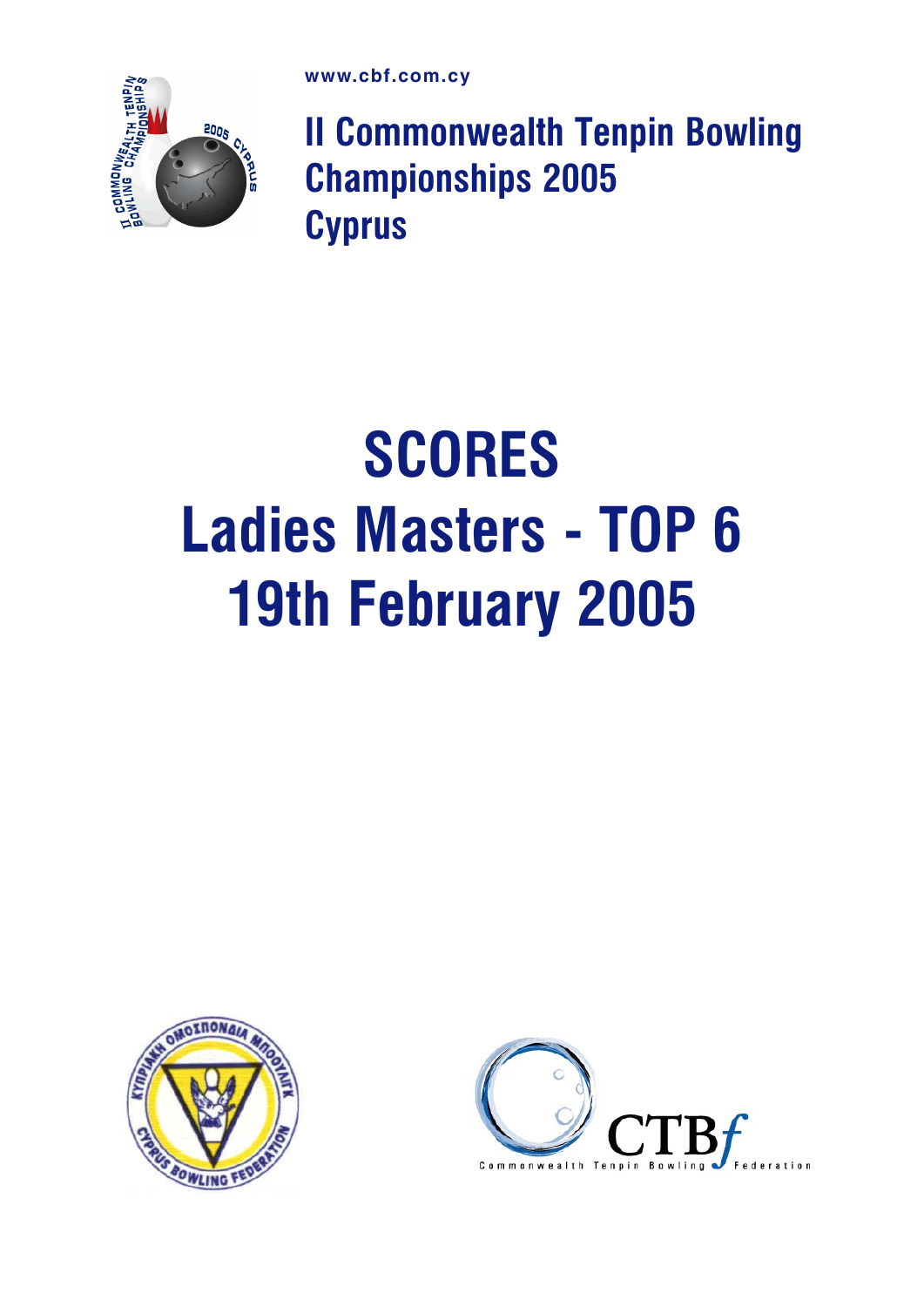

II Commonwealth Tenpin Bowling Championships 2005 **Cyprus** 

# **SCORES** Ladies Masters - TOP 6 19th February 2005



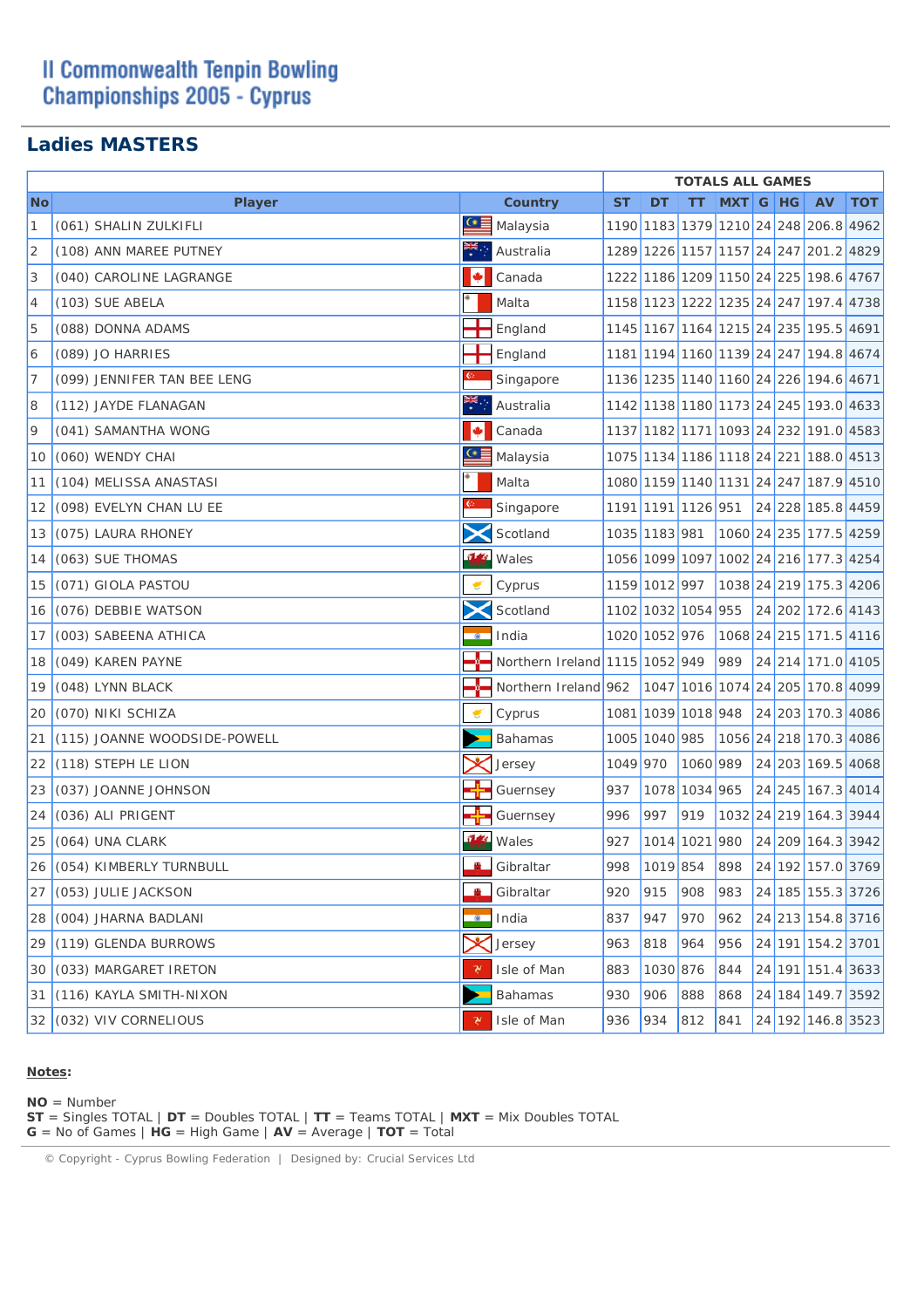## **II Commonwealth Tenpin Bowling Championships 2005 - Cyprus**

## **Ladies MASTERS**

|                |                              |                          |                                |           |               | <b>TOTALS ALL GAMES</b> |          |  |                                       |            |
|----------------|------------------------------|--------------------------|--------------------------------|-----------|---------------|-------------------------|----------|--|---------------------------------------|------------|
| <b>No</b>      | <b>Player</b>                |                          | <b>Country</b>                 | <b>ST</b> | DT            | TТ                      | MXT G HG |  | AV                                    | <b>TOT</b> |
| 1              | (061) SHALIN ZULKIFLI        | $C \equiv$               | Malaysia                       |           |               |                         |          |  | 1190 1183 1379 1210 24 248 206.8 4962 |            |
| $\overline{2}$ | (108) ANN MAREE PUTNEY       |                          | Australia                      |           |               |                         |          |  | 1289 1226 1157 1157 24 247 201.2 4829 |            |
| 3              | (040) CAROLINE LAGRANGE      |                          | Canada                         |           |               |                         |          |  | 1222 1186 1209 1150 24 225 198.6 4767 |            |
| 4              | (103) SUE ABELA              |                          | Malta                          |           |               |                         |          |  | 1158 1123 1222 1235 24 247 197.4 4738 |            |
| 5              | (088) DONNA ADAMS            |                          | England                        |           |               |                         |          |  | 1145 1167 1164 1215 24 235 195.5 4691 |            |
| 6              | (089) JO HARRIES             |                          | England                        |           |               |                         |          |  | 1181 1194 1160 1139 24 247 194.8 4674 |            |
| 7              | (099) JENNIFER TAN BEE LENG  |                          | Singapore                      |           |               |                         |          |  | 1136 1235 1140 1160 24 226 194.6 4671 |            |
| 8              | (112) JAYDE FLANAGAN         |                          | Australia                      |           |               |                         |          |  | 1142 1138 1180 1173 24 245 193.0 4633 |            |
| 9              | (041) SAMANTHA WONG          | M                        | Canada                         |           |               |                         |          |  | 1137 1182 1171 1093 24 232 191.0 4583 |            |
| 10             | (060) WENDY CHAI             | $\underline{\mathbf{G}}$ | Malaysia                       |           |               |                         |          |  | 1075 1134 1186 1118 24 221 188.0 4513 |            |
| 11             | (104) MELISSA ANASTASI       |                          | Malta                          |           |               |                         |          |  | 1080 1159 1140 1131 24 247 187.9 4510 |            |
| 12             | (098) EVELYN CHAN LU EE      | $\mathbb{C}$             | Singapore                      |           |               | 1191 1191 1126 951      |          |  | 24 228 185.8 4459                     |            |
| 13             | (075) LAURA RHONEY           |                          | Scotland                       |           | 1035 1183 981 |                         |          |  | 1060 24 235 177.5 4259                |            |
| 14             | (063) SUE THOMAS             | 514                      | Wales                          |           |               |                         |          |  | 1056 1099 1097 1002 24 216 177.3 4254 |            |
| 15             | (071) GIOLA PASTOU           |                          | Cyprus                         |           | 1159 1012 997 |                         |          |  | 1038 24 219 175.3 4206                |            |
| 16             | (076) DEBBIE WATSON          |                          | Scotland                       |           |               | 1102 1032 1054 955      |          |  | 24 202 172.6 4143                     |            |
| 17             | (003) SABEENA ATHICA         | $\bullet$                | India                          |           | 1020 1052 976 |                         |          |  | 1068 24 215 171.5 4116                |            |
| 18             | (049) KAREN PAYNE            |                          | Northern Ireland 1115 1052 949 |           |               |                         | 989      |  | 24 214 171.0 4105                     |            |
| 19             | (048) LYNN BLACK             |                          | Northern Ireland 962           |           |               |                         |          |  | 1047 1016 1074 24 205 170.8 4099      |            |
| 20             | (070) NIKI SCHIZA            | €                        | Cyprus                         |           |               | 1081 1039 1018 948      |          |  | 24 203 170.3 4086                     |            |
| 21             | (115) JOANNE WOODSIDE-POWELL |                          | <b>Bahamas</b>                 |           | 1005 1040 985 |                         |          |  | 1056 24 218 170.3 4086                |            |
| 22             | (118) STEPH LE LION          |                          | Jersey                         | 1049 970  |               | 1060 989                |          |  | 24 203 169.5 4068                     |            |
| 23             | (037) JOANNE JOHNSON         | ╶╊╸                      | Guernsey                       | 937       |               | 1078 1034 965           |          |  | 24 245 167.3 4014                     |            |
| 24             | (036) ALI PRIGENT            |                          | Guernsey                       | 996       | 997           | 919                     |          |  | 1032 24 219 164.3 3944                |            |
| 25             | (064) UNA CLARK              | $\frac{1}{2}$            | Wales                          | 927       |               | 1014 1021 980           |          |  | 24 209 164.3 3942                     |            |
|                | 26 (054) KIMBERLY TURNBULL   |                          | Gibraltar                      |           | 998 1019 854  |                         | 898      |  | 24 192 157.0 3769                     |            |
|                | $27$ (053) JULIE JACKSON     | <u>т</u>                 | Gibraltar                      | 920       | 915           | 908                     | 983      |  | 24 185 155.3 3726                     |            |
|                | 28 (004) JHARNA BADLANI      |                          | <b>O</b> India                 | 837       | 947           | 970                     | 962      |  | 24 213 154.8 3716                     |            |
|                | 29 (119) GLENDA BURROWS      |                          | Jersey                         | 963       | 818           | 964                     | 956      |  | 24 191 154.2 3701                     |            |
|                | 30 (033) MARGARET IRETON     | ャ                        | Isle of Man                    | 883       | 1030 876      |                         | 844      |  | 24 191 151.4 3633                     |            |
|                | 31 (116) KAYLA SMITH-NIXON   |                          | <b>Bahamas</b>                 | 930       | 906           | 888                     | 868      |  | 24 184 149.7 3592                     |            |
|                | 32 (032) VIV CORNELIOUS      | γ                        | Isle of Man                    | 936       | 934           | 812                     | 841      |  | 24 192 146.8 3523                     |            |

#### **Notes:**

**NO** = Number

**ST** = Singles TOTAL | **DT** = Doubles TOTAL | **TT** = Teams TOTAL | **MXT** = Mix Doubles TOTAL **G** = No of Games | **HG** = High Game | **AV** = Average | **TOT** = Total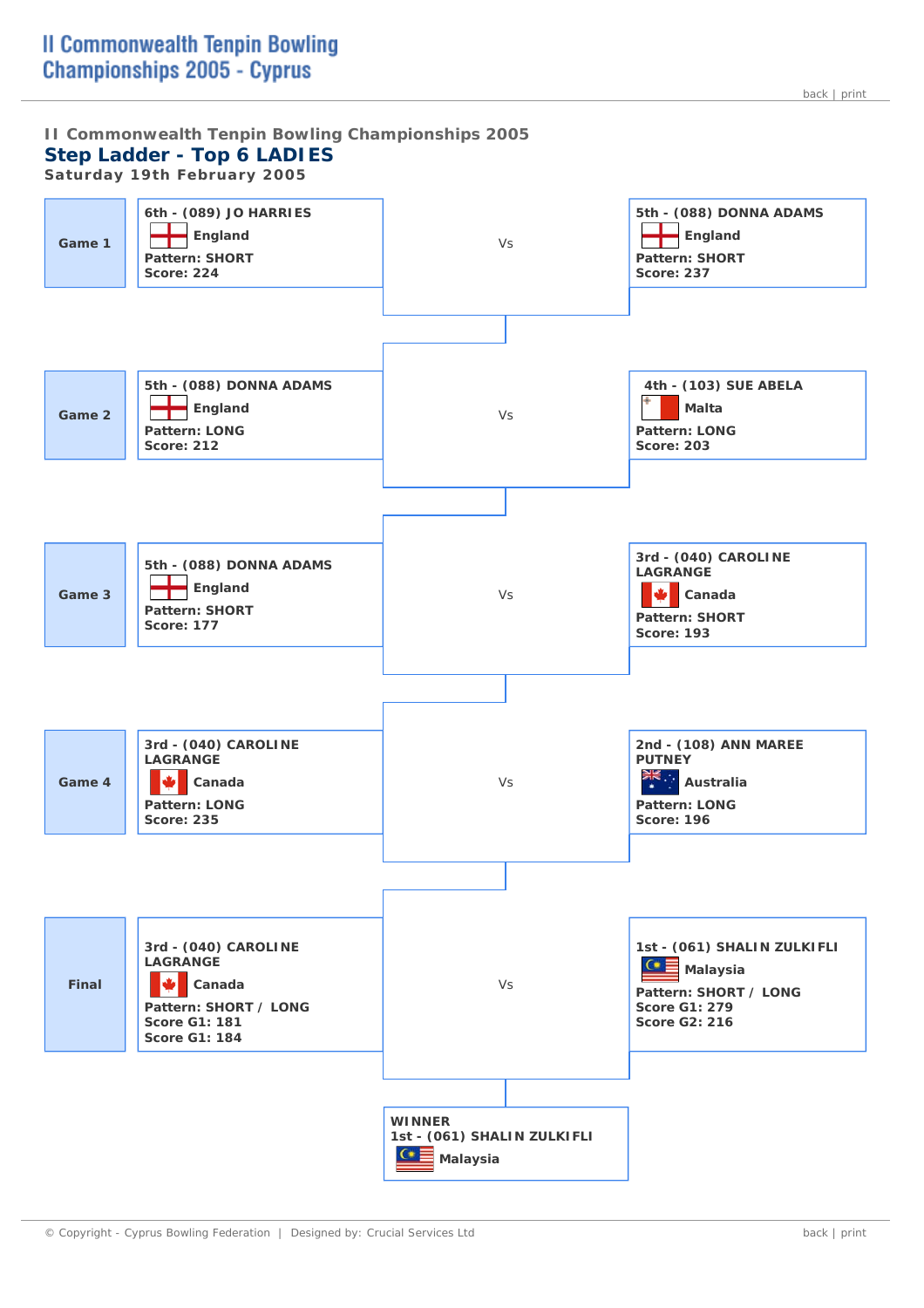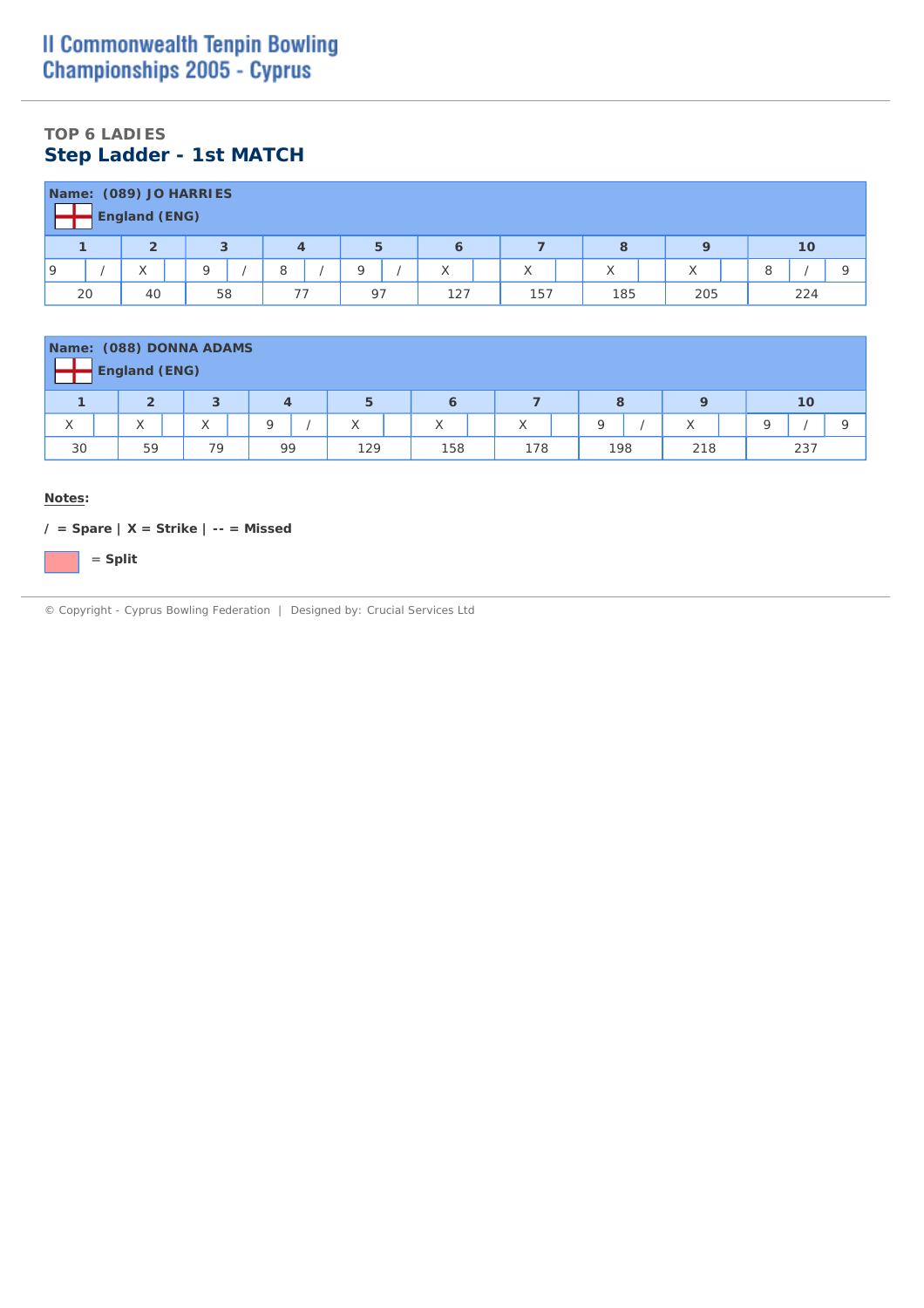## **TOP 6 LADIES Step Ladder - 1st MATCH**

|    | Name: (089) JO HARRIES<br><b>England (ENG)</b> |    |   |    |     |                   |     |          |  |     |  |
|----|------------------------------------------------|----|---|----|-----|-------------------|-----|----------|--|-----|--|
|    | $\overline{2}$                                 |    | 4 | 5  | 6   |                   | 8   | Ο        |  | 10  |  |
| 19 | ⌒                                              | O  |   |    | X   | $\checkmark$<br>⋏ | X   | $\wedge$ |  |     |  |
| 20 | 40                                             | 58 |   | 97 | 127 | 157               | 185 | 205      |  | 224 |  |

|    | <b>England (ENG)</b>                                    | Name: (088) DONNA ADAMS |    |     |     |     |     |     |     |  |  |  |  |  |  |
|----|---------------------------------------------------------|-------------------------|----|-----|-----|-----|-----|-----|-----|--|--|--|--|--|--|
|    | 3<br>5<br>$\overline{2}$<br>$\mathbf Q$<br>10<br>8<br>6 |                         |    |     |     |     |     |     |     |  |  |  |  |  |  |
| X  | $\checkmark$<br>$\wedge$                                | $\sqrt{}$<br>∧          | O  | X   | X   | Χ   | O   | X   | O   |  |  |  |  |  |  |
| 30 | 59                                                      | 79                      | 99 | 129 | 158 | 178 | 198 | 218 | 237 |  |  |  |  |  |  |

#### **Notes:**

**/ = Spare | X = Strike | -- = Missed**

= **Split**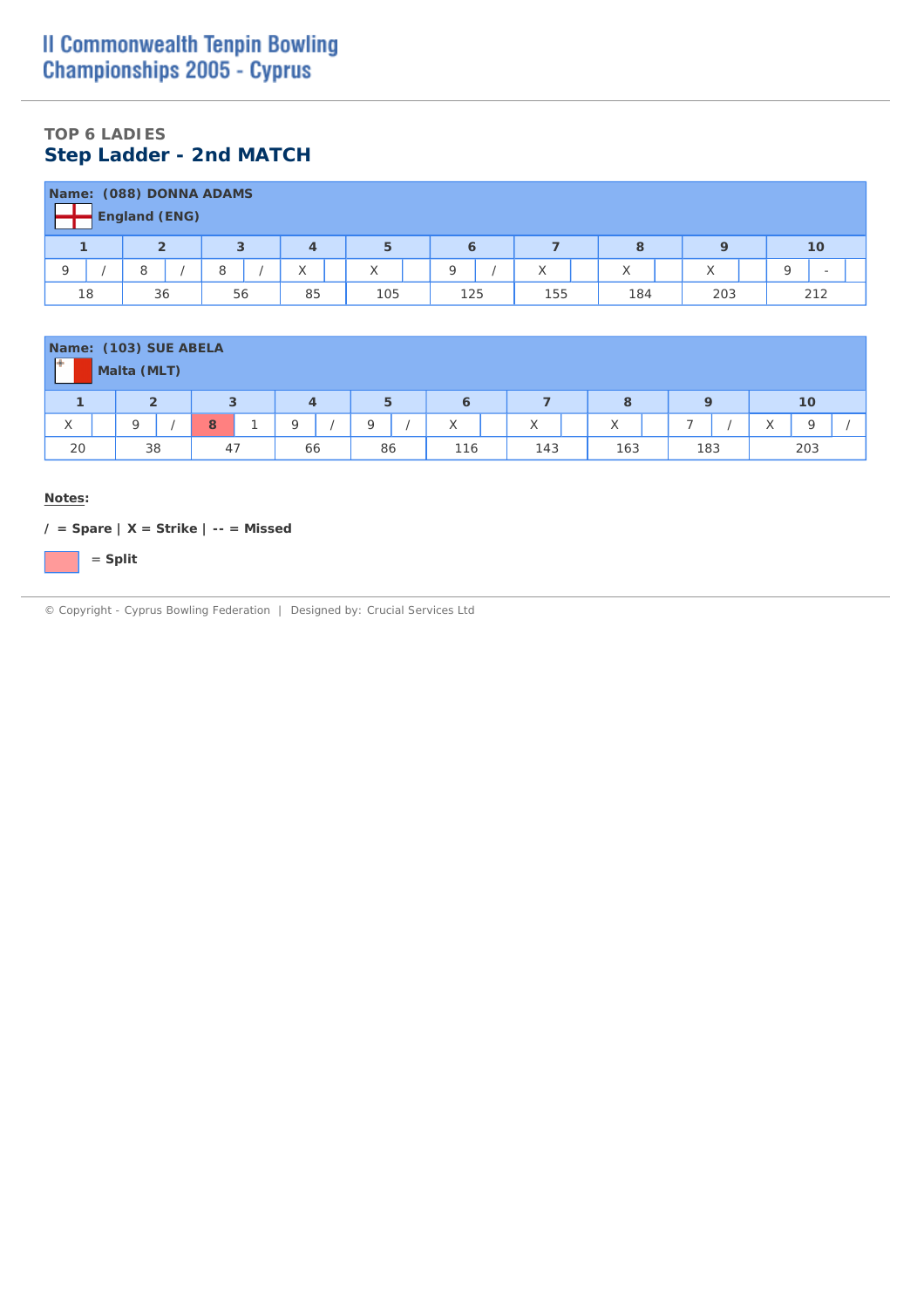## **TOP 6 LADIES Step Ladder - 2nd MATCH**

|    | Name: (088) DONNA ADAMS<br><b>England (ENG)</b> |    |    |          |         |     |                   |             |     |
|----|-------------------------------------------------|----|----|----------|---------|-----|-------------------|-------------|-----|
|    | ຳ                                               | 3  |    | 5        | 6       |     | 8                 | $\mathbf Q$ | 10  |
|    |                                                 | 8  | X  | $\wedge$ | $\circ$ | ⋏   | $\checkmark$<br>⋏ | ∧           | -   |
| 18 | 36                                              | 56 | 85 | 105      | 125     | 155 | 184               | 203         | 212 |

|    | Name: (103) SUE ABELA<br>Malta (MLT) |    |    |    |     |     |     |     |                          |
|----|--------------------------------------|----|----|----|-----|-----|-----|-----|--------------------------|
|    | $\overline{2}$                       | 3  | 4  | 5  | o   |     | 8   | a   | 10                       |
| X  | Q                                    | 8  | Q  |    | X   | X   | X   | -   | $\checkmark$<br>$\wedge$ |
| 20 | 38                                   | 47 | 66 | 86 | 116 | 143 | 163 | 183 | 203                      |

#### **Notes:**

**/ = Spare | X = Strike | -- = Missed**

= **Split**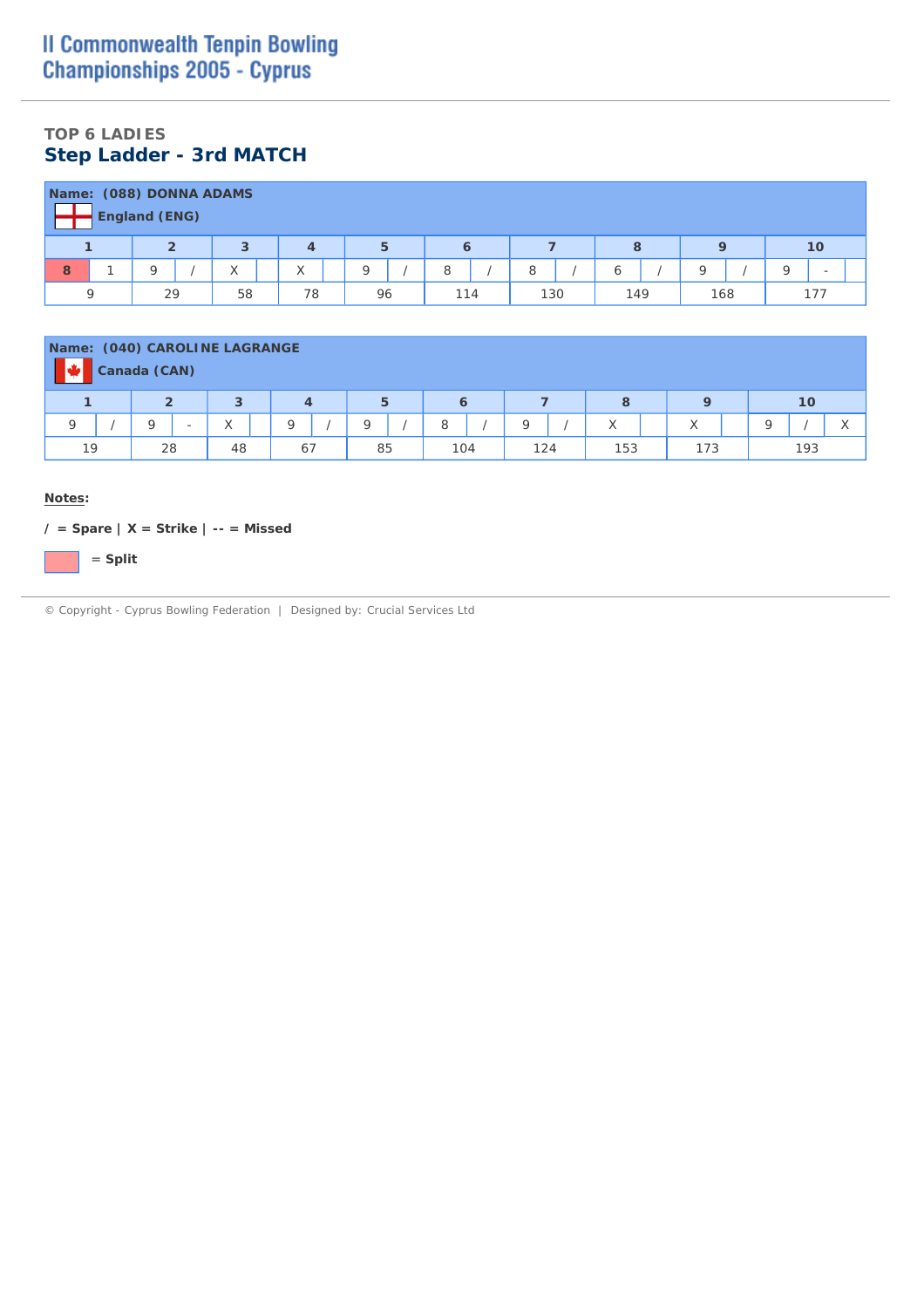## **TOP 6 LADIES Step Ladder - 3rd MATCH**

|   |                                                          | Name: (088) DONNA ADAMS |    |                          |          |     |     |     |          |        |  |  |  |  |  |
|---|----------------------------------------------------------|-------------------------|----|--------------------------|----------|-----|-----|-----|----------|--------|--|--|--|--|--|
|   | <b>England (ENG)</b><br>5<br>10<br>ຳ<br>8<br>Q<br>з<br>6 |                         |    |                          |          |     |     |     |          |        |  |  |  |  |  |
| 8 |                                                          |                         | ∧  | $\checkmark$<br>$\wedge$ | $\Omega$ | 8   | 8   | ь   | $\Omega$ | O<br>- |  |  |  |  |  |
|   |                                                          | 29                      | 58 | 78                       | 96       | 114 | 130 | 149 | 168      | 177    |  |  |  |  |  |

| Name: (040) CAROLINE LAGRANGE | Canada (CAN)                                        |                          |    |    |     |     |              |           |          |  |  |  |  |  |  |
|-------------------------------|-----------------------------------------------------|--------------------------|----|----|-----|-----|--------------|-----------|----------|--|--|--|--|--|--|
|                               | 5<br>3<br>10<br>$\overline{2}$<br>8<br>$\circ$<br>6 |                          |    |    |     |     |              |           |          |  |  |  |  |  |  |
| Q                             | $\Omega$<br>-                                       | $\checkmark$<br>$\wedge$ | Q  |    | 8   | Q   | $\checkmark$ | $\sqrt{}$ | $\Omega$ |  |  |  |  |  |  |
| 19                            | 28                                                  | 48                       | 67 | 85 | 104 | 124 | 153          | 173       | 193      |  |  |  |  |  |  |

#### **Notes:**

**/ = Spare | X = Strike | -- = Missed**

= **Split**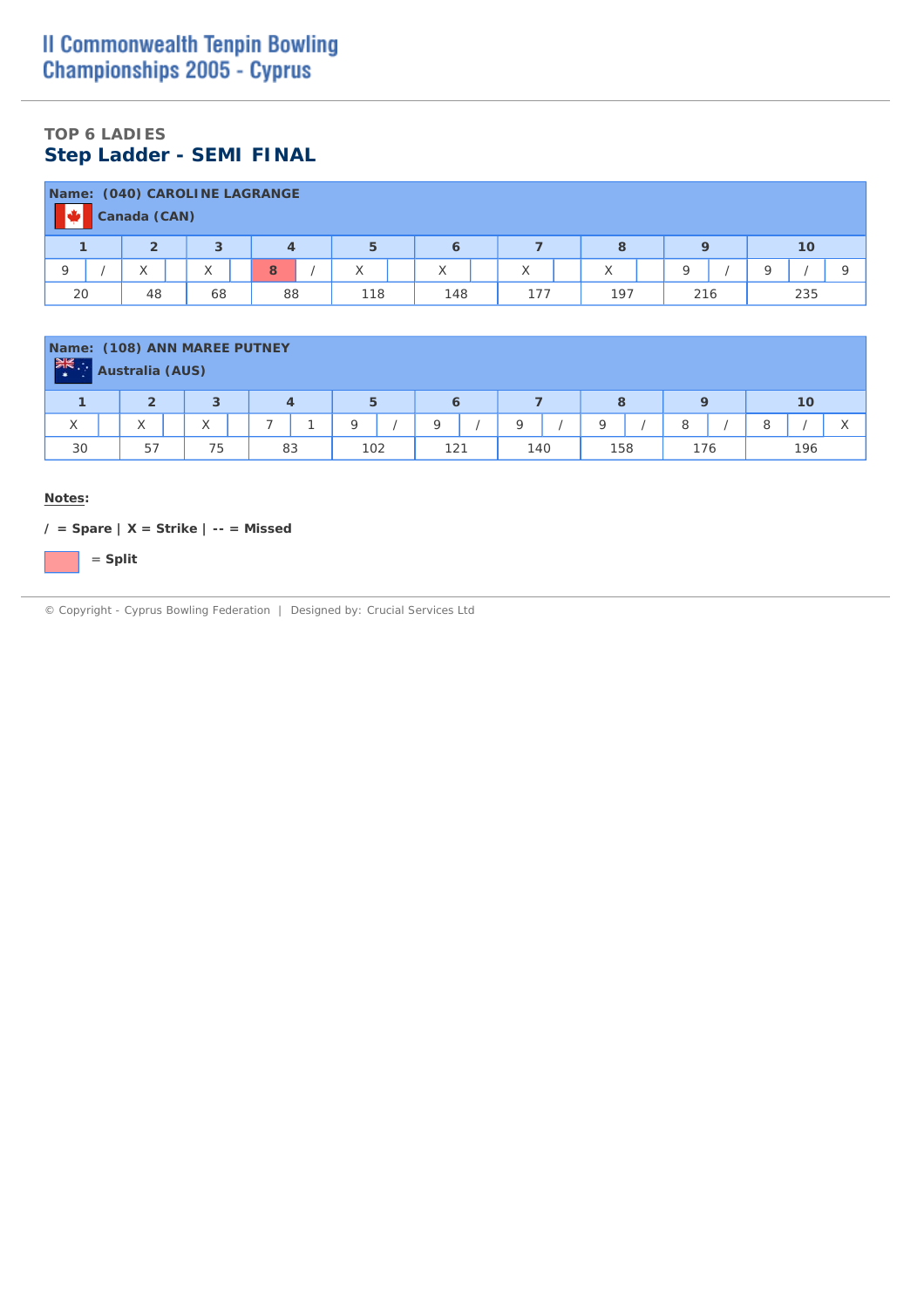## **TOP 6 LADIES Step Ladder - SEMI FINAL**

|    |                                                      | Canada (CAN) | Name: (040) CAROLINE LAGRANGE |    |  |     |  |                   |  |     |  |     |  |     |  |     |  |
|----|------------------------------------------------------|--------------|-------------------------------|----|--|-----|--|-------------------|--|-----|--|-----|--|-----|--|-----|--|
|    | $\overline{2}$<br>5<br>10<br>$\Omega$<br>8<br>4<br>6 |              |                               |    |  |     |  |                   |  |     |  |     |  |     |  |     |  |
|    |                                                      |              | $\checkmark$<br>$\wedge$      | 8  |  | X   |  | $\checkmark$<br>∧ |  |     |  |     |  | Q   |  |     |  |
| 20 |                                                      | 48           | 68                            | 88 |  | 118 |  | 148               |  | 177 |  | 197 |  | 216 |  | 235 |  |

| Name: (108) ANN MAREE PUTNEY<br>$\frac{1}{2}$ | <b>Australia (AUS)</b>   |                |    |     |     |     |     |     |                   |  |  |  |  |
|-----------------------------------------------|--------------------------|----------------|----|-----|-----|-----|-----|-----|-------------------|--|--|--|--|
| 5<br>3<br>10<br>8<br>6<br>4                   |                          |                |    |     |     |     |     |     |                   |  |  |  |  |
| $\checkmark$<br>⋏                             | $\checkmark$<br>$\wedge$ | $\sqrt{}$<br>∧ | -  |     |     |     | C   | 8   | $\checkmark$<br>8 |  |  |  |  |
| 30                                            | 57                       | 75             | 83 | 102 | 121 | 140 | 158 | 176 | 196               |  |  |  |  |

#### **Notes:**

**/ = Spare | X = Strike | -- = Missed**

= **Split**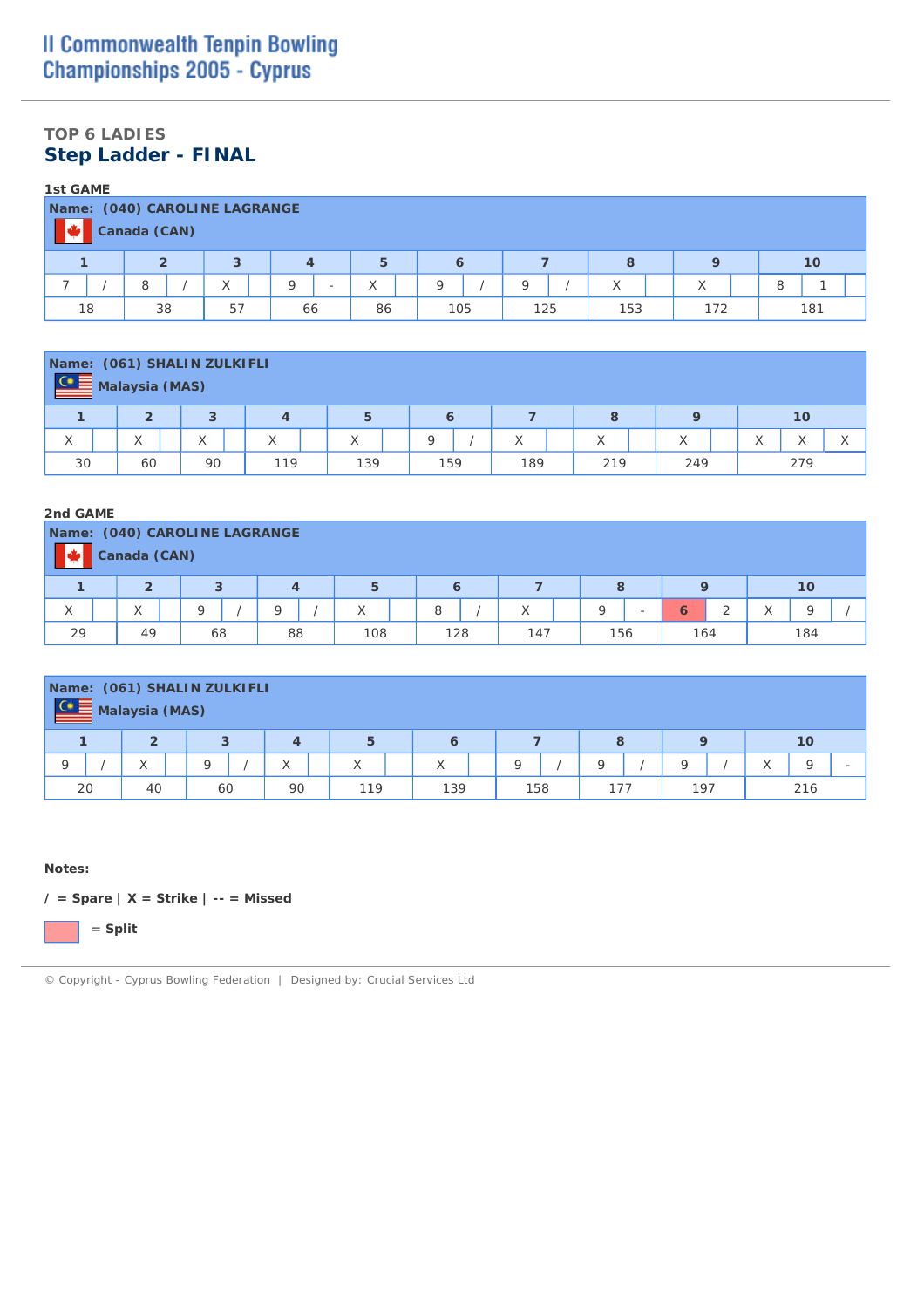### **TOP 6 LADIES Step Ladder - FINAL**

| <b>1st GAME</b> |                                                           |    |  |    |   |                          |    |  |         |  |          |  |                   |  |     |   |     |  |
|-----------------|-----------------------------------------------------------|----|--|----|---|--------------------------|----|--|---------|--|----------|--|-------------------|--|-----|---|-----|--|
|                 |                                                           |    |  |    |   |                          |    |  |         |  |          |  |                   |  |     |   |     |  |
|                 | Name: (040) CAROLINE LAGRANGE<br>Canada (CAN)             |    |  |    |   |                          |    |  |         |  |          |  |                   |  |     |   |     |  |
|                 | 3<br>10<br>5<br>$\overline{2}$<br>8<br>$\Omega$<br>6<br>4 |    |  |    |   |                          |    |  |         |  |          |  |                   |  |     |   |     |  |
|                 |                                                           | 8  |  | X  | Q | $\overline{\phantom{a}}$ | X  |  | $\circ$ |  | $\Omega$ |  | $\checkmark$<br>⋏ |  | X   | 8 |     |  |
|                 | 18                                                        | 38 |  | 57 |   | 66                       | 86 |  | 105     |  | 125      |  | 153               |  | 172 |   | 181 |  |

| $C \equiv$                                                                        |  | Name: (061) SHALIN ZULKIFLI |  |    |  |     |  |     |  |     |  |     |  |     |     |  |                    |  |
|-----------------------------------------------------------------------------------|--|-----------------------------|--|----|--|-----|--|-----|--|-----|--|-----|--|-----|-----|--|--------------------|--|
| <b>Malaysia (MAS)</b><br>$\overline{2}$<br>5<br>3<br>8<br>10<br>$\circ$<br>4<br>6 |  |                             |  |    |  |     |  |     |  |     |  |     |  |     |     |  |                    |  |
| X                                                                                 |  | $\checkmark$<br>∧           |  | X  |  | X   |  | X   |  | Q   |  |     |  | X   | X   |  | $\curvearrowright$ |  |
| 30                                                                                |  | 60                          |  | 90 |  | 119 |  | 139 |  | 159 |  | 189 |  | 219 | 249 |  | 279                |  |

#### **2nd GAME**

| Name: (040) CAROLINE LAGRANGE |                                               | Canada (CAN)          |  |    |  |    |  |              |  |     |  |     |  |     |                          |     |   |                          |     |  |
|-------------------------------|-----------------------------------------------|-----------------------|--|----|--|----|--|--------------|--|-----|--|-----|--|-----|--------------------------|-----|---|--------------------------|-----|--|
|                               | $\overline{2}$<br>3<br>5<br>10<br>8<br>4<br>6 |                       |  |    |  |    |  |              |  |     |  |     |  |     |                          |     |   |                          |     |  |
| X                             |                                               | $\sqrt{}$<br>$\wedge$ |  | Q  |  |    |  | $\checkmark$ |  | 8   |  | X   |  | O   | $\overline{\phantom{0}}$ | 6   | ∠ | $\checkmark$<br>$\wedge$ | O   |  |
| 29                            |                                               | 49                    |  | 68 |  | 88 |  | 108          |  | 128 |  | 147 |  | 156 |                          | 164 |   |                          | 184 |  |

| $C \equiv$ |                                                              | Name: (061) SHALIN ZULKIFLI<br>Malaysia (MAS) |   |    |    |  |     |  |                   |  |         |  |          |  |     |              |     |  |
|------------|--------------------------------------------------------------|-----------------------------------------------|---|----|----|--|-----|--|-------------------|--|---------|--|----------|--|-----|--------------|-----|--|
|            | $\overline{2}$<br>5<br>3<br>$\mathbf Q$<br>8<br>10<br>4<br>6 |                                               |   |    |    |  |     |  |                   |  |         |  |          |  |     |              |     |  |
| O          |                                                              | $\sqrt{}$                                     | O |    |    |  | X   |  | $\checkmark$<br>∧ |  | $\circ$ |  | $\Omega$ |  | O   | $\checkmark$ | Q   |  |
|            | 20                                                           | 40                                            |   | 60 | 90 |  | 119 |  | 139               |  | 158     |  | 177      |  | 197 |              | 216 |  |

#### **Notes:**

**/ = Spare | X = Strike | -- = Missed**

= **Split**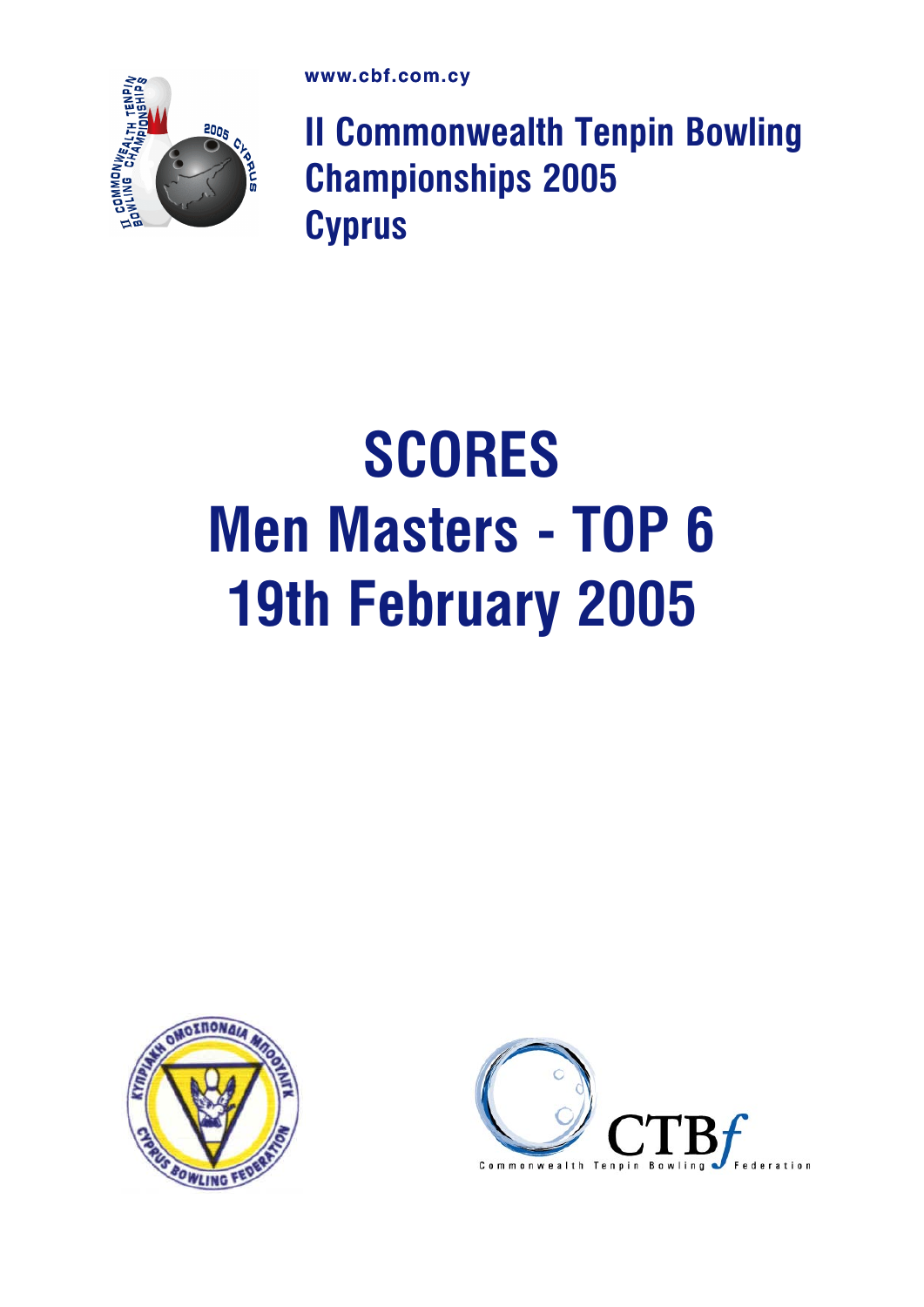

II Commonwealth Tenpin Bowling Championships 2005 **Cyprus** 

# **SCORES** Men Masters - TOP 6 19th February 2005



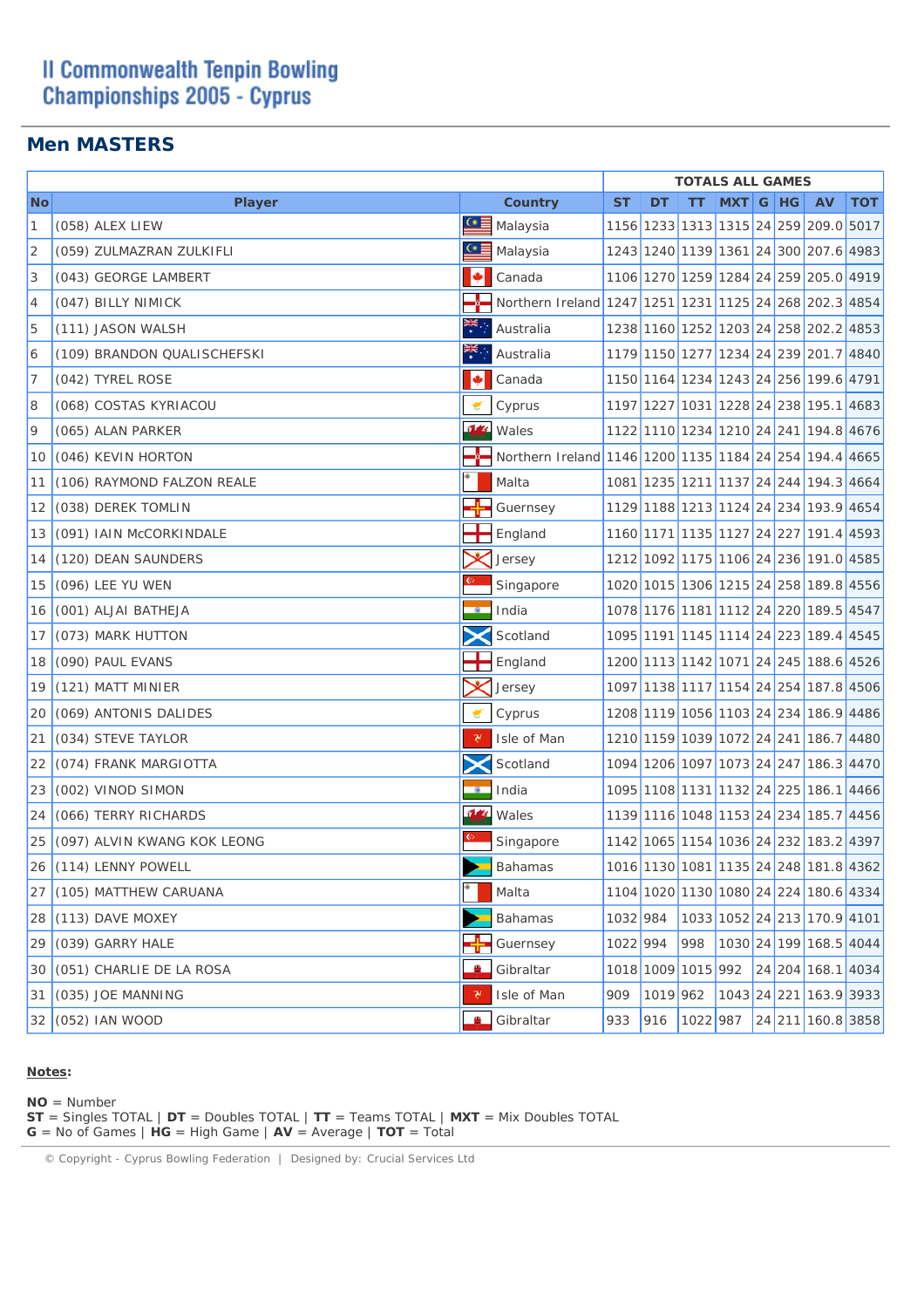## **II Commonwealth Tenpin Bowling Championships 2005 - Cyprus**

### **Men MASTERS**

|                |                             |                  |                                                        |           |     | <b>TOTALS ALL GAMES</b> |          |  |                                       |            |
|----------------|-----------------------------|------------------|--------------------------------------------------------|-----------|-----|-------------------------|----------|--|---------------------------------------|------------|
| <b>No</b>      | <b>Player</b>               |                  | Country                                                | <b>ST</b> | DT  | TТ                      | MXT G HG |  | <b>AV</b>                             | <b>TOT</b> |
| 1              | (058) ALEX LIEW             | $C \equiv$       | Malaysia                                               |           |     |                         |          |  | 1156 1233 1313 1315 24 259 209.0 5017 |            |
| $\overline{2}$ | (059) ZULMAZRAN ZULKIFLI    | $\bullet \equiv$ | Malaysia                                               |           |     |                         |          |  | 1243 1240 1139 1361 24 300 207.6 4983 |            |
| 3              | (043) GEORGE LAMBERT        | l÷               | Canada                                                 |           |     |                         |          |  | 1106 1270 1259 1284 24 259 205.0 4919 |            |
| 4              | (047) BILLY NIMICK          |                  | Northern Ireland 1247 1251 1231 1125 24 268 202.3 4854 |           |     |                         |          |  |                                       |            |
| 5              | (111) JASON WALSH           |                  | Australia                                              |           |     |                         |          |  | 1238 1160 1252 1203 24 258 202.2 4853 |            |
| 6              | (109) BRANDON QUALISCHEFSKI | ₹.,              | Australia                                              |           |     |                         |          |  | 1179 1150 1277 1234 24 239 201.7 4840 |            |
| 7              | (042) TYREL ROSE            | M                | Canada                                                 |           |     |                         |          |  | 1150 1164 1234 1243 24 256 199.6 4791 |            |
| 8              | (068) COSTAS KYRIACOU       |                  | Cyprus                                                 |           |     |                         |          |  | 1197 1227 1031 1228 24 238 195.1 4683 |            |
| 9              | (065) ALAN PARKER           | 512              | Wales                                                  |           |     |                         |          |  | 1122 1110 1234 1210 24 241 194.8 4676 |            |
| 10             | (046) KEVIN HORTON          |                  | Northern Ireland 1146 1200 1135 1184 24 254 194.4 4665 |           |     |                         |          |  |                                       |            |
| 11             | (106) RAYMOND FALZON REALE  |                  | Malta                                                  |           |     |                         |          |  | 1081 1235 1211 1137 24 244 194.3 4664 |            |
| 12             | (038) DEREK TOMLIN          |                  | Guernsey                                               |           |     |                         |          |  | 1129 1188 1213 1124 24 234 193.9 4654 |            |
| 13             | (091) IAIN McCORKINDALE     |                  | England                                                |           |     |                         |          |  | 1160 1171 1135 1127 24 227 191.4 4593 |            |
| 14             | (120) DEAN SAUNDERS         |                  | Jersey                                                 |           |     |                         |          |  | 1212 1092 1175 1106 24 236 191.0 4585 |            |
| 15             | (096) LEE YU WEN            |                  | Singapore                                              |           |     |                         |          |  | 1020 1015 1306 1215 24 258 189.8 4556 |            |
| 16             | (001) ALJAI BATHEJA         | $\bullet$        | India                                                  |           |     |                         |          |  | 1078 1176 1181 1112 24 220 189.5 4547 |            |
| 17             | (073) MARK HUTTON           |                  | Scotland                                               |           |     |                         |          |  | 1095 1191 1145 1114 24 223 189.4 4545 |            |
| 18             | (090) PAUL EVANS            |                  | England                                                |           |     |                         |          |  | 1200 1113 1142 1071 24 245 188.6 4526 |            |
| 19             | (121) MATT MINIER           |                  | Jersey                                                 |           |     |                         |          |  | 1097 1138 1117 1154 24 254 187.8 4506 |            |
| 20             | (069) ANTONIS DALIDES       |                  | Cyprus                                                 |           |     |                         |          |  | 1208 1119 1056 1103 24 234 186.9 4486 |            |
| 21             | (034) STEVE TAYLOR          | γ                | Isle of Man                                            |           |     |                         |          |  | 1210 1159 1039 1072 24 241 186.7 4480 |            |
| 22             | (074) FRANK MARGIOTTA       |                  | Scotland                                               |           |     |                         |          |  | 1094 1206 1097 1073 24 247 186.3 4470 |            |
| 23             | (002) VINOD SIMON           | $\circ$          | India                                                  |           |     |                         |          |  | 1095 1108 1131 1132 24 225 186.1 4466 |            |
| 24             | (066) TERRY RICHARDS        | 7/4              | Wales                                                  |           |     |                         |          |  | 1139 1116 1048 1153 24 234 185.7 4456 |            |
| 25             | (097) ALVIN KWANG KOK LEONG |                  | Singapore                                              |           |     |                         |          |  | 1142 1065 1154 1036 24 232 183.2 4397 |            |
|                | 26 (114) LENNY POWELL       |                  | Bahamas                                                |           |     |                         |          |  | 1016 1130 1081 1135 24 248 181.8 4362 |            |
|                | 27 (105) MATTHEW CARUANA    |                  | Malta                                                  |           |     |                         |          |  | 1104 1020 1130 1080 24 224 180.6 4334 |            |
|                | 28 (113) DAVE MOXEY         |                  | Bahamas                                                | 1032 984  |     |                         |          |  | 1033 1052 24 213 170.9 4101           |            |
|                | 29 (039) GARRY HALE         | ╺╬╸              | Guernsey                                               | 1022 994  |     |                         |          |  | 998 1030 24 199 168.5 4044            |            |
|                | 30 (051) CHARLIE DE LA ROSA | ≞                | Gibraltar                                              |           |     | 1018 1009 1015 992      |          |  | 24 204 168.1 4034                     |            |
|                | 31 (035) JOE MANNING        | γ                | Isle of Man                                            | 909       |     |                         |          |  | 1019 962 1043 24 221 163.9 3933       |            |
|                | 32 (052) IAN WOOD           | 疊                | Gibraltar                                              | 933       | 916 | 1022 987                |          |  | 24 211 160.8 3858                     |            |

#### **Notes:**

**NO** = Number

**ST** = Singles TOTAL | **DT** = Doubles TOTAL | **TT** = Teams TOTAL | **MXT** = Mix Doubles TOTAL **G** = No of Games | **HG** = High Game | **AV** = Average | **TOT** = Total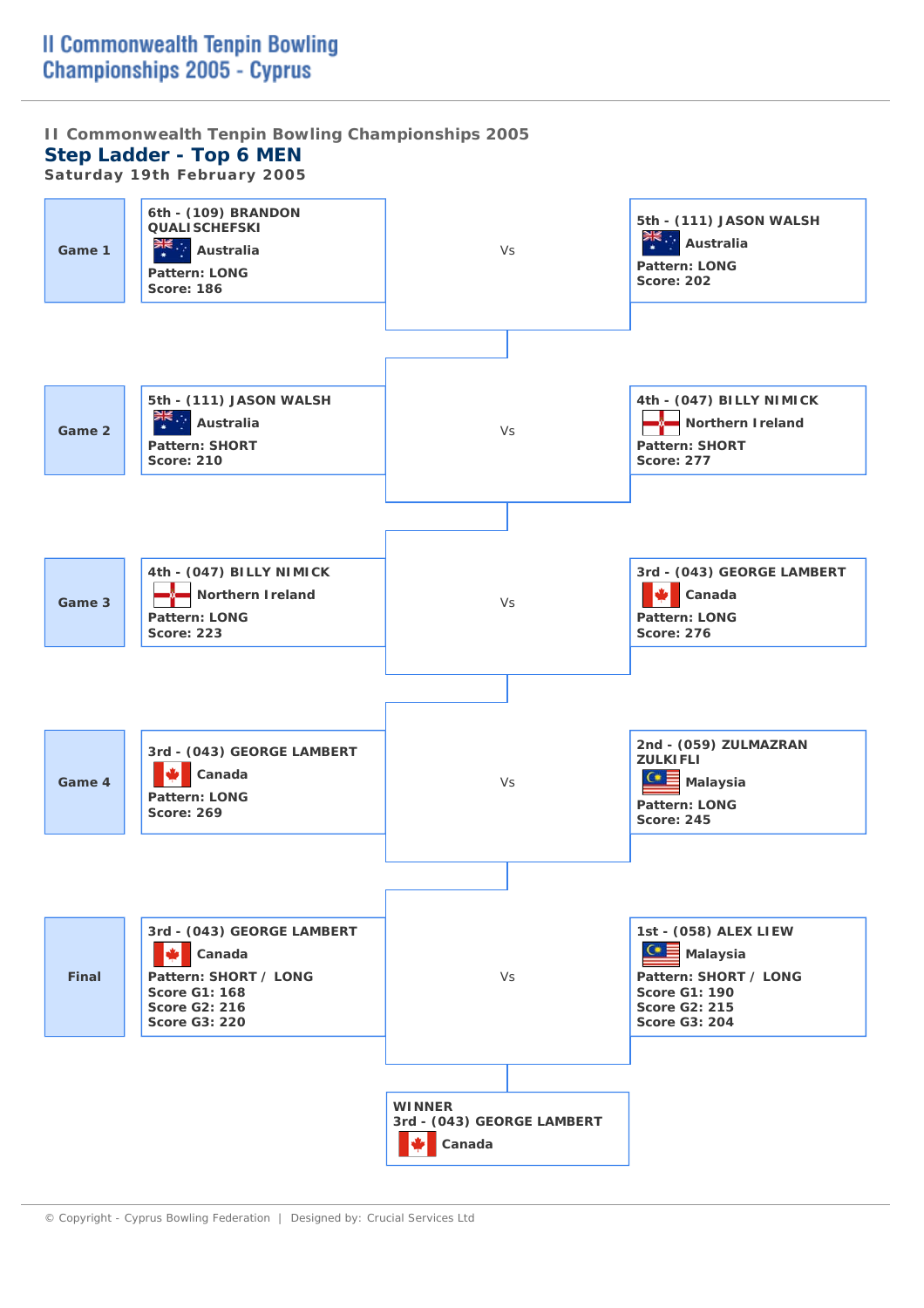**II Commonwealth Tenpin Bowling Championships 2005 Step Ladder - Top 6 MEN** 

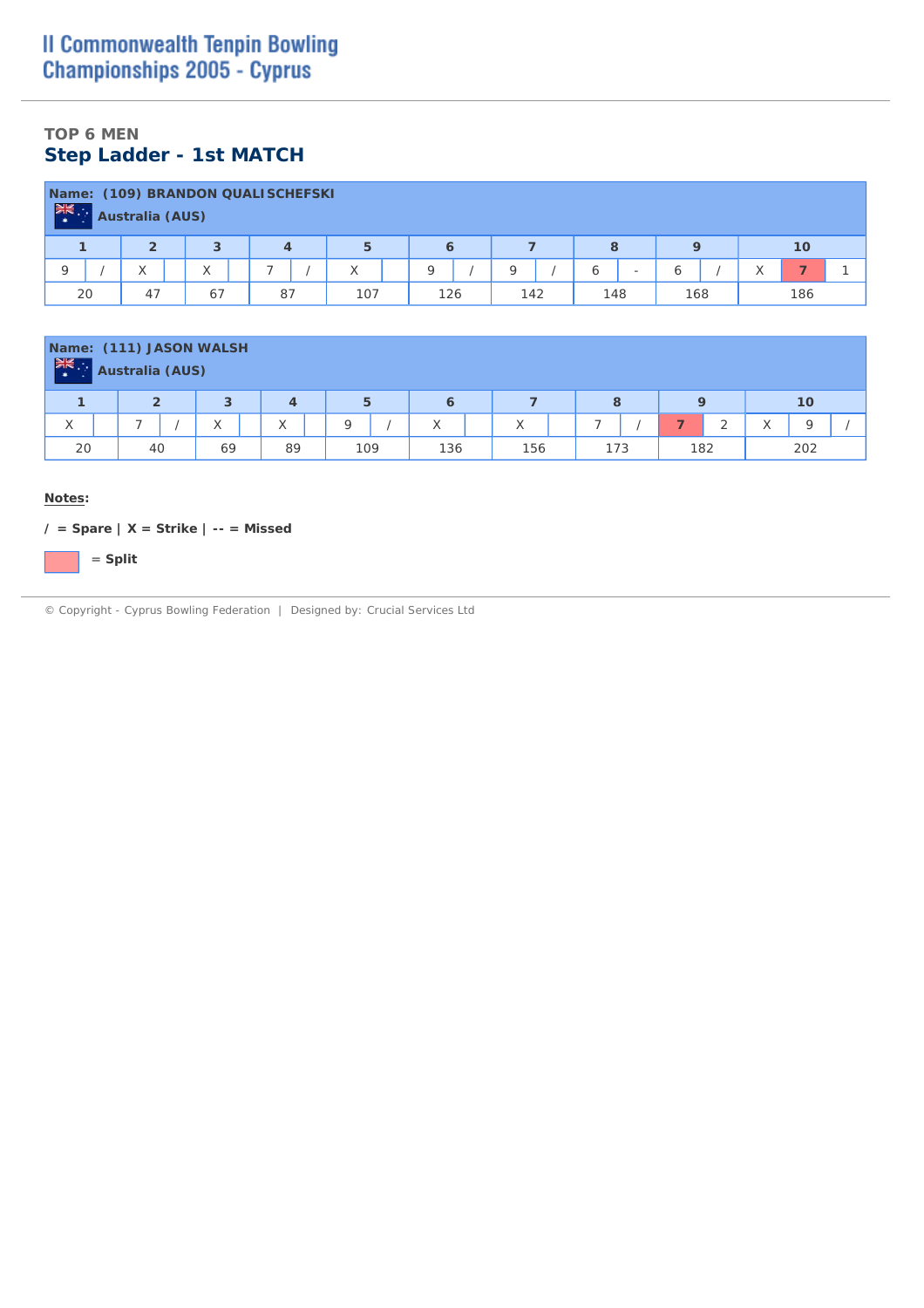## **TOP 6 MEN Step Ladder - 1st MATCH**

| Name:<br><b>张</b> :<br>$\rightarrow$ | <b>Australia (AUS)</b>                               |                   | (109) BRANDON QUALISCHEFSKI |              |     |     |                               |     |     |  |  |  |  |  |  |
|--------------------------------------|------------------------------------------------------|-------------------|-----------------------------|--------------|-----|-----|-------------------------------|-----|-----|--|--|--|--|--|--|
|                                      | 5<br>$\overline{2}$<br>3<br>8<br>10<br>$\Omega$<br>6 |                   |                             |              |     |     |                               |     |     |  |  |  |  |  |  |
|                                      |                                                      | $\checkmark$<br>∧ | -                           | $\checkmark$ | O   | Q   | ь<br>$\overline{\phantom{a}}$ | ь   |     |  |  |  |  |  |  |
| 20                                   | 47                                                   | 67                | 87                          | 107          | 126 | 142 | 148                           | 168 | 186 |  |  |  |  |  |  |

| $rac{1}{2}$ | Name: (111) JASON WALSH<br>Australia (AUS) |                   |                |     |     |     |     |           |                       |
|-------------|--------------------------------------------|-------------------|----------------|-----|-----|-----|-----|-----------|-----------------------|
|             | $\overline{2}$                             | 3                 | 4              | 5   | 6   |     | 8   | 9         | 10                    |
| X           | -                                          | $\checkmark$<br>⌒ | $\sqrt{}$<br>∧ | O   | Χ   | X   | -   | $\bigcap$ | $\Omega$<br>$\lambda$ |
| 20          | 40                                         | 69                | 89             | 109 | 136 | 156 | 173 | 182       | 202                   |

#### **Notes:**

**/ = Spare | X = Strike | -- = Missed**

= **Split**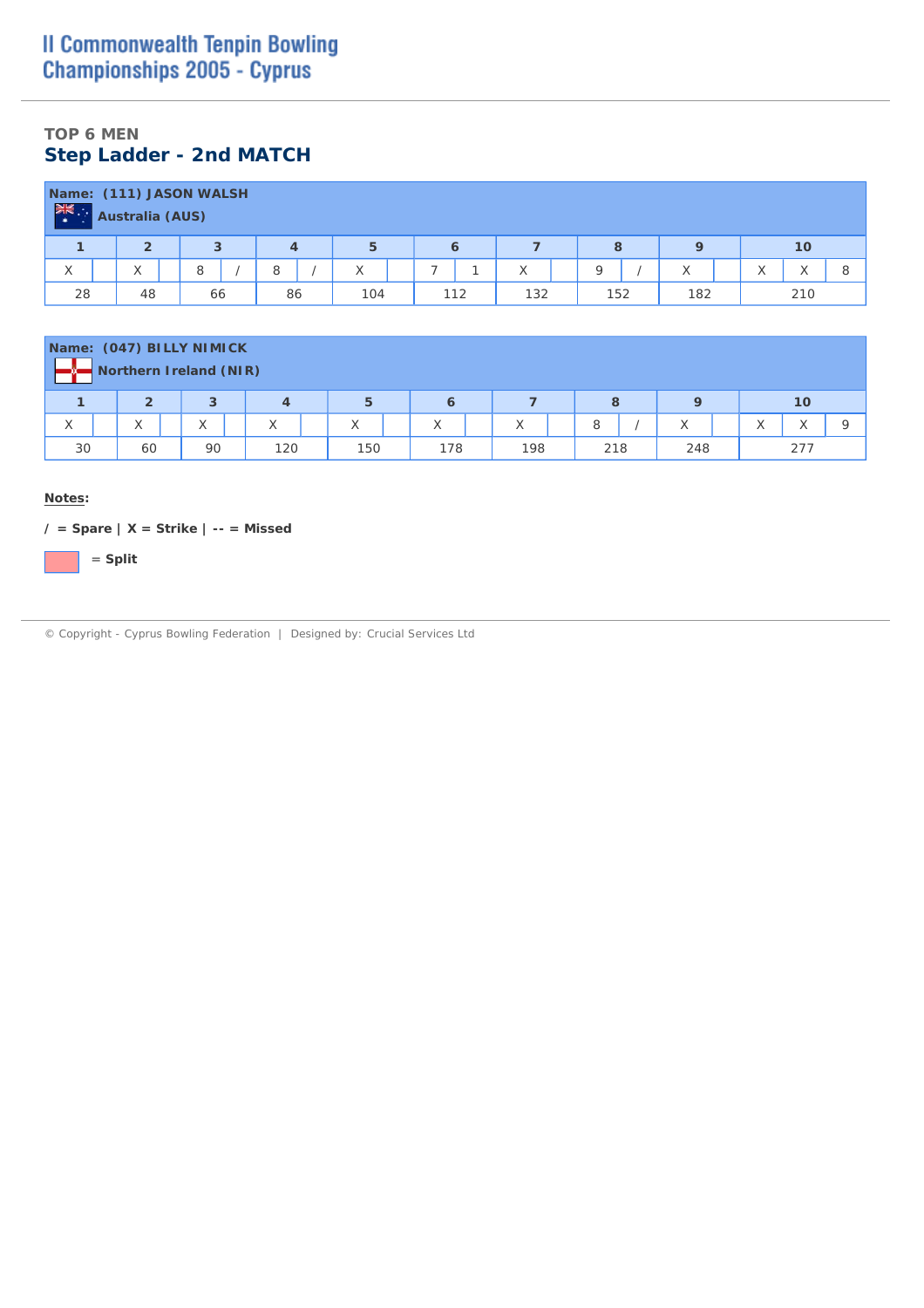## **TOP 6 MEN Step Ladder - 2nd MATCH**

| $\frac{1}{2} \frac{1}{\sqrt{2}}$ | Australia (AUS) | Name: (111) JASON WALSH |    |     |     |     |     |     |     |
|----------------------------------|-----------------|-------------------------|----|-----|-----|-----|-----|-----|-----|
|                                  | 2               | 3                       | 4  | 5   | 6   |     | 8   |     | 10  |
| X                                | X               | 8                       | 8  | X   |     | ⋏   | Q   | X   | 8   |
| 28                               | 48              | 66                      | 86 | 104 | 112 | 132 | 152 | 182 | 210 |

|    |                | Name: (047) BILLY NIMICK<br>Northern Ireland (NIR) |                   |     |     |     |     |     |     |
|----|----------------|----------------------------------------------------|-------------------|-----|-----|-----|-----|-----|-----|
|    | $\overline{2}$ | 3                                                  | $\overline{4}$    | 5   | 6   |     | 8   |     | 10  |
| X  | X              | X                                                  | $\checkmark$<br>∧ | X   | Χ   | Χ   | 8   | X   |     |
| 30 | 60             | 90                                                 | 120               | 150 | 178 | 198 | 218 | 248 | 277 |

**Notes:**

**/ = Spare | X = Strike | -- = Missed**

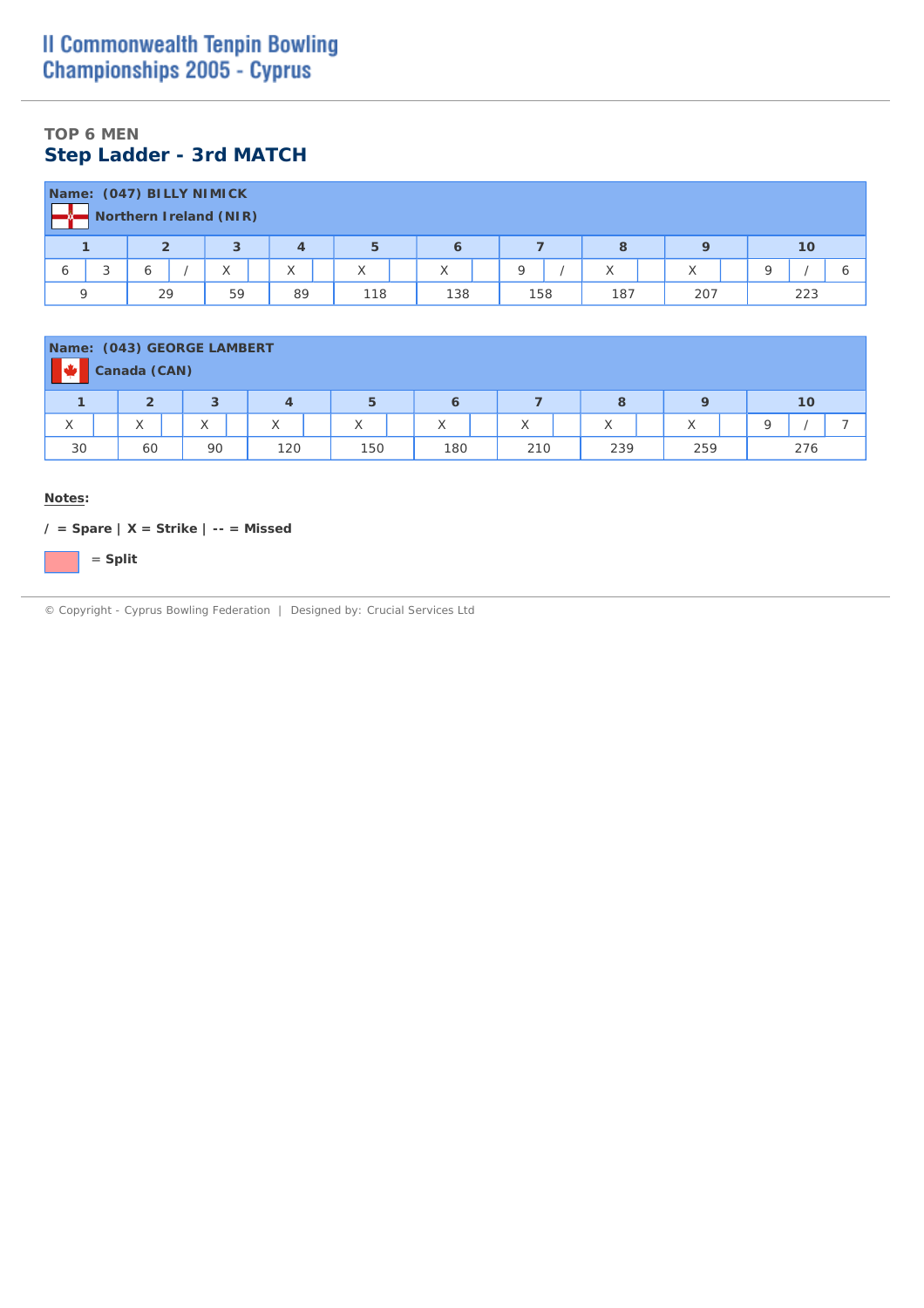## **TOP 6 MEN Step Ladder - 3rd MATCH**

|              |                      |    | Name: (047) BILLY NIMICK<br>Northern Ireland (NIR) |    |     |     |          |     |     |   |     |  |
|--------------|----------------------|----|----------------------------------------------------|----|-----|-----|----------|-----|-----|---|-----|--|
|              |                      |    | 3                                                  | 4  | 5   | 6   |          | 8   |     |   | 10  |  |
| <sub>6</sub> | $\overline{ }$<br>s. | Ô  | X                                                  | X  | X   | X   | $\Omega$ | X   | X   | Q |     |  |
|              |                      | 29 | 59                                                 | 89 | 118 | 138 | 158      | 187 | 207 |   | 223 |  |

| Name: (043) GEORGE LAMBERT |                                                              | Canada (CAN)             |  |                   |  |              |  |     |  |                   |  |                   |  |     |  |                   |  |     |  |
|----------------------------|--------------------------------------------------------------|--------------------------|--|-------------------|--|--------------|--|-----|--|-------------------|--|-------------------|--|-----|--|-------------------|--|-----|--|
|                            | 5<br>$\overline{2}$<br>3<br>10<br>$\mathbf Q$<br>8<br>4<br>6 |                          |  |                   |  |              |  |     |  |                   |  |                   |  |     |  |                   |  |     |  |
| X                          |                                                              | $\checkmark$<br>$\wedge$ |  | $\checkmark$<br>∧ |  | $\checkmark$ |  | X   |  | $\checkmark$<br>∧ |  | $\checkmark$<br>⋏ |  | ⋏   |  | $\checkmark$<br>∧ |  |     |  |
| 30                         |                                                              | 60                       |  | 90                |  | 120          |  | 150 |  | 180               |  | 210               |  | 239 |  | 259               |  | 276 |  |

#### **Notes:**

**/ = Spare | X = Strike | -- = Missed**

= **Split**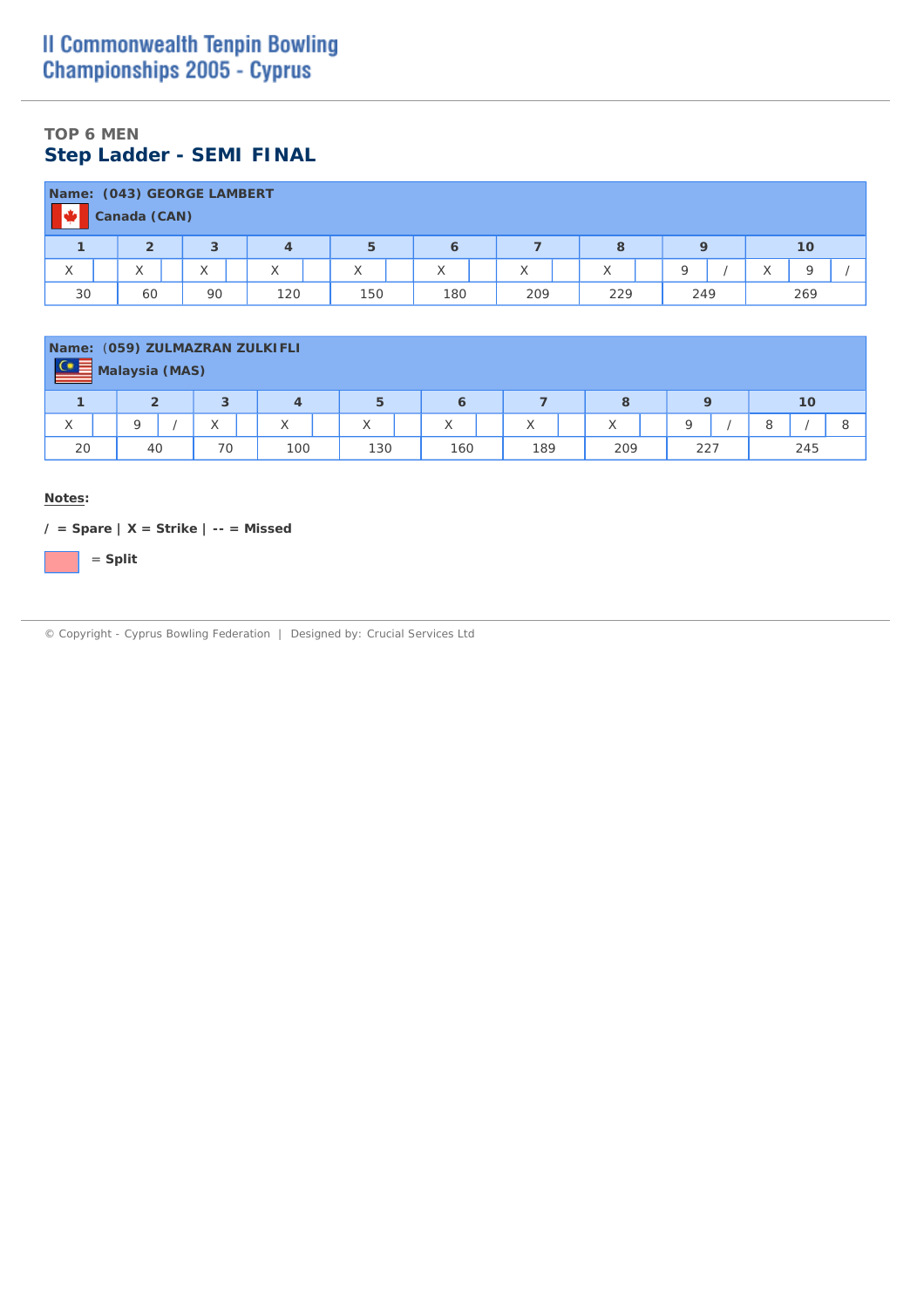## **TOP 6 MEN Step Ladder - SEMI FINAL**

|    | Canada (CAN)                                              | Name: (043) GEORGE LAMBERT |  |   |   |   |   |   |                                   |  |  |  |  |
|----|-----------------------------------------------------------|----------------------------|--|---|---|---|---|---|-----------------------------------|--|--|--|--|
|    | $\overline{2}$                                            | 3                          |  | 5 | 6 |   | 8 |   | 10                                |  |  |  |  |
| X  | $\checkmark$<br>∧                                         | X                          |  | X | Χ | X | ∧ | Q | $\sqrt{}$<br>$\circ$<br>$\lambda$ |  |  |  |  |
| 30 | 60<br>150<br>269<br>90<br>180<br>209<br>249<br>120<br>229 |                            |  |   |   |   |   |   |                                   |  |  |  |  |

| $\frac{C}{C}$     | Name: (059) ZULMAZRAN ZULKIFLI<br><b>Malaysia (MAS)</b> |                |              |     |                   |     |     |     |     |
|-------------------|---------------------------------------------------------|----------------|--------------|-----|-------------------|-----|-----|-----|-----|
|                   | $\mathbf{2}$                                            | з              | 4            | 5   | 6                 |     | 8   |     | 10  |
| $\checkmark$<br>⋏ | $\Omega$                                                | $\sqrt{}$<br>∧ | $\checkmark$ | X   | $\checkmark$<br>∧ | Χ   | X   | O   | 8   |
| 20                | 40                                                      | 70             | 100          | 130 | 160               | 189 | 209 | 227 | 245 |

**Notes:**

**/ = Spare | X = Strike | -- = Missed**